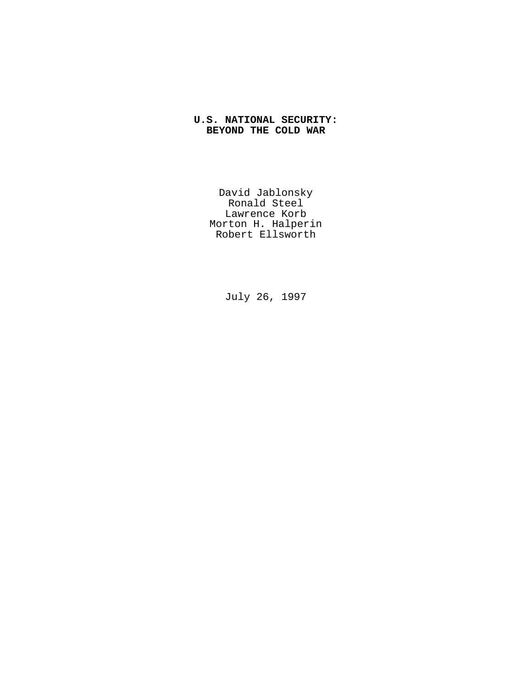# **U.S. NATIONAL SECURITY: BEYOND THE COLD WAR**

David Jablonsky Ronald Steel Lawrence Korb Morton H. Halperin Robert Ellsworth

July 26, 1997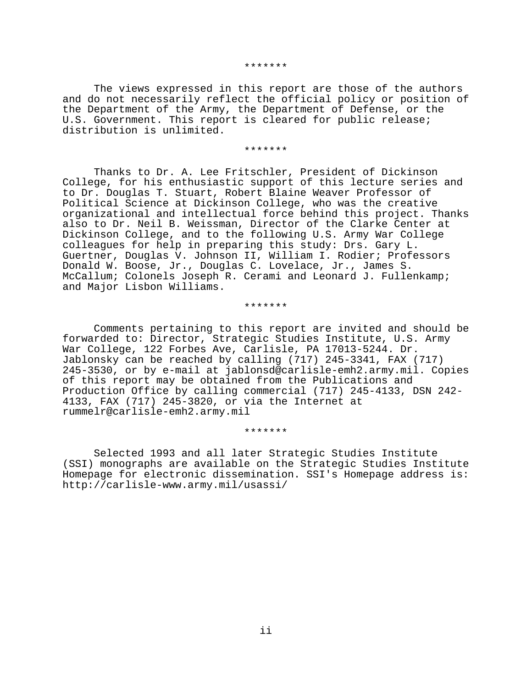#### \*\*\*\*\*\*\*

The views expressed in this report are those of the authors and do not necessarily reflect the official policy or position of the Department of the Army, the Department of Defense, or the U.S. Government. This report is cleared for public release; distribution is unlimited.

#### \*\*\*\*\*\*\*

Thanks to Dr. A. Lee Fritschler, President of Dickinson College, for his enthusiastic support of this lecture series and to Dr. Douglas T. Stuart, Robert Blaine Weaver Professor of Political Science at Dickinson College, who was the creative organizational and intellectual force behind this project. Thanks also to Dr. Neil B. Weissman, Director of the Clarke Center at Dickinson College, and to the following U.S. Army War College colleagues for help in preparing this study: Drs. Gary L. Guertner, Douglas V. Johnson II, William I. Rodier; Professors Donald W. Boose, Jr., Douglas C. Lovelace, Jr., James S. McCallum; Colonels Joseph R. Cerami and Leonard J. Fullenkamp; and Major Lisbon Williams.

#### \*\*\*\*\*\*\*

Comments pertaining to this report are invited and should be forwarded to: Director, Strategic Studies Institute, U.S. Army War College, 122 Forbes Ave, Carlisle, PA 17013-5244. Dr. Jablonsky can be reached by calling (717) 245-3341, FAX (717) 245-3530, or by e-mail at jablonsd@carlisle-emh2.army.mil. Copies of this report may be obtained from the Publications and Production Office by calling commercial (717) 245-4133, DSN 242- 4133, FAX (717) 245-3820, or via the Internet at rummelr@carlisle-emh2.army.mil

### \*\*\*\*\*\*\*

Selected 1993 and all later Strategic Studies Institute (SSI) monographs are available on the Strategic Studies Institute Homepage for electronic dissemination. SSI's Homepage address is: http://carlisle-www.army.mil/usassi/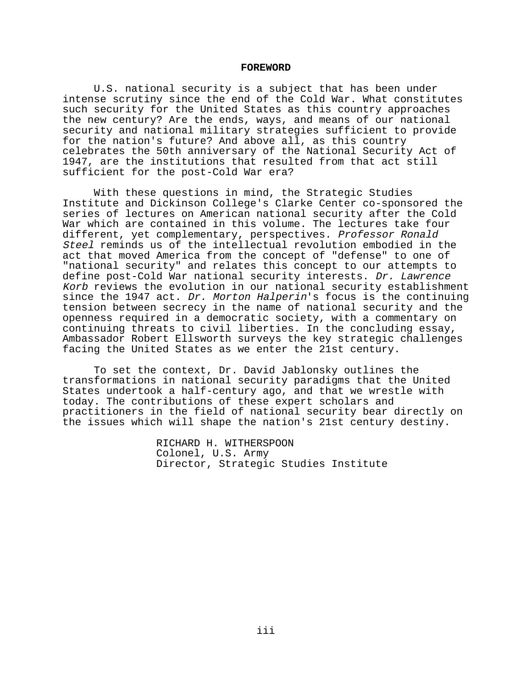### **FOREWORD**

U.S. national security is a subject that has been under intense scrutiny since the end of the Cold War. What constitutes such security for the United States as this country approaches the new century? Are the ends, ways, and means of our national security and national military strategies sufficient to provide for the nation's future? And above all, as this country celebrates the 50th anniversary of the National Security Act of 1947, are the institutions that resulted from that act still sufficient for the post-Cold War era?

With these questions in mind, the Strategic Studies Institute and Dickinson College's Clarke Center co-sponsored the series of lectures on American national security after the Cold War which are contained in this volume. The lectures take four different, yet complementary, perspectives. Professor Ronald Steel reminds us of the intellectual revolution embodied in the act that moved America from the concept of "defense" to one of "national security" and relates this concept to our attempts to define post-Cold War national security interests. Dr. Lawrence Korb reviews the evolution in our national security establishment since the 1947 act. Dr. Morton Halperin's focus is the continuing tension between secrecy in the name of national security and the openness required in a democratic society, with a commentary on continuing threats to civil liberties. In the concluding essay, Ambassador Robert Ellsworth surveys the key strategic challenges facing the United States as we enter the 21st century.

To set the context, Dr. David Jablonsky outlines the transformations in national security paradigms that the United States undertook a half-century ago, and that we wrestle with today. The contributions of these expert scholars and practitioners in the field of national security bear directly on the issues which will shape the nation's 21st century destiny.

> RICHARD H. WITHERSPOON Colonel, U.S. Army Director, Strategic Studies Institute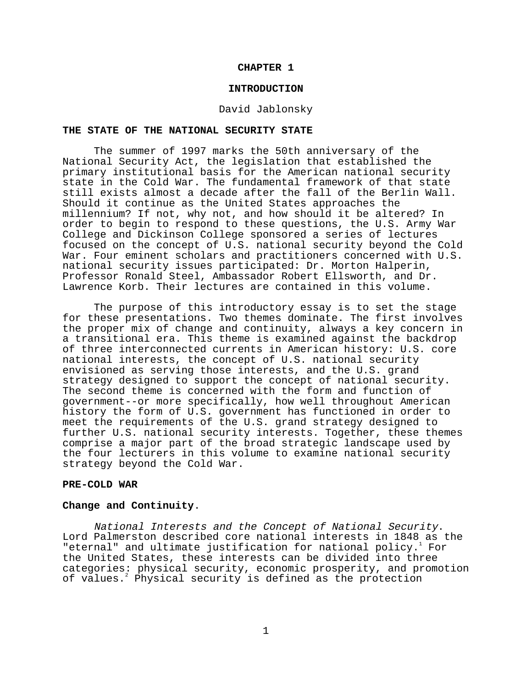## **CHAPTER 1**

#### **INTRODUCTION**

#### David Jablonsky

### **THE STATE OF THE NATIONAL SECURITY STATE**

The summer of 1997 marks the 50th anniversary of the National Security Act, the legislation that established the primary institutional basis for the American national security state in the Cold War. The fundamental framework of that state still exists almost a decade after the fall of the Berlin Wall. Should it continue as the United States approaches the millennium? If not, why not, and how should it be altered? In order to begin to respond to these questions, the U.S. Army War College and Dickinson College sponsored a series of lectures focused on the concept of U.S. national security beyond the Cold War. Four eminent scholars and practitioners concerned with U.S. national security issues participated: Dr. Morton Halperin, Professor Ronald Steel, Ambassador Robert Ellsworth, and Dr. Lawrence Korb. Their lectures are contained in this volume.

The purpose of this introductory essay is to set the stage for these presentations. Two themes dominate. The first involves the proper mix of change and continuity, always a key concern in a transitional era. This theme is examined against the backdrop of three interconnected currents in American history: U.S. core national interests, the concept of U.S. national security envisioned as serving those interests, and the U.S. grand strategy designed to support the concept of national security. The second theme is concerned with the form and function of government--or more specifically, how well throughout American history the form of U.S. government has functioned in order to meet the requirements of the U.S. grand strategy designed to further U.S. national security interests. Together, these themes comprise a major part of the broad strategic landscape used by the four lecturers in this volume to examine national security strategy beyond the Cold War.

# **PRE-COLD WAR**

# **Change and Continuity**.

National Interests and the Concept of National Security. Lord Palmerston described core national interests in 1848 as the "eternal" and ultimate justification for national policy.<sup>1</sup> For the United States, these interests can be divided into three categories: physical security, economic prosperity, and promotion of values.<sup>2</sup> Physical security is defined as the protection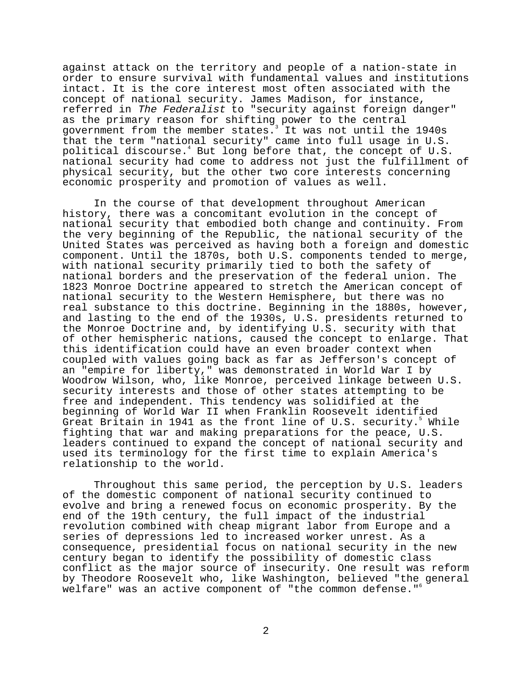against attack on the territory and people of a nation-state in order to ensure survival with fundamental values and institutions intact. It is the core interest most often associated with the concept of national security. James Madison, for instance, referred in The Federalist to "security against foreign danger" as the primary reason for shifting power to the central government from the member states. It was not until the 1940s that the term "national security" came into full usage in U.S. political discourse.4 But long before that, the concept of U.S. national security had come to address not just the fulfillment of physical security, but the other two core interests concerning economic prosperity and promotion of values as well.

In the course of that development throughout American history, there was a concomitant evolution in the concept of national security that embodied both change and continuity. From the very beginning of the Republic, the national security of the United States was perceived as having both a foreign and domestic component. Until the 1870s, both U.S. components tended to merge, with national security primarily tied to both the safety of national borders and the preservation of the federal union. The 1823 Monroe Doctrine appeared to stretch the American concept of national security to the Western Hemisphere, but there was no real substance to this doctrine. Beginning in the 1880s, however, and lasting to the end of the 1930s, U.S. presidents returned to the Monroe Doctrine and, by identifying U.S. security with that of other hemispheric nations, caused the concept to enlarge. That this identification could have an even broader context when coupled with values going back as far as Jefferson's concept of an "empire for liberty," was demonstrated in World War I by Woodrow Wilson, who, like Monroe, perceived linkage between U.S. security interests and those of other states attempting to be free and independent. This tendency was solidified at the beginning of World War II when Franklin Roosevelt identified Great Britain in 1941 as the front line of U.S. security.<sup>5</sup> While fighting that war and making preparations for the peace, U.S. leaders continued to expand the concept of national security and used its terminology for the first time to explain America's relationship to the world.

Throughout this same period, the perception by U.S. leaders of the domestic component of national security continued to evolve and bring a renewed focus on economic prosperity. By the end of the 19th century, the full impact of the industrial revolution combined with cheap migrant labor from Europe and a series of depressions led to increased worker unrest. As a consequence, presidential focus on national security in the new century began to identify the possibility of domestic class conflict as the major source of insecurity. One result was reform by Theodore Roosevelt who, like Washington, believed "the general welfare" was an active component of "the common defense."<sup>6</sup>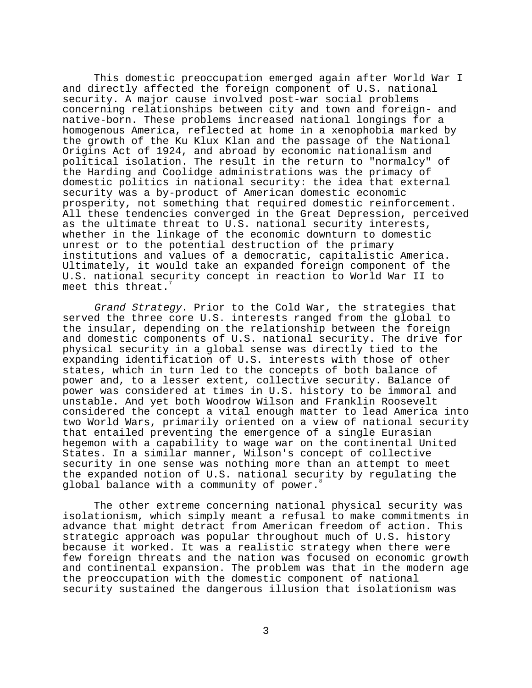This domestic preoccupation emerged again after World War I and directly affected the foreign component of U.S. national security. A major cause involved post-war social problems concerning relationships between city and town and foreign- and native-born. These problems increased national longings for a homogenous America, reflected at home in a xenophobia marked by the growth of the Ku Klux Klan and the passage of the National Origins Act of 1924, and abroad by economic nationalism and political isolation. The result in the return to "normalcy" of the Harding and Coolidge administrations was the primacy of domestic politics in national security: the idea that external security was a by-product of American domestic economic prosperity, not something that required domestic reinforcement. All these tendencies converged in the Great Depression, perceived as the ultimate threat to U.S. national security interests, whether in the linkage of the economic downturn to domestic unrest or to the potential destruction of the primary institutions and values of a democratic, capitalistic America. Ultimately, it would take an expanded foreign component of the U.S. national security concept in reaction to World War II to meet this threat.

Grand Strategy. Prior to the Cold War, the strategies that served the three core U.S. interests ranged from the global to the insular, depending on the relationship between the foreign and domestic components of U.S. national security. The drive for physical security in a global sense was directly tied to the expanding identification of U.S. interests with those of other states, which in turn led to the concepts of both balance of power and, to a lesser extent, collective security. Balance of power was considered at times in U.S. history to be immoral and unstable. And yet both Woodrow Wilson and Franklin Roosevelt considered the concept a vital enough matter to lead America into two World Wars, primarily oriented on a view of national security that entailed preventing the emergence of a single Eurasian hegemon with a capability to wage war on the continental United States. In a similar manner, Wilson's concept of collective security in one sense was nothing more than an attempt to meet the expanded notion of U.S. national security by regulating the global balance with a community of power.<sup>8</sup>

The other extreme concerning national physical security was isolationism, which simply meant a refusal to make commitments in advance that might detract from American freedom of action. This strategic approach was popular throughout much of U.S. history because it worked. It was a realistic strategy when there were few foreign threats and the nation was focused on economic growth and continental expansion. The problem was that in the modern age the preoccupation with the domestic component of national security sustained the dangerous illusion that isolationism was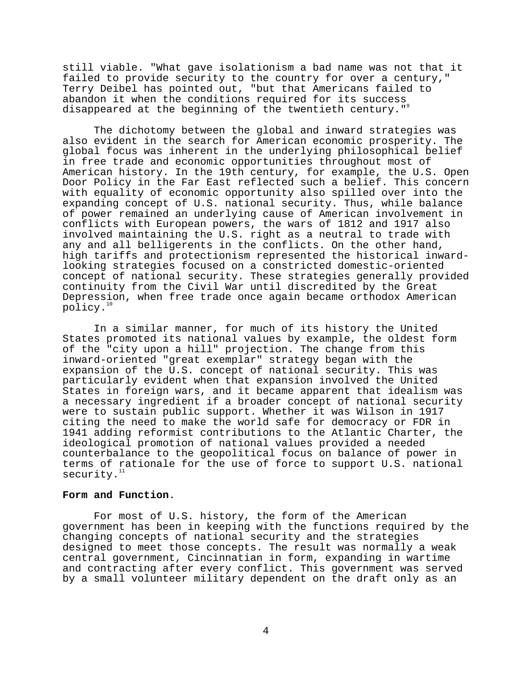still viable. "What gave isolationism a bad name was not that it failed to provide security to the country for over a century," Terry Deibel has pointed out, "but that Americans failed to abandon it when the conditions required for its success disappeared at the beginning of the twentieth century."<sup>9</sup>

The dichotomy between the global and inward strategies was also evident in the search for American economic prosperity. The global focus was inherent in the underlying philosophical belief in free trade and economic opportunities throughout most of American history. In the 19th century, for example, the U.S. Open Door Policy in the Far East reflected such a belief. This concern with equality of economic opportunity also spilled over into the expanding concept of U.S. national security. Thus, while balance of power remained an underlying cause of American involvement in conflicts with European powers, the wars of 1812 and 1917 also involved maintaining the U.S. right as a neutral to trade with any and all belligerents in the conflicts. On the other hand, high tariffs and protectionism represented the historical inwardlooking strategies focused on a constricted domestic-oriented concept of national security. These strategies generally provided continuity from the Civil War until discredited by the Great Depression, when free trade once again became orthodox American policy.<sup>10</sup>

In a similar manner, for much of its history the United States promoted its national values by example, the oldest form of the "city upon a hill" projection. The change from this inward-oriented "great exemplar" strategy began with the expansion of the U.S. concept of national security. This was particularly evident when that expansion involved the United States in foreign wars, and it became apparent that idealism was a necessary ingredient if a broader concept of national security were to sustain public support. Whether it was Wilson in 1917 citing the need to make the world safe for democracy or FDR in 1941 adding reformist contributions to the Atlantic Charter, the ideological promotion of national values provided a needed counterbalance to the geopolitical focus on balance of power in terms of rationale for the use of force to support U.S. national security.

#### **Form and Function**.

For most of U.S. history, the form of the American government has been in keeping with the functions required by the changing concepts of national security and the strategies designed to meet those concepts. The result was normally a weak central government, Cincinnatian in form, expanding in wartime and contracting after every conflict. This government was served by a small volunteer military dependent on the draft only as an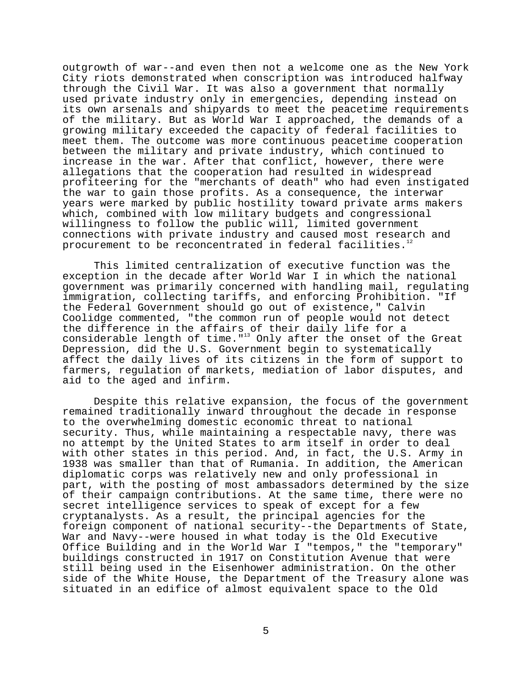outgrowth of war--and even then not a welcome one as the New York City riots demonstrated when conscription was introduced halfway through the Civil War. It was also a government that normally used private industry only in emergencies, depending instead on its own arsenals and shipyards to meet the peacetime requirements of the military. But as World War I approached, the demands of a growing military exceeded the capacity of federal facilities to meet them. The outcome was more continuous peacetime cooperation between the military and private industry, which continued to increase in the war. After that conflict, however, there were allegations that the cooperation had resulted in widespread profiteering for the "merchants of death" who had even instigated the war to gain those profits. As a consequence, the interwar years were marked by public hostility toward private arms makers which, combined with low military budgets and congressional willingness to follow the public will, limited government connections with private industry and caused most research and procurement to be reconcentrated in federal facilities.<sup>12</sup>

This limited centralization of executive function was the exception in the decade after World War I in which the national government was primarily concerned with handling mail, regulating immigration, collecting tariffs, and enforcing Prohibition. "If the Federal Government should go out of existence," Calvin Coolidge commented, "the common run of people would not detect the difference in the affairs of their daily life for a considerable length of time."<sup>13</sup> Only after the onset of the Great Depression, did the U.S. Government begin to systematically affect the daily lives of its citizens in the form of support to farmers, regulation of markets, mediation of labor disputes, and aid to the aged and infirm.

Despite this relative expansion, the focus of the government remained traditionally inward throughout the decade in response to the overwhelming domestic economic threat to national security. Thus, while maintaining a respectable navy, there was no attempt by the United States to arm itself in order to deal with other states in this period. And, in fact, the U.S. Army in 1938 was smaller than that of Rumania. In addition, the American diplomatic corps was relatively new and only professional in part, with the posting of most ambassadors determined by the size of their campaign contributions. At the same time, there were no secret intelligence services to speak of except for a few cryptanalysts. As a result, the principal agencies for the foreign component of national security--the Departments of State, War and Navy--were housed in what today is the Old Executive Office Building and in the World War I "tempos," the "temporary" buildings constructed in 1917 on Constitution Avenue that were still being used in the Eisenhower administration. On the other side of the White House, the Department of the Treasury alone was situated in an edifice of almost equivalent space to the Old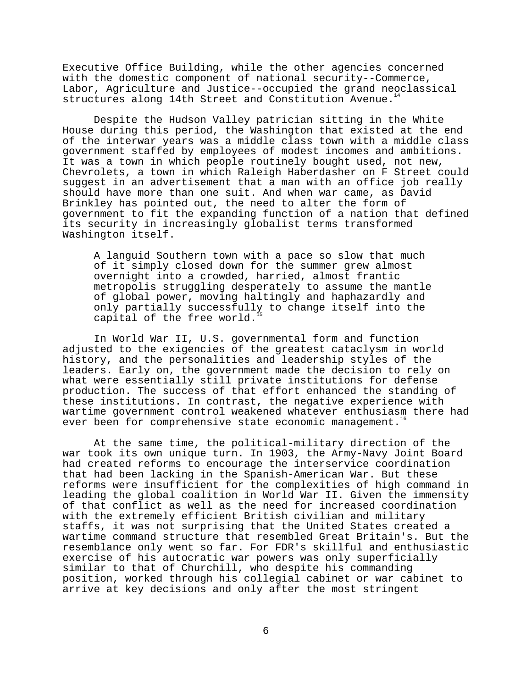Executive Office Building, while the other agencies concerned with the domestic component of national security--Commerce, Labor, Agriculture and Justice--occupied the grand neoclassical structures along 14th Street and Constitution Avenue.

Despite the Hudson Valley patrician sitting in the White House during this period, the Washington that existed at the end of the interwar years was a middle class town with a middle class government staffed by employees of modest incomes and ambitions. It was a town in which people routinely bought used, not new, Chevrolets, a town in which Raleigh Haberdasher on F Street could suggest in an advertisement that a man with an office job really should have more than one suit. And when war came, as David Brinkley has pointed out, the need to alter the form of government to fit the expanding function of a nation that defined its security in increasingly globalist terms transformed Washington itself.

A languid Southern town with a pace so slow that much of it simply closed down for the summer grew almost overnight into a crowded, harried, almost frantic metropolis struggling desperately to assume the mantle of global power, moving haltingly and haphazardly and only partially successfully to change itself into the capital of the free world.

In World War II, U.S. governmental form and function adjusted to the exigencies of the greatest cataclysm in world history, and the personalities and leadership styles of the leaders. Early on, the government made the decision to rely on what were essentially still private institutions for defense production. The success of that effort enhanced the standing of these institutions. In contrast, the negative experience with wartime government control weakened whatever enthusiasm there had ever been for comprehensive state economic management.<sup>1</sup>

At the same time, the political-military direction of the war took its own unique turn. In 1903, the Army-Navy Joint Board had created reforms to encourage the interservice coordination that had been lacking in the Spanish-American War. But these reforms were insufficient for the complexities of high command in leading the global coalition in World War II. Given the immensity of that conflict as well as the need for increased coordination with the extremely efficient British civilian and military staffs, it was not surprising that the United States created a wartime command structure that resembled Great Britain's. But the resemblance only went so far. For FDR's skillful and enthusiastic exercise of his autocratic war powers was only superficially similar to that of Churchill, who despite his commanding position, worked through his collegial cabinet or war cabinet to arrive at key decisions and only after the most stringent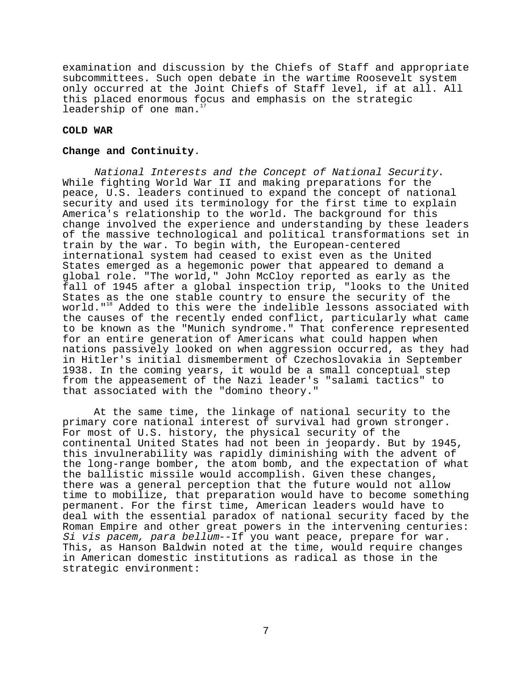examination and discussion by the Chiefs of Staff and appropriate subcommittees. Such open debate in the wartime Roosevelt system only occurred at the Joint Chiefs of Staff level, if at all. All this placed enormous focus and emphasis on the strategic leadership of one man.<sup>1</sup>

# **COLD WAR**

### **Change and Continuity**.

National Interests and the Concept of National Security. While fighting World War II and making preparations for the peace, U.S. leaders continued to expand the concept of national security and used its terminology for the first time to explain America's relationship to the world. The background for this change involved the experience and understanding by these leaders of the massive technological and political transformations set in train by the war. To begin with, the European-centered international system had ceased to exist even as the United States emerged as a hegemonic power that appeared to demand a global role. "The world," John McCloy reported as early as the fall of 1945 after a global inspection trip, "looks to the United States as the one stable country to ensure the security of the world."18 Added to this were the indelible lessons associated with the causes of the recently ended conflict, particularly what came to be known as the "Munich syndrome." That conference represented for an entire generation of Americans what could happen when nations passively looked on when aggression occurred, as they had in Hitler's initial dismemberment of Czechoslovakia in September 1938. In the coming years, it would be a small conceptual step from the appeasement of the Nazi leader's "salami tactics" to that associated with the "domino theory."

At the same time, the linkage of national security to the primary core national interest of survival had grown stronger. For most of U.S. history, the physical security of the continental United States had not been in jeopardy. But by 1945, this invulnerability was rapidly diminishing with the advent of the long-range bomber, the atom bomb, and the expectation of what the ballistic missile would accomplish. Given these changes, there was a general perception that the future would not allow time to mobilize, that preparation would have to become something permanent. For the first time, American leaders would have to deal with the essential paradox of national security faced by the Roman Empire and other great powers in the intervening centuries: Si vis pacem, para bellum--If you want peace, prepare for war. This, as Hanson Baldwin noted at the time, would require changes in American domestic institutions as radical as those in the strategic environment: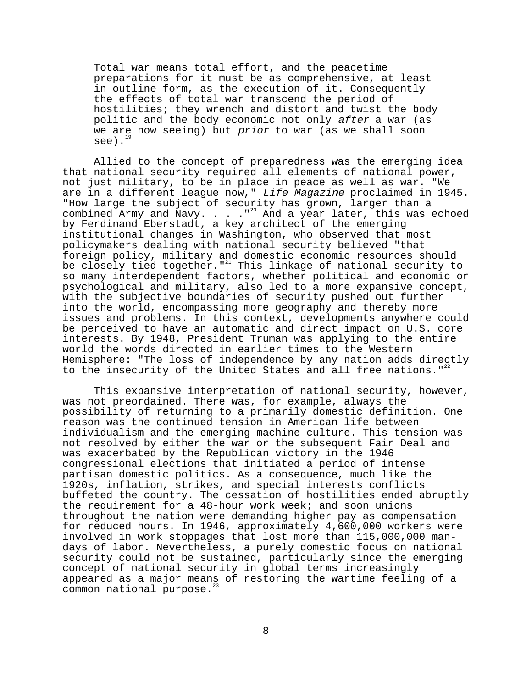Total war means total effort, and the peacetime preparations for it must be as comprehensive, at least in outline form, as the execution of it. Consequently the effects of total war transcend the period of hostilities; they wrench and distort and twist the body politic and the body economic not only after a war (as we are now seeing) but prior to war (as we shall soon see).

Allied to the concept of preparedness was the emerging idea that national security required all elements of national power, not just military, to be in place in peace as well as war. "We are in a different league now," Life Magazine proclaimed in 1945. "How large the subject of security has grown, larger than a combined Army and Navy. . . . "<sup>20</sup> And a year later, this was echoed by Ferdinand Eberstadt, a key architect of the emerging institutional changes in Washington, who observed that most policymakers dealing with national security believed "that foreign policy, military and domestic economic resources should be closely tied together.  $"$ <sup>21</sup> This linkage of national security to so many interdependent factors, whether political and economic or psychological and military, also led to a more expansive concept, with the subjective boundaries of security pushed out further into the world, encompassing more geography and thereby more issues and problems. In this context, developments anywhere could be perceived to have an automatic and direct impact on U.S. core interests. By 1948, President Truman was applying to the entire world the words directed in earlier times to the Western Hemisphere: "The loss of independence by any nation adds directly to the insecurity of the United States and all free nations." $2^2$ 

This expansive interpretation of national security, however, was not preordained. There was, for example, always the possibility of returning to a primarily domestic definition. One reason was the continued tension in American life between individualism and the emerging machine culture. This tension was not resolved by either the war or the subsequent Fair Deal and was exacerbated by the Republican victory in the 1946 congressional elections that initiated a period of intense partisan domestic politics. As a consequence, much like the 1920s, inflation, strikes, and special interests conflicts buffeted the country. The cessation of hostilities ended abruptly the requirement for a 48-hour work week; and soon unions throughout the nation were demanding higher pay as compensation for reduced hours. In 1946, approximately 4,600,000 workers were involved in work stoppages that lost more than 115,000,000 mandays of labor. Nevertheless, a purely domestic focus on national security could not be sustained, particularly since the emerging concept of national security in global terms increasingly appeared as a major means of restoring the wartime feeling of a common national purpose.<sup>23</sup>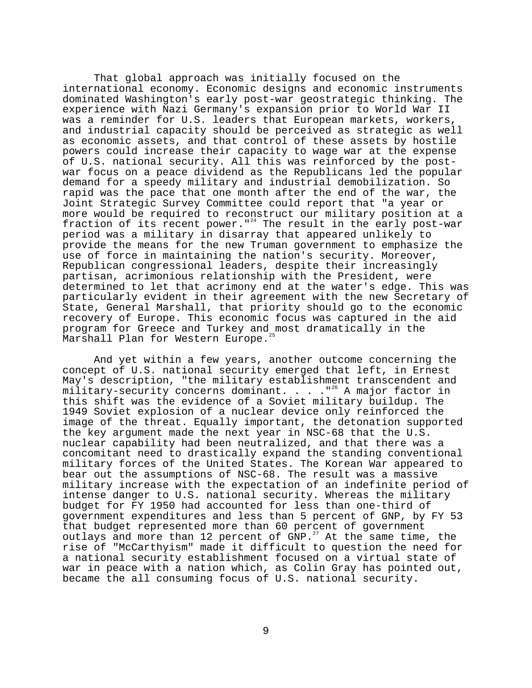That global approach was initially focused on the international economy. Economic designs and economic instruments dominated Washington's early post-war geostrategic thinking. The experience with Nazi Germany's expansion prior to World War II was a reminder for U.S. leaders that European markets, workers, and industrial capacity should be perceived as strategic as well as economic assets, and that control of these assets by hostile powers could increase their capacity to wage war at the expense of U.S. national security. All this was reinforced by the postwar focus on a peace dividend as the Republicans led the popular demand for a speedy military and industrial demobilization. So rapid was the pace that one month after the end of the war, the Joint Strategic Survey Committee could report that "a year or more would be required to reconstruct our military position at a fraction of its recent power."<sup>24</sup> The result in the early post-war period was a military in disarray that appeared unlikely to provide the means for the new Truman government to emphasize the use of force in maintaining the nation's security. Moreover, Republican congressional leaders, despite their increasingly partisan, acrimonious relationship with the President, were determined to let that acrimony end at the water's edge. This was particularly evident in their agreement with the new Secretary of State, General Marshall, that priority should go to the economic recovery of Europe. This economic focus was captured in the aid program for Greece and Turkey and most dramatically in the Marshall Plan for Western Europe.<sup>2</sup>

And yet within a few years, another outcome concerning the concept of U.S. national security emerged that left, in Ernest May's description, "the military establishment transcendent and military-security concerns dominant. . . . "<sup>26</sup> A major factor in this shift was the evidence of a Soviet military buildup. The 1949 Soviet explosion of a nuclear device only reinforced the image of the threat. Equally important, the detonation supported the key argument made the next year in NSC-68 that the U.S. nuclear capability had been neutralized, and that there was a concomitant need to drastically expand the standing conventional military forces of the United States. The Korean War appeared to bear out the assumptions of NSC-68. The result was a massive military increase with the expectation of an indefinite period of intense danger to U.S. national security. Whereas the military budget for FY 1950 had accounted for less than one-third of government expenditures and less than 5 percent of GNP, by FY 53 that budget represented more than 60 percent of government outlays and more than 12 percent of GNP.<sup>27</sup> At the same time, the rise of "McCarthyism" made it difficult to question the need for a national security establishment focused on a virtual state of war in peace with a nation which, as Colin Gray has pointed out, became the all consuming focus of U.S. national security.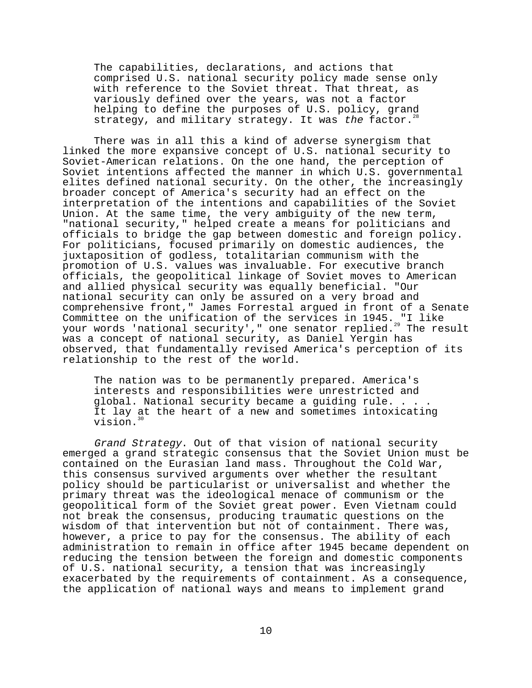The capabilities, declarations, and actions that comprised U.S. national security policy made sense only with reference to the Soviet threat. That threat, as variously defined over the years, was not a factor helping to define the purposes of U.S. policy, grand strategy, and military strategy. It was the factor.<sup>2</sup>

There was in all this a kind of adverse synergism that linked the more expansive concept of U.S. national security to Soviet-American relations. On the one hand, the perception of Soviet intentions affected the manner in which U.S. governmental elites defined national security. On the other, the increasingly broader concept of America's security had an effect on the interpretation of the intentions and capabilities of the Soviet Union. At the same time, the very ambiguity of the new term, "national security," helped create a means for politicians and officials to bridge the gap between domestic and foreign policy. For politicians, focused primarily on domestic audiences, the juxtaposition of godless, totalitarian communism with the promotion of U.S. values was invaluable. For executive branch officials, the geopolitical linkage of Soviet moves to American and allied physical security was equally beneficial. "Our national security can only be assured on a very broad and comprehensive front," James Forrestal argued in front of a Senate Committee on the unification of the services in 1945. "I like your words 'national security'," one senator replied.<sup>29</sup> The result was a concept of national security, as Daniel Yergin has observed, that fundamentally revised America's perception of its relationship to the rest of the world.

The nation was to be permanently prepared. America's interests and responsibilities were unrestricted and global. National security became a guiding rule. . . . It lay at the heart of a new and sometimes intoxicating  $v$ ision. $30$ 

Grand Strategy. Out of that vision of national security emerged a grand strategic consensus that the Soviet Union must be contained on the Eurasian land mass. Throughout the Cold War, this consensus survived arguments over whether the resultant policy should be particularist or universalist and whether the primary threat was the ideological menace of communism or the geopolitical form of the Soviet great power. Even Vietnam could not break the consensus, producing traumatic questions on the wisdom of that intervention but not of containment. There was, however, a price to pay for the consensus. The ability of each administration to remain in office after 1945 became dependent on reducing the tension between the foreign and domestic components of U.S. national security, a tension that was increasingly exacerbated by the requirements of containment. As a consequence, the application of national ways and means to implement grand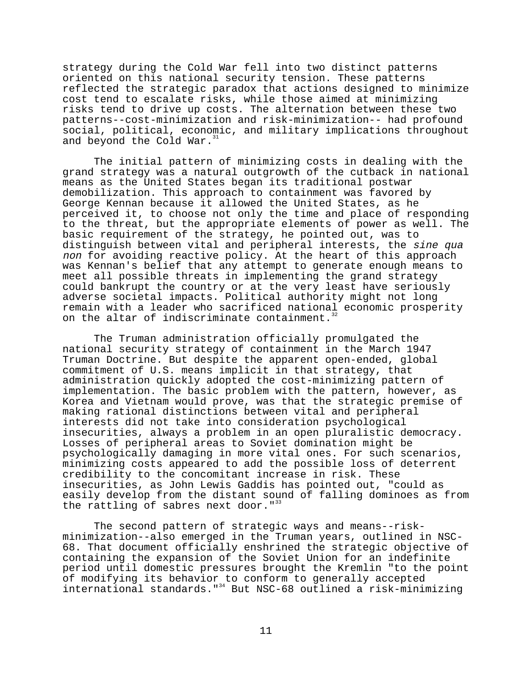strategy during the Cold War fell into two distinct patterns oriented on this national security tension. These patterns reflected the strategic paradox that actions designed to minimize cost tend to escalate risks, while those aimed at minimizing risks tend to drive up costs. The alternation between these two patterns--cost-minimization and risk-minimization-- had profound social, political, economic, and military implications throughout and beyond the Cold War.<sup>31</sup>

The initial pattern of minimizing costs in dealing with the grand strategy was a natural outgrowth of the cutback in national means as the United States began its traditional postwar demobilization. This approach to containment was favored by George Kennan because it allowed the United States, as he perceived it, to choose not only the time and place of responding to the threat, but the appropriate elements of power as well. The basic requirement of the strategy, he pointed out, was to distinguish between vital and peripheral interests, the sine qua non for avoiding reactive policy. At the heart of this approach was Kennan's belief that any attempt to generate enough means to meet all possible threats in implementing the grand strategy could bankrupt the country or at the very least have seriously adverse societal impacts. Political authority might not long remain with a leader who sacrificed national economic prosperity on the altar of indiscriminate containment.<sup>3</sup>

The Truman administration officially promulgated the national security strategy of containment in the March 1947 Truman Doctrine. But despite the apparent open-ended, global commitment of U.S. means implicit in that strategy, that administration quickly adopted the cost-minimizing pattern of implementation. The basic problem with the pattern, however, as Korea and Vietnam would prove, was that the strategic premise of making rational distinctions between vital and peripheral interests did not take into consideration psychological insecurities, always a problem in an open pluralistic democracy. Losses of peripheral areas to Soviet domination might be psychologically damaging in more vital ones. For such scenarios, minimizing costs appeared to add the possible loss of deterrent credibility to the concomitant increase in risk. These insecurities, as John Lewis Gaddis has pointed out, "could as easily develop from the distant sound of falling dominoes as from the rattling of sabres next door.  $"$ 33

The second pattern of strategic ways and means--riskminimization--also emerged in the Truman years, outlined in NSC-68. That document officially enshrined the strategic objective of containing the expansion of the Soviet Union for an indefinite period until domestic pressures brought the Kremlin "to the point of modifying its behavior to conform to generally accepted international standards."34 But NSC-68 outlined a risk-minimizing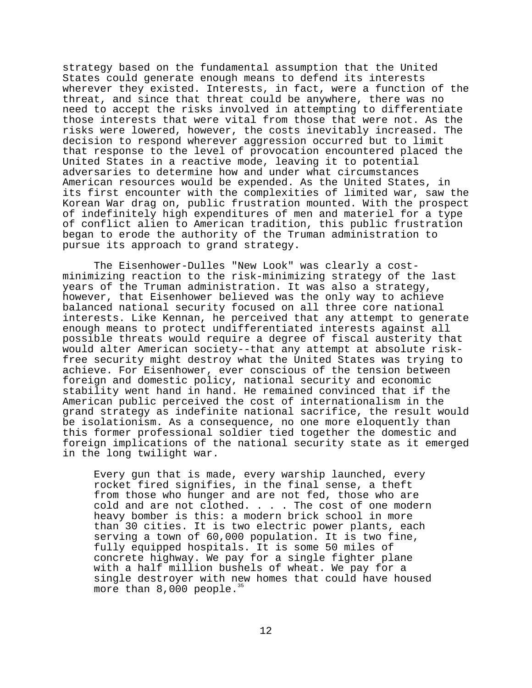strategy based on the fundamental assumption that the United States could generate enough means to defend its interests wherever they existed. Interests, in fact, were a function of the threat, and since that threat could be anywhere, there was no need to accept the risks involved in attempting to differentiate those interests that were vital from those that were not. As the risks were lowered, however, the costs inevitably increased. The decision to respond wherever aggression occurred but to limit that response to the level of provocation encountered placed the United States in a reactive mode, leaving it to potential adversaries to determine how and under what circumstances American resources would be expended. As the United States, in its first encounter with the complexities of limited war, saw the Korean War drag on, public frustration mounted. With the prospect of indefinitely high expenditures of men and materiel for a type of conflict alien to American tradition, this public frustration began to erode the authority of the Truman administration to pursue its approach to grand strategy.

The Eisenhower-Dulles "New Look" was clearly a costminimizing reaction to the risk-minimizing strategy of the last years of the Truman administration. It was also a strategy, however, that Eisenhower believed was the only way to achieve balanced national security focused on all three core national interests. Like Kennan, he perceived that any attempt to generate enough means to protect undifferentiated interests against all possible threats would require a degree of fiscal austerity that would alter American society--that any attempt at absolute riskfree security might destroy what the United States was trying to achieve. For Eisenhower, ever conscious of the tension between foreign and domestic policy, national security and economic stability went hand in hand. He remained convinced that if the American public perceived the cost of internationalism in the grand strategy as indefinite national sacrifice, the result would be isolationism. As a consequence, no one more eloquently than this former professional soldier tied together the domestic and foreign implications of the national security state as it emerged in the long twilight war.

Every gun that is made, every warship launched, every rocket fired signifies, in the final sense, a theft from those who hunger and are not fed, those who are cold and are not clothed. . . . The cost of one modern heavy bomber is this: a modern brick school in more than 30 cities. It is two electric power plants, each serving a town of 60,000 population. It is two fine, fully equipped hospitals. It is some 50 miles of concrete highway. We pay for a single fighter plane with a half million bushels of wheat. We pay for a single destroyer with new homes that could have housed more than  $8,000$  people.<sup>35</sup>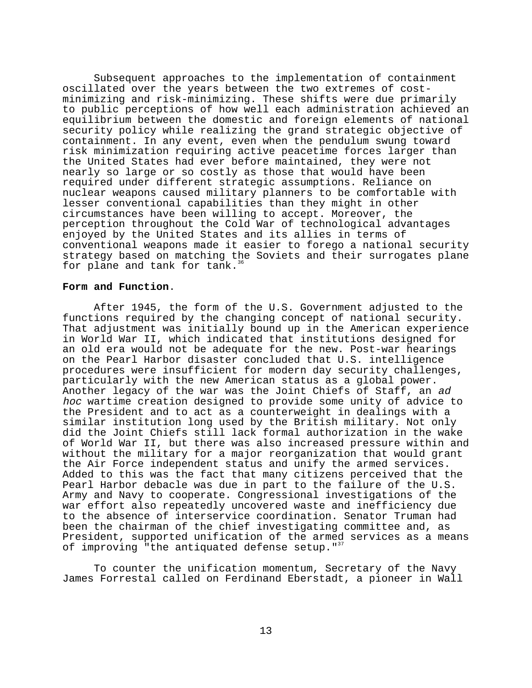Subsequent approaches to the implementation of containment oscillated over the years between the two extremes of costminimizing and risk-minimizing. These shifts were due primarily to public perceptions of how well each administration achieved an equilibrium between the domestic and foreign elements of national security policy while realizing the grand strategic objective of containment. In any event, even when the pendulum swung toward risk minimization requiring active peacetime forces larger than the United States had ever before maintained, they were not nearly so large or so costly as those that would have been required under different strategic assumptions. Reliance on nuclear weapons caused military planners to be comfortable with lesser conventional capabilities than they might in other circumstances have been willing to accept. Moreover, the perception throughout the Cold War of technological advantages enjoyed by the United States and its allies in terms of conventional weapons made it easier to forego a national security strategy based on matching the Soviets and their surrogates plane for plane and tank for tank.<sup>3</sup>

# **Form and Function**.

After 1945, the form of the U.S. Government adjusted to the functions required by the changing concept of national security. That adjustment was initially bound up in the American experience in World War II, which indicated that institutions designed for an old era would not be adequate for the new. Post-war hearings on the Pearl Harbor disaster concluded that U.S. intelligence procedures were insufficient for modern day security challenges, particularly with the new American status as a global power. Another legacy of the war was the Joint Chiefs of Staff, an ad hoc wartime creation designed to provide some unity of advice to the President and to act as a counterweight in dealings with a similar institution long used by the British military. Not only did the Joint Chiefs still lack formal authorization in the wake of World War II, but there was also increased pressure within and without the military for a major reorganization that would grant the Air Force independent status and unify the armed services. Added to this was the fact that many citizens perceived that the Pearl Harbor debacle was due in part to the failure of the U.S. Army and Navy to cooperate. Congressional investigations of the war effort also repeatedly uncovered waste and inefficiency due to the absence of interservice coordination. Senator Truman had been the chairman of the chief investigating committee and, as President, supported unification of the armed services as a means of improving "the antiquated defense setup." $3$ 

To counter the unification momentum, Secretary of the Navy James Forrestal called on Ferdinand Eberstadt, a pioneer in Wall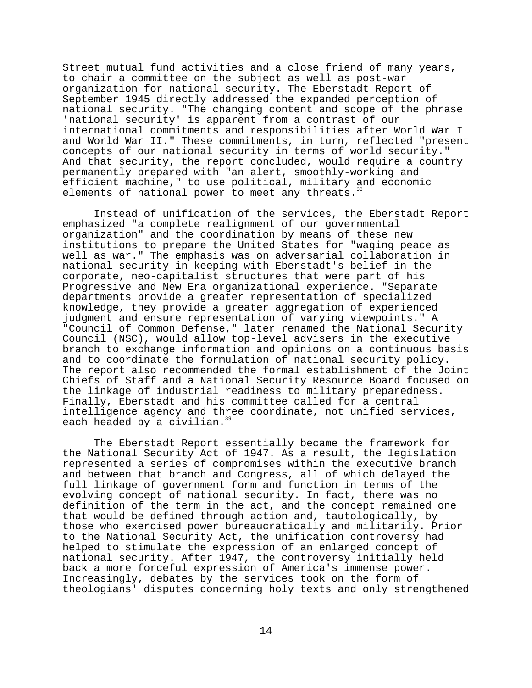Street mutual fund activities and a close friend of many years, to chair a committee on the subject as well as post-war organization for national security. The Eberstadt Report of September 1945 directly addressed the expanded perception of national security. "The changing content and scope of the phrase 'national security' is apparent from a contrast of our international commitments and responsibilities after World War I and World War II." These commitments, in turn, reflected "present concepts of our national security in terms of world security." And that security, the report concluded, would require a country permanently prepared with "an alert, smoothly-working and efficient machine," to use political, military and economic elements of national power to meet any threats.

Instead of unification of the services, the Eberstadt Report emphasized "a complete realignment of our governmental organization" and the coordination by means of these new institutions to prepare the United States for "waging peace as well as war." The emphasis was on adversarial collaboration in national security in keeping with Eberstadt's belief in the corporate, neo-capitalist structures that were part of his Progressive and New Era organizational experience. "Separate departments provide a greater representation of specialized knowledge, they provide a greater aggregation of experienced judgment and ensure representation of varying viewpoints." A "Council of Common Defense," later renamed the National Security Council (NSC), would allow top-level advisers in the executive branch to exchange information and opinions on a continuous basis and to coordinate the formulation of national security policy. The report also recommended the formal establishment of the Joint Chiefs of Staff and a National Security Resource Board focused on the linkage of industrial readiness to military preparedness. Finally, Eberstadt and his committee called for a central intelligence agency and three coordinate, not unified services, each headed by a civilian.<sup>39</sup>

The Eberstadt Report essentially became the framework for the National Security Act of 1947. As a result, the legislation represented a series of compromises within the executive branch and between that branch and Congress, all of which delayed the full linkage of government form and function in terms of the evolving concept of national security. In fact, there was no definition of the term in the act, and the concept remained one that would be defined through action and, tautologically, by those who exercised power bureaucratically and militarily. Prior to the National Security Act, the unification controversy had helped to stimulate the expression of an enlarged concept of national security. After 1947, the controversy initially held back a more forceful expression of America's immense power. Increasingly, debates by the services took on the form of theologians' disputes concerning holy texts and only strengthened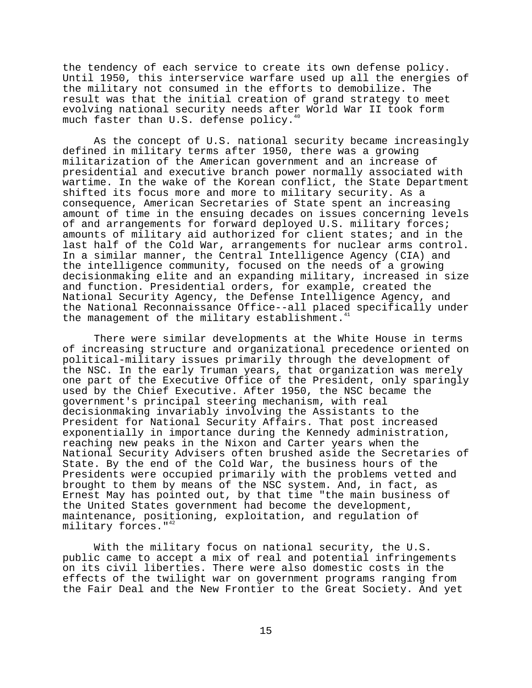the tendency of each service to create its own defense policy. Until 1950, this interservice warfare used up all the energies of the military not consumed in the efforts to demobilize. The result was that the initial creation of grand strategy to meet evolving national security needs after World War II took form much faster than U.S. defense policy.<sup>40</sup>

As the concept of U.S. national security became increasingly defined in military terms after 1950, there was a growing militarization of the American government and an increase of presidential and executive branch power normally associated with wartime. In the wake of the Korean conflict, the State Department shifted its focus more and more to military security. As a consequence, American Secretaries of State spent an increasing amount of time in the ensuing decades on issues concerning levels of and arrangements for forward deployed U.S. military forces; amounts of military aid authorized for client states; and in the last half of the Cold War, arrangements for nuclear arms control. In a similar manner, the Central Intelligence Agency (CIA) and the intelligence community, focused on the needs of a growing decisionmaking elite and an expanding military, increased in size and function. Presidential orders, for example, created the National Security Agency, the Defense Intelligence Agency, and the National Reconnaissance Office--all placed specifically under the management of the military establishment.<sup>4</sup>

There were similar developments at the White House in terms of increasing structure and organizational precedence oriented on political-military issues primarily through the development of the NSC. In the early Truman years, that organization was merely one part of the Executive Office of the President, only sparingly used by the Chief Executive. After 1950, the NSC became the government's principal steering mechanism, with real decisionmaking invariably involving the Assistants to the President for National Security Affairs. That post increased exponentially in importance during the Kennedy administration, reaching new peaks in the Nixon and Carter years when the National Security Advisers often brushed aside the Secretaries of State. By the end of the Cold War, the business hours of the Presidents were occupied primarily with the problems vetted and brought to them by means of the NSC system. And, in fact, as Ernest May has pointed out, by that time "the main business of the United States government had become the development, maintenance, positioning, exploitation, and regulation of military forces."<sup>42</sup>

With the military focus on national security, the U.S. public came to accept a mix of real and potential infringements on its civil liberties. There were also domestic costs in the effects of the twilight war on government programs ranging from the Fair Deal and the New Frontier to the Great Society. And yet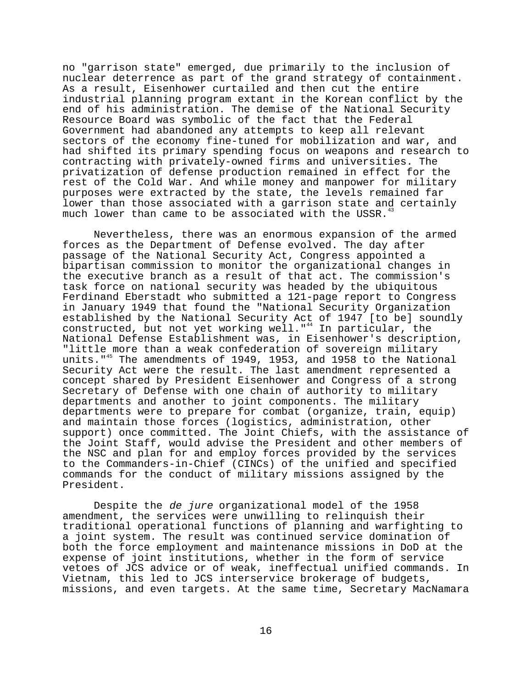no "garrison state" emerged, due primarily to the inclusion of nuclear deterrence as part of the grand strategy of containment. As a result, Eisenhower curtailed and then cut the entire industrial planning program extant in the Korean conflict by the end of his administration. The demise of the National Security Resource Board was symbolic of the fact that the Federal Government had abandoned any attempts to keep all relevant sectors of the economy fine-tuned for mobilization and war, and had shifted its primary spending focus on weapons and research to contracting with privately-owned firms and universities. The privatization of defense production remained in effect for the rest of the Cold War. And while money and manpower for military purposes were extracted by the state, the levels remained far lower than those associated with a garrison state and certainly much lower than came to be associated with the USSR.<sup>4</sup>

Nevertheless, there was an enormous expansion of the armed forces as the Department of Defense evolved. The day after passage of the National Security Act, Congress appointed a bipartisan commission to monitor the organizational changes in the executive branch as a result of that act. The commission's task force on national security was headed by the ubiquitous Ferdinand Eberstadt who submitted a 121-page report to Congress in January 1949 that found the "National Security Organization established by the National Security Act of 1947 [to be] soundly constructed, but not yet working well."<sup>44</sup> In particular, the National Defense Establishment was, in Eisenhower's description, "little more than a weak confederation of sovereign military units."45 The amendments of 1949, 1953, and 1958 to the National Security Act were the result. The last amendment represented a concept shared by President Eisenhower and Congress of a strong Secretary of Defense with one chain of authority to military departments and another to joint components. The military departments were to prepare for combat (organize, train, equip) and maintain those forces (logistics, administration, other support) once committed. The Joint Chiefs, with the assistance of the Joint Staff, would advise the President and other members of the NSC and plan for and employ forces provided by the services to the Commanders-in-Chief (CINCs) of the unified and specified commands for the conduct of military missions assigned by the President.

Despite the de jure organizational model of the 1958 amendment, the services were unwilling to relinquish their traditional operational functions of planning and warfighting to a joint system. The result was continued service domination of both the force employment and maintenance missions in DoD at the expense of joint institutions, whether in the form of service vetoes of JCS advice or of weak, ineffectual unified commands. In Vietnam, this led to JCS interservice brokerage of budgets, missions, and even targets. At the same time, Secretary MacNamara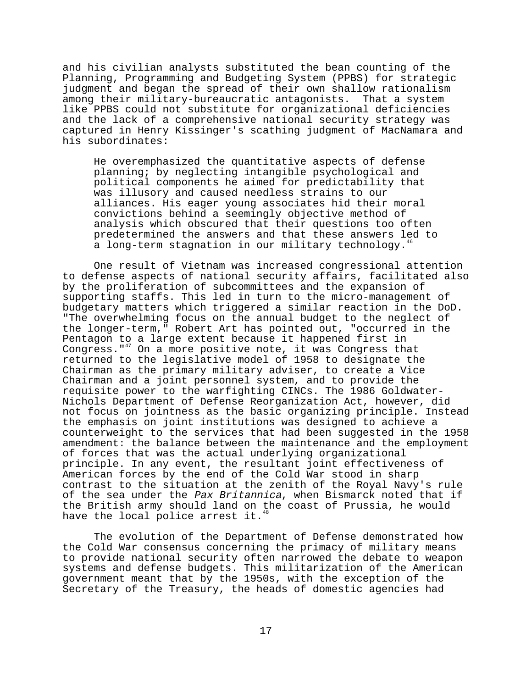and his civilian analysts substituted the bean counting of the Planning, Programming and Budgeting System (PPBS) for strategic judgment and began the spread of their own shallow rationalism among their military-bureaucratic antagonists. That a system like PPBS could not substitute for organizational deficiencies and the lack of a comprehensive national security strategy was captured in Henry Kissinger's scathing judgment of MacNamara and his subordinates:

He overemphasized the quantitative aspects of defense planning; by neglecting intangible psychological and political components he aimed for predictability that was illusory and caused needless strains to our alliances. His eager young associates hid their moral convictions behind a seemingly objective method of analysis which obscured that their questions too often predetermined the answers and that these answers led to a long-term stagnation in our military technology.<sup>46</sup>

One result of Vietnam was increased congressional attention to defense aspects of national security affairs, facilitated also by the proliferation of subcommittees and the expansion of supporting staffs. This led in turn to the micro-management of budgetary matters which triggered a similar reaction in the DoD. "The overwhelming focus on the annual budget to the neglect of the longer-term," Robert Art has pointed out, "occurred in the Pentagon to a large extent because it happened first in Congress."47 On a more positive note, it was Congress that returned to the legislative model of 1958 to designate the Chairman as the primary military adviser, to create a Vice Chairman and a joint personnel system, and to provide the requisite power to the warfighting CINCs. The 1986 Goldwater-Nichols Department of Defense Reorganization Act, however, did not focus on jointness as the basic organizing principle. Instead the emphasis on joint institutions was designed to achieve a counterweight to the services that had been suggested in the 1958 amendment: the balance between the maintenance and the employment of forces that was the actual underlying organizational principle. In any event, the resultant joint effectiveness of American forces by the end of the Cold War stood in sharp contrast to the situation at the zenith of the Royal Navy's rule of the sea under the Pax Britannica, when Bismarck noted that if the British army should land on the coast of Prussia, he would have the local police arrest it.<sup>4</sup>

The evolution of the Department of Defense demonstrated how the Cold War consensus concerning the primacy of military means to provide national security often narrowed the debate to weapon systems and defense budgets. This militarization of the American government meant that by the 1950s, with the exception of the Secretary of the Treasury, the heads of domestic agencies had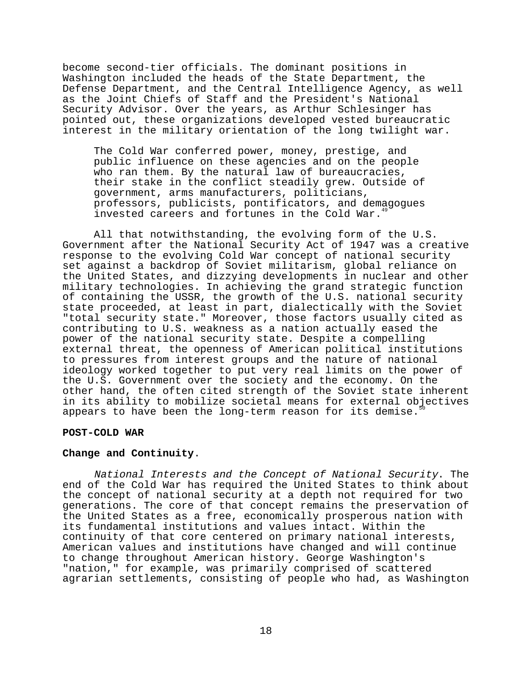become second-tier officials. The dominant positions in Washington included the heads of the State Department, the Defense Department, and the Central Intelligence Agency, as well as the Joint Chiefs of Staff and the President's National Security Advisor. Over the years, as Arthur Schlesinger has pointed out, these organizations developed vested bureaucratic interest in the military orientation of the long twilight war.

The Cold War conferred power, money, prestige, and public influence on these agencies and on the people who ran them. By the natural law of bureaucracies, their stake in the conflict steadily grew. Outside of government, arms manufacturers, politicians, professors, publicists, pontificators, and demagogues invested careers and fortunes in the Cold War.<sup>4</sup>

All that notwithstanding, the evolving form of the U.S. Government after the National Security Act of 1947 was a creative response to the evolving Cold War concept of national security set against a backdrop of Soviet militarism, global reliance on the United States, and dizzying developments in nuclear and other military technologies. In achieving the grand strategic function of containing the USSR, the growth of the U.S. national security state proceeded, at least in part, dialectically with the Soviet "total security state." Moreover, those factors usually cited as contributing to U.S. weakness as a nation actually eased the power of the national security state. Despite a compelling external threat, the openness of American political institutions to pressures from interest groups and the nature of national ideology worked together to put very real limits on the power of the U.S. Government over the society and the economy. On the other hand, the often cited strength of the Soviet state inherent in its ability to mobilize societal means for external objectives appears to have been the long-term reason for its demise.

### **POST-COLD WAR**

# **Change and Continuity**.

National Interests and the Concept of National Security. The end of the Cold War has required the United States to think about the concept of national security at a depth not required for two generations. The core of that concept remains the preservation of the United States as a free, economically prosperous nation with its fundamental institutions and values intact. Within the continuity of that core centered on primary national interests, American values and institutions have changed and will continue to change throughout American history. George Washington's "nation," for example, was primarily comprised of scattered agrarian settlements, consisting of people who had, as Washington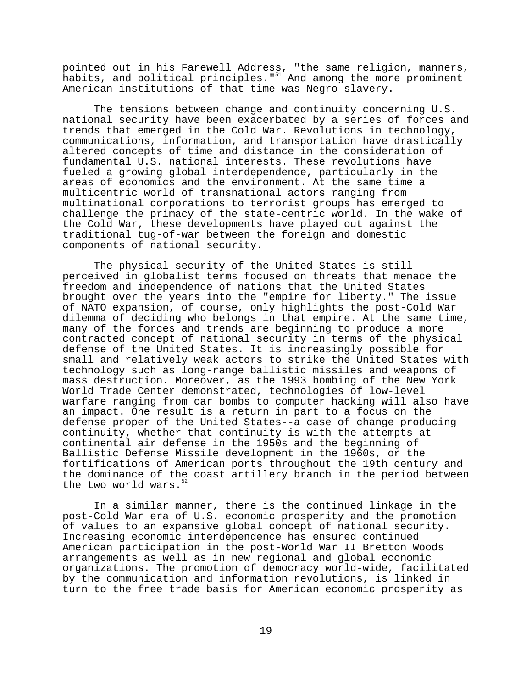pointed out in his Farewell Address, "the same religion, manners, habits, and political principles."<sup>51</sup> And among the more prominent American institutions of that time was Negro slavery.

The tensions between change and continuity concerning U.S. national security have been exacerbated by a series of forces and trends that emerged in the Cold War. Revolutions in technology, communications, information, and transportation have drastically altered concepts of time and distance in the consideration of fundamental U.S. national interests. These revolutions have fueled a growing global interdependence, particularly in the areas of economics and the environment. At the same time a multicentric world of transnational actors ranging from multinational corporations to terrorist groups has emerged to challenge the primacy of the state-centric world. In the wake of the Cold War, these developments have played out against the traditional tug-of-war between the foreign and domestic components of national security.

The physical security of the United States is still perceived in globalist terms focused on threats that menace the freedom and independence of nations that the United States brought over the years into the "empire for liberty." The issue of NATO expansion, of course, only highlights the post-Cold War dilemma of deciding who belongs in that empire. At the same time, many of the forces and trends are beginning to produce a more contracted concept of national security in terms of the physical defense of the United States. It is increasingly possible for small and relatively weak actors to strike the United States with technology such as long-range ballistic missiles and weapons of mass destruction. Moreover, as the 1993 bombing of the New York World Trade Center demonstrated, technologies of low-level warfare ranging from car bombs to computer hacking will also have an impact. One result is a return in part to a focus on the defense proper of the United States--a case of change producing continuity, whether that continuity is with the attempts at continental air defense in the 1950s and the beginning of Ballistic Defense Missile development in the 1960s, or the fortifications of American ports throughout the 19th century and the dominance of the coast artillery branch in the period between the two world wars.<sup>5</sup>

In a similar manner, there is the continued linkage in the post-Cold War era of U.S. economic prosperity and the promotion of values to an expansive global concept of national security. Increasing economic interdependence has ensured continued American participation in the post-World War II Bretton Woods arrangements as well as in new regional and global economic organizations. The promotion of democracy world-wide, facilitated by the communication and information revolutions, is linked in turn to the free trade basis for American economic prosperity as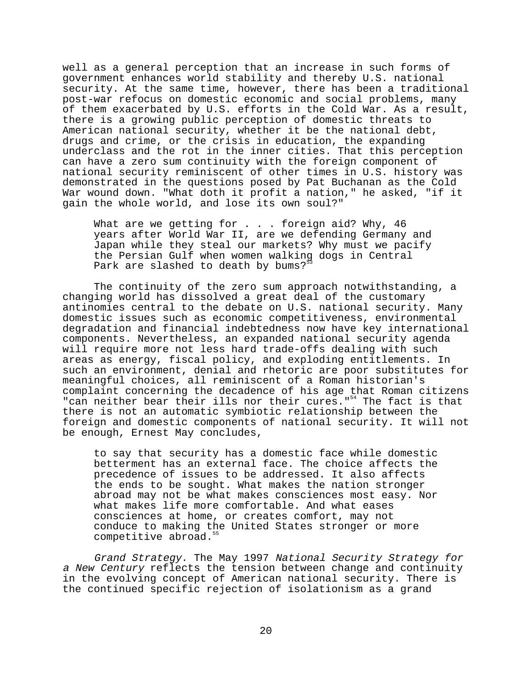well as a general perception that an increase in such forms of government enhances world stability and thereby U.S. national security. At the same time, however, there has been a traditional post-war refocus on domestic economic and social problems, many of them exacerbated by U.S. efforts in the Cold War. As a result, there is a growing public perception of domestic threats to American national security, whether it be the national debt, drugs and crime, or the crisis in education, the expanding underclass and the rot in the inner cities. That this perception can have a zero sum continuity with the foreign component of national security reminiscent of other times in U.S. history was demonstrated in the questions posed by Pat Buchanan as the Cold War wound down. "What doth it profit a nation," he asked, "if it gain the whole world, and lose its own soul?"

What are we getting for . . . foreign aid? Why, 46 years after World War II, are we defending Germany and Japan while they steal our markets? Why must we pacify the Persian Gulf when women walking dogs in Central Park are slashed to death by bums?<sup>5</sup>

The continuity of the zero sum approach notwithstanding, a changing world has dissolved a great deal of the customary antinomies central to the debate on U.S. national security. Many domestic issues such as economic competitiveness, environmental degradation and financial indebtedness now have key international components. Nevertheless, an expanded national security agenda will require more not less hard trade-offs dealing with such areas as energy, fiscal policy, and exploding entitlements. In such an environment, denial and rhetoric are poor substitutes for meaningful choices, all reminiscent of a Roman historian's complaint concerning the decadence of his age that Roman citizens "can neither bear their ills nor their cures."<sup>54</sup> The fact is that there is not an automatic symbiotic relationship between the foreign and domestic components of national security. It will not be enough, Ernest May concludes,

to say that security has a domestic face while domestic betterment has an external face. The choice affects the precedence of issues to be addressed. It also affects the ends to be sought. What makes the nation stronger abroad may not be what makes consciences most easy. Nor what makes life more comfortable. And what eases consciences at home, or creates comfort, may not conduce to making the United States stronger or more competitive abroad.<sup>5</sup>

Grand Strategy. The May 1997 National Security Strategy for a New Century reflects the tension between change and continuity in the evolving concept of American national security. There is the continued specific rejection of isolationism as a grand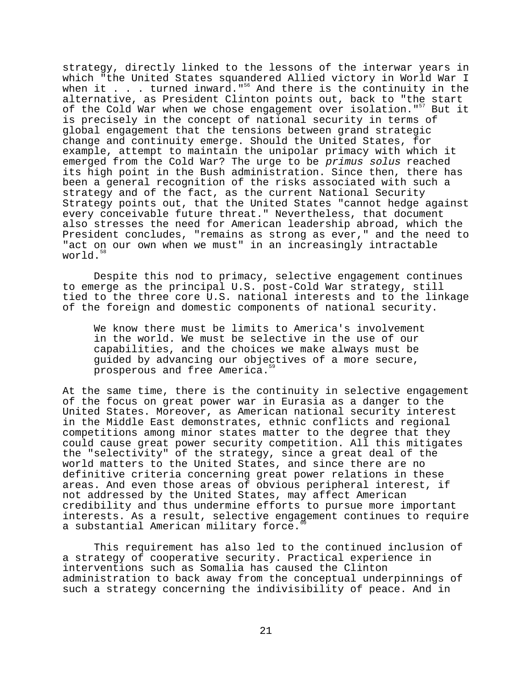strategy, directly linked to the lessons of the interwar years in which "the United States squandered Allied victory in World War I when it  $\ldots$  . turned inward."<sup>56</sup> And there is the continuity in the alternative, as President Clinton points out, back to "the start of the Cold War when we chose engagement over isolation."<sup>57</sup> But it is precisely in the concept of national security in terms of global engagement that the tensions between grand strategic change and continuity emerge. Should the United States, for example, attempt to maintain the unipolar primacy with which it emerged from the Cold War? The urge to be primus solus reached its high point in the Bush administration. Since then, there has been a general recognition of the risks associated with such a strategy and of the fact, as the current National Security Strategy points out, that the United States "cannot hedge against every conceivable future threat." Nevertheless, that document also stresses the need for American leadership abroad, which the President concludes, "remains as strong as ever," and the need to "act on our own when we must" in an increasingly intractable world.<sup>58</sup>

Despite this nod to primacy, selective engagement continues to emerge as the principal U.S. post-Cold War strategy, still tied to the three core U.S. national interests and to the linkage of the foreign and domestic components of national security.

We know there must be limits to America's involvement in the world. We must be selective in the use of our capabilities, and the choices we make always must be guided by advancing our objectives of a more secure, prosperous and free America.<sup>5</sup>

At the same time, there is the continuity in selective engagement of the focus on great power war in Eurasia as a danger to the United States. Moreover, as American national security interest in the Middle East demonstrates, ethnic conflicts and regional competitions among minor states matter to the degree that they could cause great power security competition. All this mitigates the "selectivity" of the strategy, since a great deal of the world matters to the United States, and since there are no definitive criteria concerning great power relations in these areas. And even those areas of obvious peripheral interest, if not addressed by the United States, may affect American credibility and thus undermine efforts to pursue more important interests. As a result, selective engagement continues to require a substantial American military force.

This requirement has also led to the continued inclusion of a strategy of cooperative security. Practical experience in interventions such as Somalia has caused the Clinton administration to back away from the conceptual underpinnings of such a strategy concerning the indivisibility of peace. And in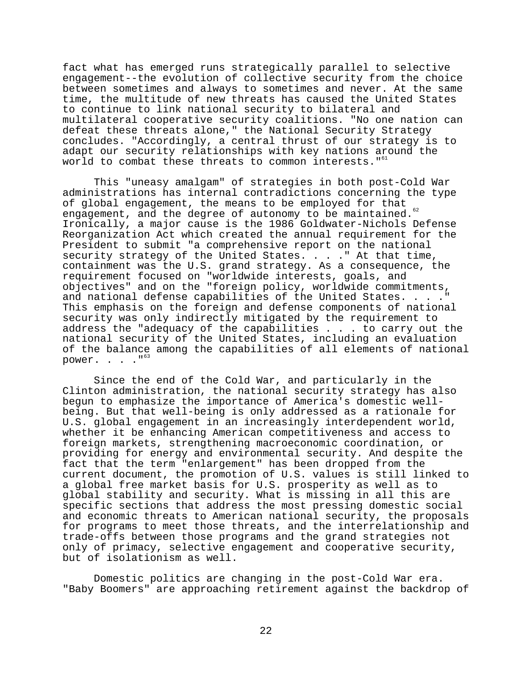fact what has emerged runs strategically parallel to selective engagement--the evolution of collective security from the choice between sometimes and always to sometimes and never. At the same time, the multitude of new threats has caused the United States to continue to link national security to bilateral and multilateral cooperative security coalitions. "No one nation can defeat these threats alone," the National Security Strategy concludes. "Accordingly, a central thrust of our strategy is to adapt our security relationships with key nations around the world to combat these threats to common interests."<sup>61</sup>

This "uneasy amalgam" of strategies in both post-Cold War administrations has internal contradictions concerning the type of global engagement, the means to be employed for that engagement, and the degree of autonomy to be maintained.<sup>62</sup> Ironically, a major cause is the 1986 Goldwater-Nichols Defense Reorganization Act which created the annual requirement for the President to submit "a comprehensive report on the national security strategy of the United States. . . . " At that time, containment was the U.S. grand strategy. As a consequence, the requirement focused on "worldwide interests, goals, and objectives" and on the "foreign policy, worldwide commitments, and national defense capabilities of the United States. . . . " This emphasis on the foreign and defense components of national security was only indirectly mitigated by the requirement to address the "adequacy of the capabilities . . . to carry out the national security of the United States, including an evaluation of the balance among the capabilities of all elements of national power.  $\cdot \cdot \cdot$  . "<sup>63</sup>

Since the end of the Cold War, and particularly in the Clinton administration, the national security strategy has also begun to emphasize the importance of America's domestic wellbeing. But that well-being is only addressed as a rationale for U.S. global engagement in an increasingly interdependent world, whether it be enhancing American competitiveness and access to foreign markets, strengthening macroeconomic coordination, or providing for energy and environmental security. And despite the fact that the term "enlargement" has been dropped from the current document, the promotion of U.S. values is still linked to a global free market basis for U.S. prosperity as well as to global stability and security. What is missing in all this are specific sections that address the most pressing domestic social and economic threats to American national security, the proposals for programs to meet those threats, and the interrelationship and trade-offs between those programs and the grand strategies not only of primacy, selective engagement and cooperative security, but of isolationism as well.

Domestic politics are changing in the post-Cold War era. "Baby Boomers" are approaching retirement against the backdrop of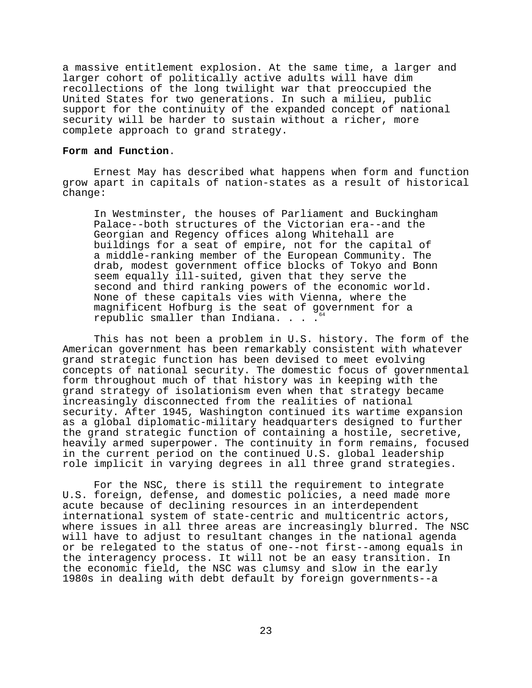a massive entitlement explosion. At the same time, a larger and larger cohort of politically active adults will have dim recollections of the long twilight war that preoccupied the United States for two generations. In such a milieu, public support for the continuity of the expanded concept of national security will be harder to sustain without a richer, more complete approach to grand strategy.

#### **Form and Function**.

Ernest May has described what happens when form and function grow apart in capitals of nation-states as a result of historical change:

In Westminster, the houses of Parliament and Buckingham Palace--both structures of the Victorian era--and the Georgian and Regency offices along Whitehall are buildings for a seat of empire, not for the capital of a middle-ranking member of the European Community. The drab, modest government office blocks of Tokyo and Bonn seem equally ill-suited, given that they serve the second and third ranking powers of the economic world. None of these capitals vies with Vienna, where the magnificent Hofburg is the seat of government for a republic smaller than Indiana. . . .  $\dot{\ }$ 

This has not been a problem in U.S. history. The form of the American government has been remarkably consistent with whatever grand strategic function has been devised to meet evolving concepts of national security. The domestic focus of governmental form throughout much of that history was in keeping with the grand strategy of isolationism even when that strategy became increasingly disconnected from the realities of national security. After 1945, Washington continued its wartime expansion as a global diplomatic-military headquarters designed to further the grand strategic function of containing a hostile, secretive, heavily armed superpower. The continuity in form remains, focused in the current period on the continued U.S. global leadership role implicit in varying degrees in all three grand strategies.

For the NSC, there is still the requirement to integrate U.S. foreign, defense, and domestic policies, a need made more acute because of declining resources in an interdependent international system of state-centric and multicentric actors, where issues in all three areas are increasingly blurred. The NSC will have to adjust to resultant changes in the national agenda or be relegated to the status of one--not first--among equals in the interagency process. It will not be an easy transition. In the economic field, the NSC was clumsy and slow in the early 1980s in dealing with debt default by foreign governments--a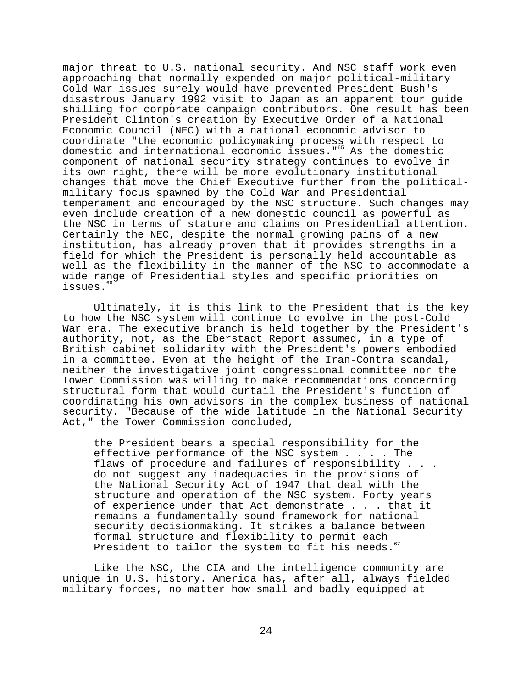major threat to U.S. national security. And NSC staff work even approaching that normally expended on major political-military Cold War issues surely would have prevented President Bush's disastrous January 1992 visit to Japan as an apparent tour guide shilling for corporate campaign contributors. One result has been President Clinton's creation by Executive Order of a National Economic Council (NEC) with a national economic advisor to coordinate "the economic policymaking process with respect to domestic and international economic issues."65 As the domestic component of national security strategy continues to evolve in its own right, there will be more evolutionary institutional changes that move the Chief Executive further from the politicalmilitary focus spawned by the Cold War and Presidential temperament and encouraged by the NSC structure. Such changes may even include creation of a new domestic council as powerful as the NSC in terms of stature and claims on Presidential attention. Certainly the NEC, despite the normal growing pains of a new institution, has already proven that it provides strengths in a field for which the President is personally held accountable as well as the flexibility in the manner of the NSC to accommodate a wide range of Presidential styles and specific priorities on issues.<sup>6</sup>

Ultimately, it is this link to the President that is the key to how the NSC system will continue to evolve in the post-Cold War era. The executive branch is held together by the President's authority, not, as the Eberstadt Report assumed, in a type of British cabinet solidarity with the President's powers embodied in a committee. Even at the height of the Iran-Contra scandal, neither the investigative joint congressional committee nor the Tower Commission was willing to make recommendations concerning structural form that would curtail the President's function of coordinating his own advisors in the complex business of national security. "Because of the wide latitude in the National Security Act," the Tower Commission concluded,

the President bears a special responsibility for the effective performance of the NSC system . . . . The flaws of procedure and failures of responsibility . . . do not suggest any inadequacies in the provisions of the National Security Act of 1947 that deal with the structure and operation of the NSC system. Forty years of experience under that Act demonstrate . . . that it remains a fundamentally sound framework for national security decisionmaking. It strikes a balance between formal structure and flexibility to permit each President to tailor the system to fit his needs.

Like the NSC, the CIA and the intelligence community are unique in U.S. history. America has, after all, always fielded military forces, no matter how small and badly equipped at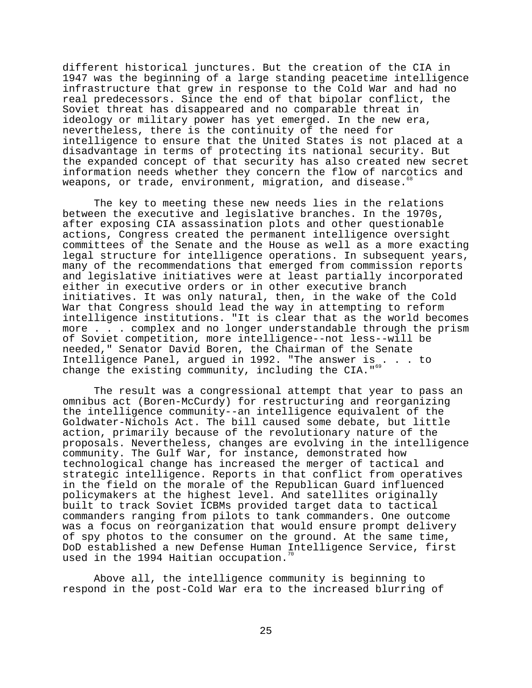different historical junctures. But the creation of the CIA in 1947 was the beginning of a large standing peacetime intelligence infrastructure that grew in response to the Cold War and had no real predecessors. Since the end of that bipolar conflict, the Soviet threat has disappeared and no comparable threat in ideology or military power has yet emerged. In the new era, nevertheless, there is the continuity of the need for intelligence to ensure that the United States is not placed at a disadvantage in terms of protecting its national security. But the expanded concept of that security has also created new secret information needs whether they concern the flow of narcotics and weapons, or trade, environment, migration, and disease.

The key to meeting these new needs lies in the relations between the executive and legislative branches. In the 1970s, after exposing CIA assassination plots and other questionable actions, Congress created the permanent intelligence oversight committees of the Senate and the House as well as a more exacting legal structure for intelligence operations. In subsequent years, many of the recommendations that emerged from commission reports and legislative initiatives were at least partially incorporated either in executive orders or in other executive branch initiatives. It was only natural, then, in the wake of the Cold War that Congress should lead the way in attempting to reform intelligence institutions. "It is clear that as the world becomes more . . . complex and no longer understandable through the prism of Soviet competition, more intelligence--not less--will be needed," Senator David Boren, the Chairman of the Senate Intelligence Panel, argued in 1992. "The answer is . . . to change the existing community, including the CIA.  $15\%$ 

The result was a congressional attempt that year to pass an omnibus act (Boren-McCurdy) for restructuring and reorganizing the intelligence community--an intelligence equivalent of the Goldwater-Nichols Act. The bill caused some debate, but little action, primarily because of the revolutionary nature of the proposals. Nevertheless, changes are evolving in the intelligence community. The Gulf War, for instance, demonstrated how technological change has increased the merger of tactical and strategic intelligence. Reports in that conflict from operatives in the field on the morale of the Republican Guard influenced policymakers at the highest level. And satellites originally built to track Soviet ICBMs provided target data to tactical commanders ranging from pilots to tank commanders. One outcome was a focus on reorganization that would ensure prompt delivery of spy photos to the consumer on the ground. At the same time, DoD established a new Defense Human Intelligence Service, first used in the 1994 Haitian occupation.

Above all, the intelligence community is beginning to respond in the post-Cold War era to the increased blurring of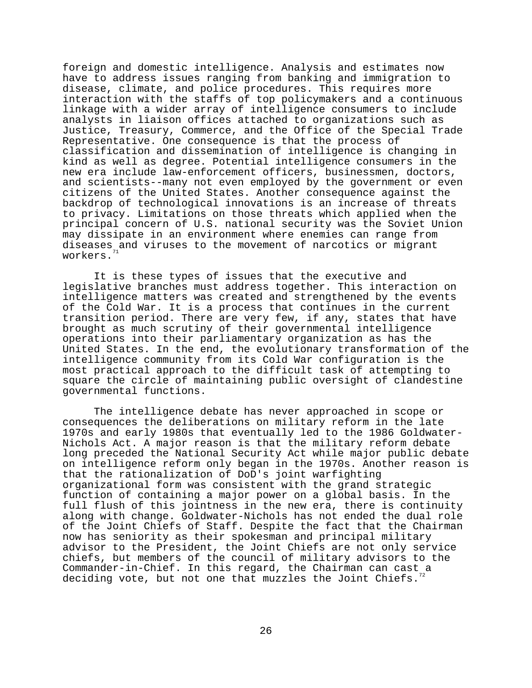foreign and domestic intelligence. Analysis and estimates now have to address issues ranging from banking and immigration to disease, climate, and police procedures. This requires more interaction with the staffs of top policymakers and a continuous linkage with a wider array of intelligence consumers to include analysts in liaison offices attached to organizations such as Justice, Treasury, Commerce, and the Office of the Special Trade Representative. One consequence is that the process of classification and dissemination of intelligence is changing in kind as well as degree. Potential intelligence consumers in the new era include law-enforcement officers, businessmen, doctors, and scientists--many not even employed by the government or even citizens of the United States. Another consequence against the backdrop of technological innovations is an increase of threats to privacy. Limitations on those threats which applied when the principal concern of U.S. national security was the Soviet Union may dissipate in an environment where enemies can range from diseases and viruses to the movement of narcotics or migrant workers.

It is these types of issues that the executive and legislative branches must address together. This interaction on intelligence matters was created and strengthened by the events of the Cold War. It is a process that continues in the current transition period. There are very few, if any, states that have brought as much scrutiny of their governmental intelligence operations into their parliamentary organization as has the United States. In the end, the evolutionary transformation of the intelligence community from its Cold War configuration is the most practical approach to the difficult task of attempting to square the circle of maintaining public oversight of clandestine governmental functions.

The intelligence debate has never approached in scope or consequences the deliberations on military reform in the late 1970s and early 1980s that eventually led to the 1986 Goldwater-Nichols Act. A major reason is that the military reform debate long preceded the National Security Act while major public debate on intelligence reform only began in the 1970s. Another reason is that the rationalization of DoD's joint warfighting organizational form was consistent with the grand strategic function of containing a major power on a global basis. In the full flush of this jointness in the new era, there is continuity along with change. Goldwater-Nichols has not ended the dual role of the Joint Chiefs of Staff. Despite the fact that the Chairman now has seniority as their spokesman and principal military advisor to the President, the Joint Chiefs are not only service chiefs, but members of the council of military advisors to the Commander-in-Chief. In this regard, the Chairman can cast a deciding vote, but not one that muzzles the Joint Chiefs.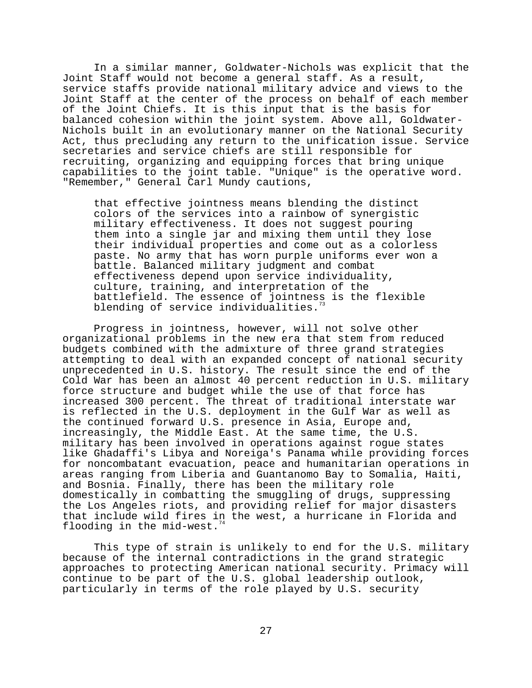In a similar manner, Goldwater-Nichols was explicit that the Joint Staff would not become a general staff. As a result, service staffs provide national military advice and views to the Joint Staff at the center of the process on behalf of each member of the Joint Chiefs. It is this input that is the basis for balanced cohesion within the joint system. Above all, Goldwater-Nichols built in an evolutionary manner on the National Security Act, thus precluding any return to the unification issue. Service secretaries and service chiefs are still responsible for recruiting, organizing and equipping forces that bring unique capabilities to the joint table. "Unique" is the operative word. "Remember," General Carl Mundy cautions,

that effective jointness means blending the distinct colors of the services into a rainbow of synergistic military effectiveness. It does not suggest pouring them into a single jar and mixing them until they lose their individual properties and come out as a colorless paste. No army that has worn purple uniforms ever won a battle. Balanced military judgment and combat effectiveness depend upon service individuality, culture, training, and interpretation of the battlefield. The essence of jointness is the flexible blending of service individualities.

Progress in jointness, however, will not solve other organizational problems in the new era that stem from reduced budgets combined with the admixture of three grand strategies attempting to deal with an expanded concept of national security unprecedented in U.S. history. The result since the end of the Cold War has been an almost 40 percent reduction in U.S. military force structure and budget while the use of that force has increased 300 percent. The threat of traditional interstate war is reflected in the U.S. deployment in the Gulf War as well as the continued forward U.S. presence in Asia, Europe and, increasingly, the Middle East. At the same time, the U.S. military has been involved in operations against rogue states like Ghadaffi's Libya and Noreiga's Panama while providing forces for noncombatant evacuation, peace and humanitarian operations in areas ranging from Liberia and Guantanomo Bay to Somalia, Haiti, and Bosnia. Finally, there has been the military role domestically in combatting the smuggling of drugs, suppressing the Los Angeles riots, and providing relief for major disasters that include wild fires in the west, a hurricane in Florida and flooding in the mid-west.

This type of strain is unlikely to end for the U.S. military because of the internal contradictions in the grand strategic approaches to protecting American national security. Primacy will continue to be part of the U.S. global leadership outlook, particularly in terms of the role played by U.S. security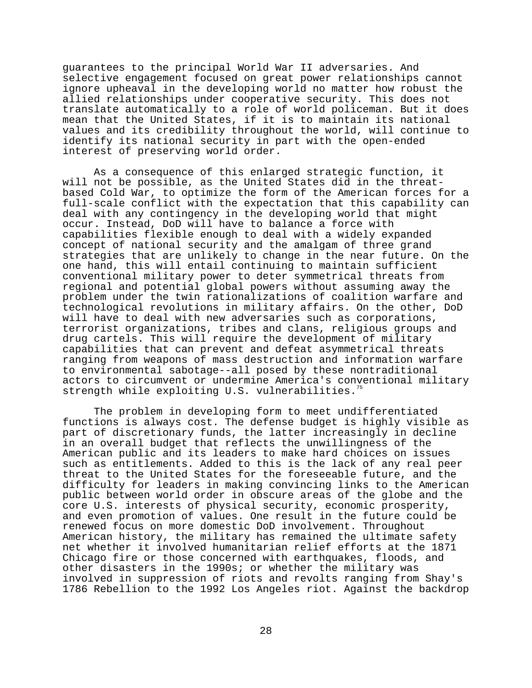guarantees to the principal World War II adversaries. And selective engagement focused on great power relationships cannot ignore upheaval in the developing world no matter how robust the allied relationships under cooperative security. This does not translate automatically to a role of world policeman. But it does mean that the United States, if it is to maintain its national values and its credibility throughout the world, will continue to identify its national security in part with the open-ended interest of preserving world order.

As a consequence of this enlarged strategic function, it will not be possible, as the United States did in the threatbased Cold War, to optimize the form of the American forces for a full-scale conflict with the expectation that this capability can deal with any contingency in the developing world that might occur. Instead, DoD will have to balance a force with capabilities flexible enough to deal with a widely expanded concept of national security and the amalgam of three grand strategies that are unlikely to change in the near future. On the one hand, this will entail continuing to maintain sufficient conventional military power to deter symmetrical threats from regional and potential global powers without assuming away the problem under the twin rationalizations of coalition warfare and technological revolutions in military affairs. On the other, DoD will have to deal with new adversaries such as corporations, terrorist organizations, tribes and clans, religious groups and drug cartels. This will require the development of military capabilities that can prevent and defeat asymmetrical threats ranging from weapons of mass destruction and information warfare to environmental sabotage--all posed by these nontraditional actors to circumvent or undermine America's conventional military strength while exploiting U.S. vulnerabilities.<sup>7</sup>

The problem in developing form to meet undifferentiated functions is always cost. The defense budget is highly visible as part of discretionary funds, the latter increasingly in decline in an overall budget that reflects the unwillingness of the American public and its leaders to make hard choices on issues such as entitlements. Added to this is the lack of any real peer threat to the United States for the foreseeable future, and the difficulty for leaders in making convincing links to the American public between world order in obscure areas of the globe and the core U.S. interests of physical security, economic prosperity, and even promotion of values. One result in the future could be renewed focus on more domestic DoD involvement. Throughout American history, the military has remained the ultimate safety net whether it involved humanitarian relief efforts at the 1871 Chicago fire or those concerned with earthquakes, floods, and other disasters in the 1990s; or whether the military was involved in suppression of riots and revolts ranging from Shay's 1786 Rebellion to the 1992 Los Angeles riot. Against the backdrop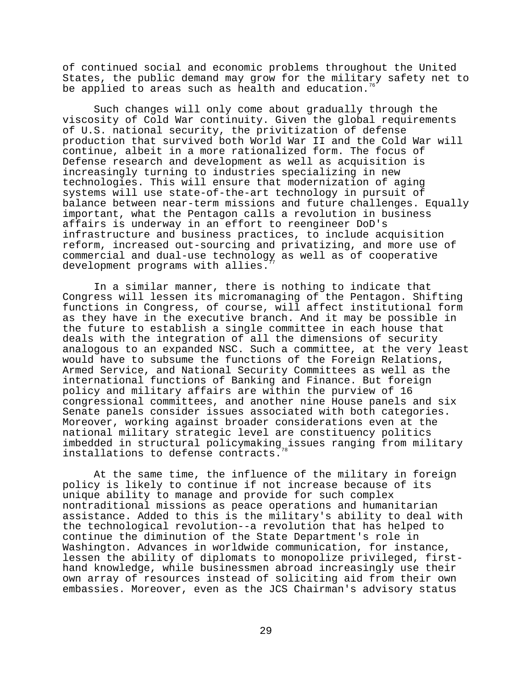of continued social and economic problems throughout the United States, the public demand may grow for the military safety net to be applied to areas such as health and education.

Such changes will only come about gradually through the viscosity of Cold War continuity. Given the global requirements of U.S. national security, the privitization of defense production that survived both World War II and the Cold War will continue, albeit in a more rationalized form. The focus of Defense research and development as well as acquisition is increasingly turning to industries specializing in new technologies. This will ensure that modernization of aging systems will use state-of-the-art technology in pursuit of balance between near-term missions and future challenges. Equally important, what the Pentagon calls a revolution in business affairs is underway in an effort to reengineer DoD's infrastructure and business practices, to include acquisition reform, increased out-sourcing and privatizing, and more use of commercial and dual-use technology as well as of cooperative development programs with allies.

In a similar manner, there is nothing to indicate that Congress will lessen its micromanaging of the Pentagon. Shifting functions in Congress, of course, will affect institutional form as they have in the executive branch. And it may be possible in the future to establish a single committee in each house that deals with the integration of all the dimensions of security analogous to an expanded NSC. Such a committee, at the very least would have to subsume the functions of the Foreign Relations, Armed Service, and National Security Committees as well as the international functions of Banking and Finance. But foreign policy and military affairs are within the purview of 16 congressional committees, and another nine House panels and six Senate panels consider issues associated with both categories. Moreover, working against broader considerations even at the national military strategic level are constituency politics imbedded in structural policymaking issues ranging from military installations to defense contracts.

At the same time, the influence of the military in foreign policy is likely to continue if not increase because of its unique ability to manage and provide for such complex nontraditional missions as peace operations and humanitarian assistance. Added to this is the military's ability to deal with the technological revolution--a revolution that has helped to continue the diminution of the State Department's role in Washington. Advances in worldwide communication, for instance, lessen the ability of diplomats to monopolize privileged, firsthand knowledge, while businessmen abroad increasingly use their own array of resources instead of soliciting aid from their own embassies. Moreover, even as the JCS Chairman's advisory status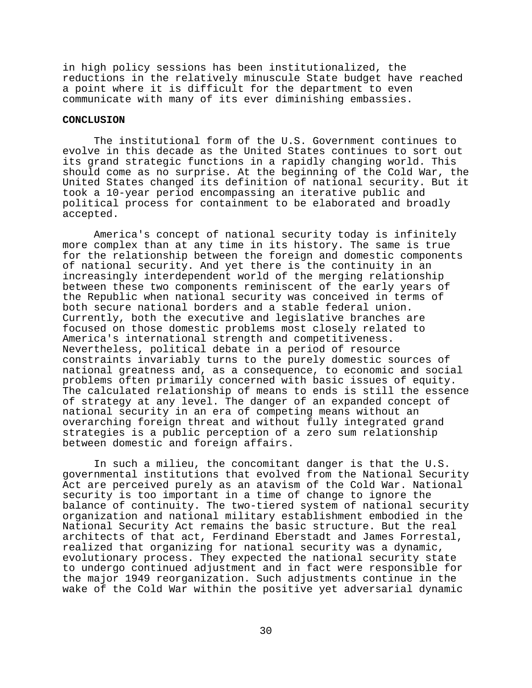in high policy sessions has been institutionalized, the reductions in the relatively minuscule State budget have reached a point where it is difficult for the department to even communicate with many of its ever diminishing embassies.

# **CONCLUSION**

The institutional form of the U.S. Government continues to evolve in this decade as the United States continues to sort out its grand strategic functions in a rapidly changing world. This should come as no surprise. At the beginning of the Cold War, the United States changed its definition of national security. But it took a 10-year period encompassing an iterative public and political process for containment to be elaborated and broadly accepted.

America's concept of national security today is infinitely more complex than at any time in its history. The same is true for the relationship between the foreign and domestic components of national security. And yet there is the continuity in an increasingly interdependent world of the merging relationship between these two components reminiscent of the early years of the Republic when national security was conceived in terms of both secure national borders and a stable federal union. Currently, both the executive and legislative branches are focused on those domestic problems most closely related to America's international strength and competitiveness. Nevertheless, political debate in a period of resource constraints invariably turns to the purely domestic sources of national greatness and, as a consequence, to economic and social problems often primarily concerned with basic issues of equity. The calculated relationship of means to ends is still the essence of strategy at any level. The danger of an expanded concept of national security in an era of competing means without an overarching foreign threat and without fully integrated grand strategies is a public perception of a zero sum relationship between domestic and foreign affairs.

In such a milieu, the concomitant danger is that the U.S. governmental institutions that evolved from the National Security Act are perceived purely as an atavism of the Cold War. National security is too important in a time of change to ignore the balance of continuity. The two-tiered system of national security organization and national military establishment embodied in the National Security Act remains the basic structure. But the real architects of that act, Ferdinand Eberstadt and James Forrestal, realized that organizing for national security was a dynamic, evolutionary process. They expected the national security state to undergo continued adjustment and in fact were responsible for the major 1949 reorganization. Such adjustments continue in the wake of the Cold War within the positive yet adversarial dynamic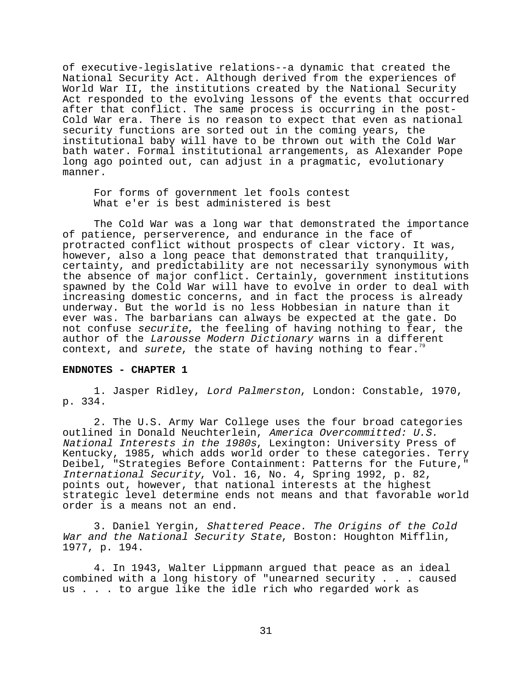of executive-legislative relations--a dynamic that created the National Security Act. Although derived from the experiences of World War II, the institutions created by the National Security Act responded to the evolving lessons of the events that occurred after that conflict. The same process is occurring in the post-Cold War era. There is no reason to expect that even as national security functions are sorted out in the coming years, the institutional baby will have to be thrown out with the Cold War bath water. Formal institutional arrangements, as Alexander Pope long ago pointed out, can adjust in a pragmatic, evolutionary manner.

For forms of government let fools contest What e'er is best administered is best

The Cold War was a long war that demonstrated the importance of patience, perserverence, and endurance in the face of protracted conflict without prospects of clear victory. It was, however, also a long peace that demonstrated that tranquility, certainty, and predictability are not necessarily synonymous with the absence of major conflict. Certainly, government institutions spawned by the Cold War will have to evolve in order to deal with increasing domestic concerns, and in fact the process is already underway. But the world is no less Hobbesian in nature than it ever was. The barbarians can always be expected at the gate. Do not confuse securite, the feeling of having nothing to fear, the author of the Larousse Modern Dictionary warns in a different context, and surete, the state of having nothing to fear.<sup>7</sup>

# **ENDNOTES - CHAPTER 1**

1. Jasper Ridley, Lord Palmerston, London: Constable, 1970, p. 334.

2. The U.S. Army War College uses the four broad categories outlined in Donald Neuchterlein, America Overcommitted: U.S. National Interests in the 1980s, Lexington: University Press of Kentucky, 1985, which adds world order to these categories. Terry Deibel, "Strategies Before Containment: Patterns for the Future," International Security, Vol. 16, No. 4, Spring 1992, p. 82, points out, however, that national interests at the highest strategic level determine ends not means and that favorable world order is a means not an end.

3. Daniel Yergin, Shattered Peace. The Origins of the Cold War and the National Security State, Boston: Houghton Mifflin, 1977, p. 194.

4. In 1943, Walter Lippmann argued that peace as an ideal combined with a long history of "unearned security . . . caused us . . . to argue like the idle rich who regarded work as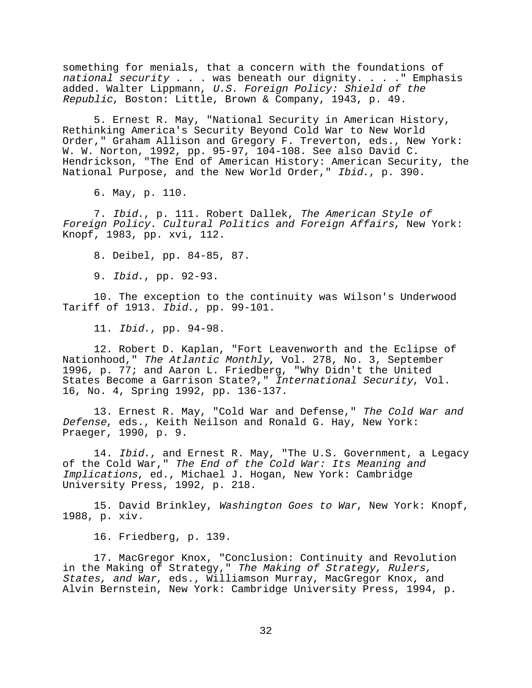something for menials, that a concern with the foundations of national security . . . was beneath our dignity. . . . " Emphasis added. Walter Lippmann, U.S. Foreign Policy: Shield of the Republic, Boston: Little, Brown & Company, 1943, p. 49.

5. Ernest R. May, "National Security in American History, Rethinking America's Security Beyond Cold War to New World Order," Graham Allison and Gregory F. Treverton, eds., New York: W. W. Norton, 1992, pp. 95-97, 104-108. See also David C. Hendrickson, "The End of American History: American Security, the National Purpose, and the New World Order," Ibid., p. 390.

6. May, p. 110.

7. Ibid., p. 111. Robert Dallek, The American Style of Foreign Policy. Cultural Politics and Foreign Affairs, New York: Knopf, 1983, pp. xvi, 112.

8. Deibel, pp. 84-85, 87.

9. Ibid., pp. 92-93.

10. The exception to the continuity was Wilson's Underwood Tariff of 1913. Ibid., pp. 99-101.

11. Ibid., pp. 94-98.

12. Robert D. Kaplan, "Fort Leavenworth and the Eclipse of Nationhood," The Atlantic Monthly, Vol. 278, No. 3, September 1996, p. 77; and Aaron L. Friedberg, "Why Didn't the United States Become a Garrison State?," International Security, Vol. 16, No. 4, Spring 1992, pp. 136-137.

13. Ernest R. May, "Cold War and Defense," The Cold War and Defense, eds., Keith Neilson and Ronald G. Hay, New York: Praeger, 1990, p. 9.

14. Ibid., and Ernest R. May, "The U.S. Government, a Legacy of the Cold War," The End of the Cold War: Its Meaning and Implications, ed., Michael J. Hogan, New York: Cambridge University Press, 1992, p. 218.

15. David Brinkley, Washington Goes to War, New York: Knopf, 1988, p. xiv.

16. Friedberg, p. 139.

17. MacGregor Knox, "Conclusion: Continuity and Revolution in the Making of Strategy," The Making of Strategy, Rulers, States, and War, eds., Williamson Murray, MacGregor Knox, and Alvin Bernstein, New York: Cambridge University Press, 1994, p.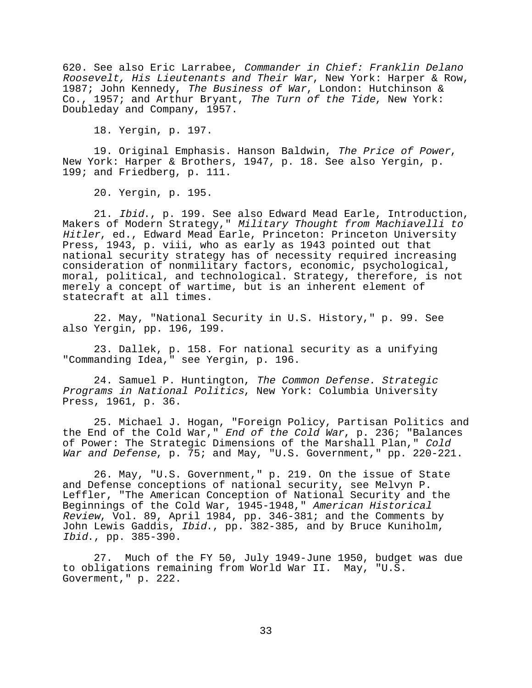620. See also Eric Larrabee, Commander in Chief: Franklin Delano Roosevelt, His Lieutenants and Their War, New York: Harper & Row, 1987; John Kennedy, The Business of War, London: Hutchinson & Co., 1957; and Arthur Bryant, The Turn of the Tide, New York: Doubleday and Company, 1957.

18. Yergin, p. 197.

19. Original Emphasis. Hanson Baldwin, The Price of Power, New York: Harper & Brothers, 1947, p. 18. See also Yergin, p. 199; and Friedberg, p. 111.

20. Yergin, p. 195.

21. Ibid., p. 199. See also Edward Mead Earle, Introduction, Makers of Modern Strategy," Military Thought from Machiavelli to Hitler, ed., Edward Mead Earle, Princeton: Princeton University Press, 1943, p. viii, who as early as 1943 pointed out that national security strategy has of necessity required increasing consideration of nonmilitary factors, economic, psychological, moral, political, and technological. Strategy, therefore, is not merely a concept of wartime, but is an inherent element of statecraft at all times.

22. May, "National Security in U.S. History," p. 99. See also Yergin, pp. 196, 199.

23. Dallek, p. 158. For national security as a unifying "Commanding Idea," see Yergin, p. 196.

24. Samuel P. Huntington, The Common Defense. Strategic Programs in National Politics, New York: Columbia University Press, 1961, p. 36.

25. Michael J. Hogan, "Foreign Policy, Partisan Politics and the End of the Cold War," End of the Cold War, p. 236; "Balances of Power: The Strategic Dimensions of the Marshall Plan," Cold War and Defense, p. 75; and May, "U.S. Government," pp. 220-221.

26. May, "U.S. Government," p. 219. On the issue of State and Defense conceptions of national security, see Melvyn P. Leffler, "The American Conception of National Security and the Beginnings of the Cold War, 1945-1948," American Historical Review, Vol. 89, April 1984, pp. 346-381; and the Comments by John Lewis Gaddis, Ibid., pp. 382-385, and by Bruce Kuniholm, Ibid., pp. 385-390.

27. Much of the FY 50, July 1949-June 1950, budget was due to obligations remaining from World War II. May, "U.S. Goverment," p. 222.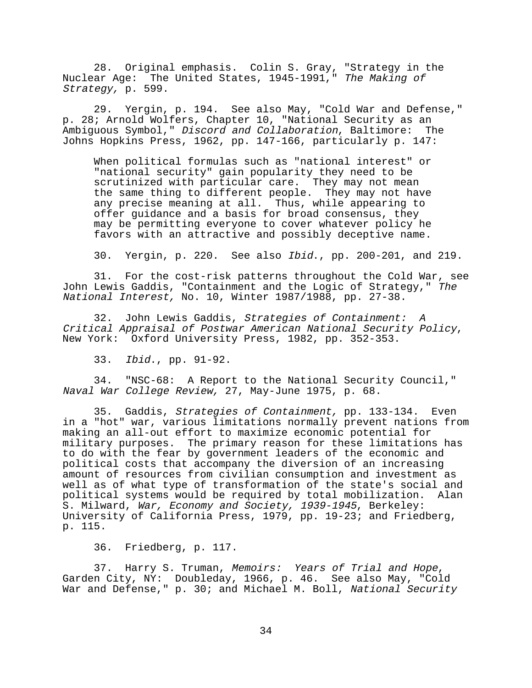28. Original emphasis. Colin S. Gray, "Strategy in the Nuclear Age: The United States, 1945-1991," The Making of Strategy, p. 599.

29. Yergin, p. 194. See also May, "Cold War and Defense," p. 28; Arnold Wolfers, Chapter 10, "National Security as an Ambiguous Symbol," Discord and Collaboration, Baltimore: The Johns Hopkins Press, 1962, pp. 147-166, particularly p. 147:

 When political formulas such as "national interest" or "national security" gain popularity they need to be scrutinized with particular care. They may not mean the same thing to different people. They may not have any precise meaning at all. Thus, while appearing to offer guidance and a basis for broad consensus, they may be permitting everyone to cover whatever policy he favors with an attractive and possibly deceptive name.

30. Yergin, p. 220. See also Ibid., pp. 200-201, and 219.

31. For the cost-risk patterns throughout the Cold War, see John Lewis Gaddis, "Containment and the Logic of Strategy," The National Interest, No. 10, Winter 1987/1988, pp. 27-38.

32. John Lewis Gaddis, Strategies of Containment: A Critical Appraisal of Postwar American National Security Policy, New York: Oxford University Press, 1982, pp. 352-353.

33. Ibid., pp. 91-92.

34. "NSC-68: A Report to the National Security Council," Naval War College Review, 27, May-June 1975, p. 68.

35. Gaddis, Strategies of Containment, pp. 133-134. Even in a "hot" war, various limitations normally prevent nations from making an all-out effort to maximize economic potential for military purposes. The primary reason for these limitations has to do with the fear by government leaders of the economic and political costs that accompany the diversion of an increasing amount of resources from civilian consumption and investment as well as of what type of transformation of the state's social and political systems would be required by total mobilization. Alan S. Milward, War, Economy and Society, 1939-1945, Berkeley: University of California Press, 1979, pp. 19-23; and Friedberg, p. 115.

36. Friedberg, p. 117.

37. Harry S. Truman, Memoirs: Years of Trial and Hope,<br>Garden City, NY: Doubleday, 1966, p. 46. See also May, "Cold War and Defense," p. 30; and Michael M. Boll, National Security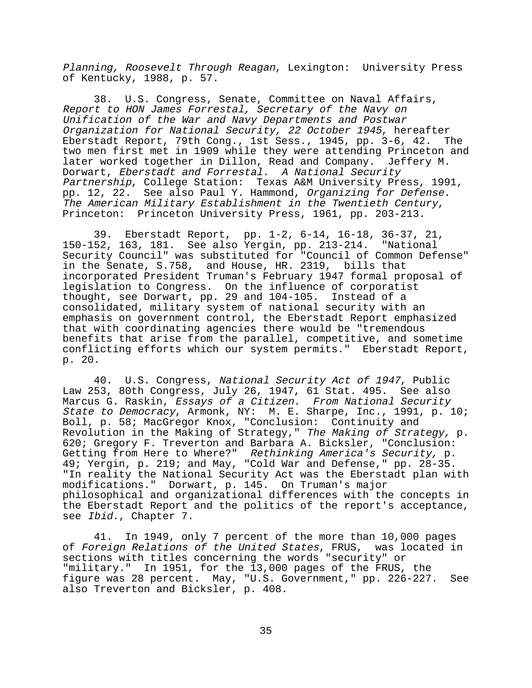Planning, Roosevelt Through Reagan, Lexington: University Press of Kentucky, 1988, p. 57.

38. U.S. Congress, Senate, Committee on Naval Affairs, Report to HON James Forrestal, Secretary of the Navy on Unification of the War and Navy Departments and Postwar Organization for National Security, 22 October 1945, hereafter Eberstadt Report, 79th Cong., 1st Sess., 1945, pp. 3-6, 42. The two men first met in 1909 while they were attending Princeton and later worked together in Dillon, Read and Company. Jeffery M. Dorwart, Eberstadt and Forrestal. A National Security Partnership, College Station: Texas A&M University Press, 1991, pp. 12, 22. See also Paul Y. Hammond, Organizing for Defense. The American Military Establishment in the Twentieth Century, Princeton: Princeton University Press, 1961, pp. 203-213.

39. Eberstadt Report, pp. 1-2, 6-14, 16-18, 36-37, 21, 150-152, 163, 181. See also Yergin, pp. 213-214. "National Security Council" was substituted for "Council of Common Defense" in the Senate, S.758, and House, HR. 2319, bills that incorporated President Truman's February 1947 formal proposal of legislation to Congress. On the influence of corporatist thought, see Dorwart, pp. 29 and 104-105. Instead of a consolidated, military system of national security with an emphasis on government control, the Eberstadt Report emphasized that with coordinating agencies there would be "tremendous benefits that arise from the parallel, competitive, and sometime conflicting efforts which our system permits." Eberstadt Report, p. 20.

40. U.S. Congress, National Security Act of 1947, Public Law 253, 80th Congress, July 26, 1947, 61 Stat. 495. See also Marcus G. Raskin, Essays of a Citizen. From National Security State to Democracy, Armonk, NY: M. E. Sharpe, Inc., 1991, p. 10; Boll, p. 58; MacGregor Knox, "Conclusion: Continuity and Revolution in the Making of Strategy," The Making of Strategy, p. 620; Gregory F. Treverton and Barbara A. Bicksler, "Conclusion: Getting from Here to Where?" Rethinking America's Security, p. 49; Yergin, p. 219; and May, "Cold War and Defense," pp. 28-35. "In reality the National Security Act was the Eberstadt plan with modifications." Dorwart, p. 145. On Truman's major philosophical and organizational differences with the concepts in the Eberstadt Report and the politics of the report's acceptance, see Ibid., Chapter 7.

41. In 1949, only 7 percent of the more than 10,000 pages of Foreign Relations of the United States, FRUS, was located in sections with titles concerning the words "security" or "military." In 1951, for the 13,000 pages of the FRUS, the figure was 28 percent. May, "U.S. Government," pp. 226-227. See also Treverton and Bicksler, p. 408.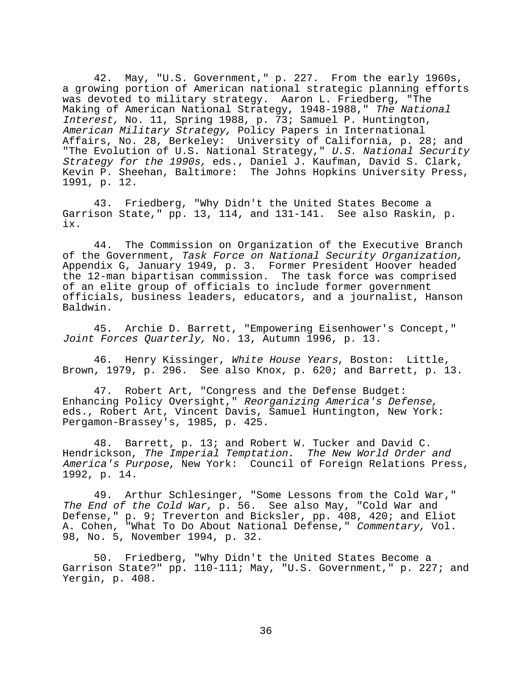42. May, "U.S. Government," p. 227. From the early 1960s, a growing portion of American national strategic planning efforts was devoted to military strategy. Aaron L. Friedberg, "The Making of American National Strategy, 1948-1988," The National Interest, No. 11, Spring 1988, p. 73; Samuel P. Huntington, American Military Strategy, Policy Papers in International Affairs, No. 28, Berkeley: University of California, p. 28; and "The Evolution of U.S. National Strategy," U.S. National Security Strategy for the 1990s, eds., Daniel J. Kaufman, David S. Clark, Kevin P. Sheehan, Baltimore: The Johns Hopkins University Press, 1991, p. 12.

43. Friedberg, "Why Didn't the United States Become a Garrison State," pp. 13, 114, and 131-141. See also Raskin, p. ix.

44. The Commission on Organization of the Executive Branch of the Government, Task Force on National Security Organization, Appendix G, January 1949, p. 3. Former President Hoover headed the 12-man bipartisan commission. The task force was comprised of an elite group of officials to include former government officials, business leaders, educators, and a journalist, Hanson Baldwin.

45. Archie D. Barrett, "Empowering Eisenhower's Concept," Joint Forces Quarterly, No. 13, Autumn 1996, p. 13.

46. Henry Kissinger, White House Years, Boston: Little, Brown, 1979, p. 296. See also Knox, p. 620; and Barrett, p. 13.

47. Robert Art, "Congress and the Defense Budget: Enhancing Policy Oversight," Reorganizing America's Defense, eds., Robert Art, Vincent Davis, Samuel Huntington, New York: Pergamon-Brassey's, 1985, p. 425.

48. Barrett, p. 13; and Robert W. Tucker and David C. Hendrickson, The Imperial Temptation. The New World Order and America's Purpose, New York: Council of Foreign Relations Press, 1992, p. 14.

49. Arthur Schlesinger, "Some Lessons from the Cold War," The End of the Cold War, p. 56. See also May, "Cold War and Defense," p. 9; Treverton and Bicksler, pp. 408, 420; and Eliot A. Cohen, "What To Do About National Defense," Commentary, Vol. 98, No. 5, November 1994, p. 32.

50. Friedberg, "Why Didn't the United States Become a Garrison State?" pp. 110-111; May, "U.S. Government," p. 227; and Yergin, p. 408.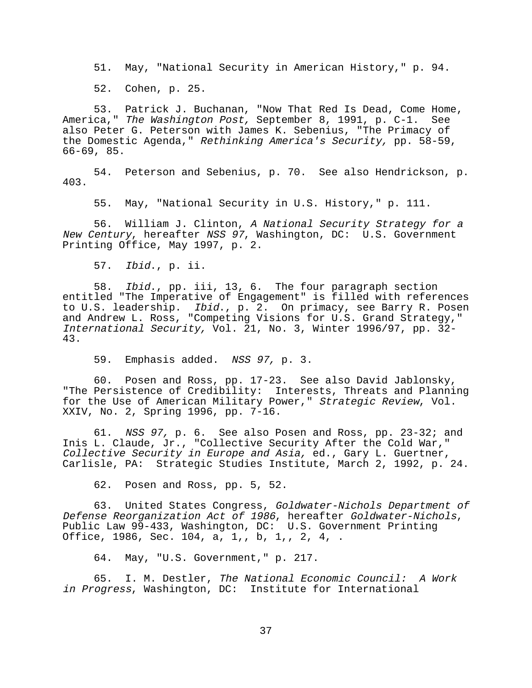51. May, "National Security in American History," p. 94.

52. Cohen, p. 25.

53. Patrick J. Buchanan, "Now That Red Is Dead, Come Home, America," *The Washington Post,* September 8, 1991, p. C-1. See also Peter G. Peterson with James K. Sebenius, "The Primacy of the Domestic Agenda," Rethinking America's Security, pp. 58-59, 66-69, 85.

54. Peterson and Sebenius, p. 70. See also Hendrickson, p. 403.

55. May, "National Security in U.S. History," p. 111.

56. William J. Clinton, A National Security Strategy for a New Century, hereafter NSS 97, Washington, DC: U.S. Government Printing Office, May 1997, p. 2.

57. Ibid., p. ii.

58. Ibid., pp. iii, 13, 6. The four paragraph section entitled "The Imperative of Engagement" is filled with references to U.S. leadership. Ibid., p. 2. On primacy, see Barry R. Posen and Andrew L. Ross, "Competing Visions for U.S. Grand Strategy," International Security, Vol. 21, No. 3, Winter 1996/97, pp. 32- 43.

59. Emphasis added. NSS 97, p. 3.

60. Posen and Ross, pp. 17-23. See also David Jablonsky, "The Persistence of Credibility: Interests, Threats and Planning for the Use of American Military Power," Strategic Review, Vol. XXIV, No. 2, Spring 1996, pp. 7-16.

61. NSS 97, p. 6. See also Posen and Ross, pp. 23-32; and Inis L. Claude, Jr., "Collective Security After the Cold War," Collective Security in Europe and Asia, ed., Gary L. Guertner, Carlisle, PA: Strategic Studies Institute, March 2, 1992, p. 24.

62. Posen and Ross, pp. 5, 52.

63. United States Congress, Goldwater-Nichols Department of Defense Reorganization Act of 1986, hereafter Goldwater-Nichols, Public Law 99-433, Washington, DC: U.S. Government Printing Office, 1986, Sec. 104, a, 1,, b, 1,, 2, 4, .

64. May, "U.S. Government," p. 217.

65. I. M. Destler, The National Economic Council: A Work in Progress, Washington, DC: Institute for International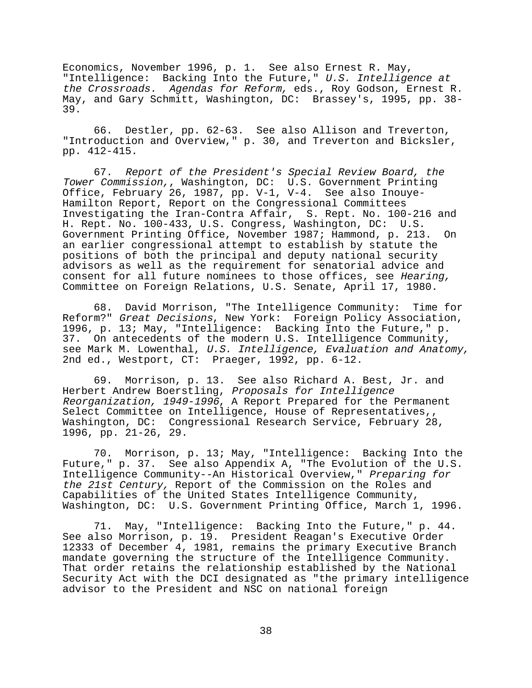Economics, November 1996, p. 1. See also Ernest R. May, "Intelligence: Backing Into the Future," U.S. Intelligence at the Crossroads. Agendas for Reform, eds., Roy Godson, Ernest R. May, and Gary Schmitt, Washington, DC: Brassey's, 1995, pp. 38- 39.

66. Destler, pp. 62-63. See also Allison and Treverton, "Introduction and Overview," p. 30, and Treverton and Bicksler, pp. 412-415.

67. Report of the President's Special Review Board, the Tower Commission,, Washington, DC: U.S. Government Printing Office, February 26, 1987, pp. V-1, V-4. See also Inouye-Hamilton Report, Report on the Congressional Committees Investigating the Iran-Contra Affair, S. Rept. No. 100-216 and H. Rept. No. 100-433, U.S. Congress, Washington, DC: U.S. Government Printing Office, November 1987; Hammond, p. 213. On an earlier congressional attempt to establish by statute the positions of both the principal and deputy national security advisors as well as the requirement for senatorial advice and consent for all future nominees to those offices, see Hearing, Committee on Foreign Relations, U.S. Senate, April 17, 1980.

68. David Morrison, "The Intelligence Community: Time for Reform?" Great Decisions, New York: Foreign Policy Association, 1996, p. 13; May, "Intelligence: Backing Into the Future," p. 37. On antecedents of the modern U.S. Intelligence Community, see Mark M. Lowenthal, U.S. Intelligence, Evaluation and Anatomy, 2nd ed., Westport, CT: Praeger, 1992, pp. 6-12.

 69. Morrison, p. 13. See also Richard A. Best, Jr. and Herbert Andrew Boerstling, Proposals for Intelligence Reorganization, 1949-1996, A Report Prepared for the Permanent Select Committee on Intelligence, House of Representatives,, Washington, DC: Congressional Research Service, February 28, 1996, pp. 21-26, 29.

70. Morrison, p. 13; May, "Intelligence: Backing Into the Future," p. 37. See also Appendix A, "The Evolution of the U.S. Intelligence Community--An Historical Overview," Preparing for the 21st Century, Report of the Commission on the Roles and Capabilities of the United States Intelligence Community, Washington, DC: U.S. Government Printing Office, March 1, 1996.

71. May, "Intelligence: Backing Into the Future," p. 44. See also Morrison, p. 19. President Reagan's Executive Order 12333 of December 4, 1981, remains the primary Executive Branch mandate governing the structure of the Intelligence Community. That order retains the relationship established by the National Security Act with the DCI designated as "the primary intelligence advisor to the President and NSC on national foreign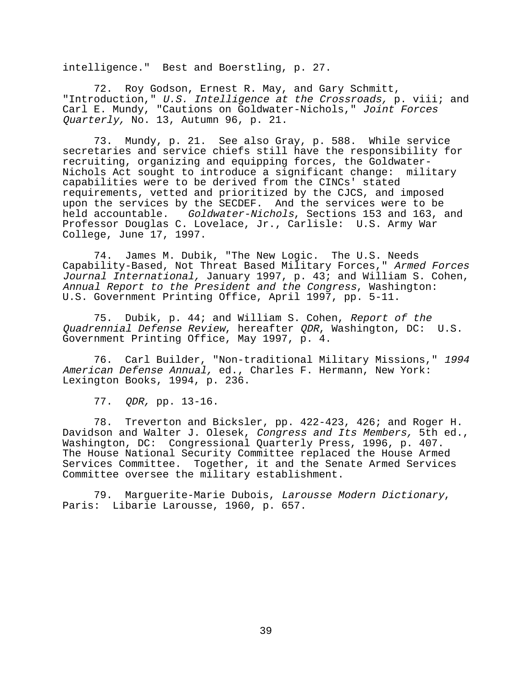intelligence." Best and Boerstling, p. 27.

72. Roy Godson, Ernest R. May, and Gary Schmitt, "Introduction," U.S. Intelligence at the Crossroads, p. viii; and Carl E. Mundy, "Cautions on Goldwater-Nichols," Joint Forces Quarterly, No. 13, Autumn 96, p. 21.

73. Mundy, p. 21. See also Gray, p. 588. While service secretaries and service chiefs still have the responsibility for recruiting, organizing and equipping forces, the Goldwater-Nichols Act sought to introduce a significant change: military capabilities were to be derived from the CINCs' stated requirements, vetted and prioritized by the CJCS, and imposed upon the services by the SECDEF. And the services were to be held accountable. Goldwater-Nichols, Sections 153 and 163, and Professor Douglas C. Lovelace, Jr., Carlisle: U.S. Army War College, June 17, 1997.

74. James M. Dubik, "The New Logic. The U.S. Needs Capability-Based, Not Threat Based Military Forces," Armed Forces Journal International, January 1997, p. 43; and William S. Cohen, Annual Report to the President and the Congress, Washington: U.S. Government Printing Office, April 1997, pp. 5-11.

75. Dubik, p. 44; and William S. Cohen, Report of the Quadrennial Defense Review, hereafter QDR, Washington, DC: U.S. Government Printing Office, May 1997, p. 4.

76. Carl Builder, "Non-traditional Military Missions," <sup>1994</sup> American Defense Annual, ed., Charles F. Hermann, New York: Lexington Books, 1994, p. 236.

77. QDR, pp. 13-16.

78. Treverton and Bicksler, pp. 422-423, 426; and Roger H. Davidson and Walter J. Olesek, Congress and Its Members, 5th ed., Washington, DC: Congressional Quarterly Press, 1996, p. 407. The House National Security Committee replaced the House Armed Services Committee. Together, it and the Senate Armed Services Committee oversee the military establishment.

79. Marguerite-Marie Dubois, Larousse Modern Dictionary, Paris: Libarie Larousse, 1960, p. 657.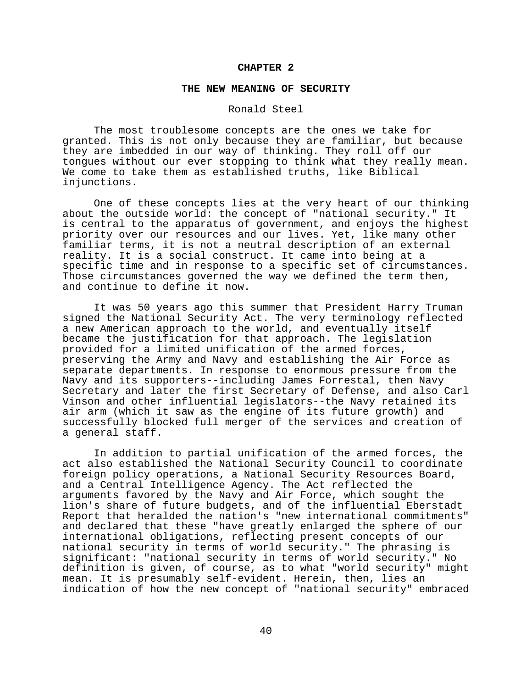#### **CHAPTER 2**

#### **THE NEW MEANING OF SECURITY**

## Ronald Steel

The most troublesome concepts are the ones we take for granted. This is not only because they are familiar, but because they are imbedded in our way of thinking. They roll off our tongues without our ever stopping to think what they really mean. We come to take them as established truths, like Biblical injunctions.

One of these concepts lies at the very heart of our thinking about the outside world: the concept of "national security." It is central to the apparatus of government, and enjoys the highest priority over our resources and our lives. Yet, like many other familiar terms, it is not a neutral description of an external reality. It is a social construct. It came into being at a specific time and in response to a specific set of circumstances. Those circumstances governed the way we defined the term then, and continue to define it now.

It was 50 years ago this summer that President Harry Truman signed the National Security Act. The very terminology reflected a new American approach to the world, and eventually itself became the justification for that approach. The legislation provided for a limited unification of the armed forces, preserving the Army and Navy and establishing the Air Force as separate departments. In response to enormous pressure from the Navy and its supporters--including James Forrestal, then Navy Secretary and later the first Secretary of Defense, and also Carl Vinson and other influential legislators--the Navy retained its air arm (which it saw as the engine of its future growth) and successfully blocked full merger of the services and creation of a general staff.

In addition to partial unification of the armed forces, the act also established the National Security Council to coordinate foreign policy operations, a National Security Resources Board, and a Central Intelligence Agency. The Act reflected the arguments favored by the Navy and Air Force, which sought the lion's share of future budgets, and of the influential Eberstadt Report that heralded the nation's "new international commitments" and declared that these "have greatly enlarged the sphere of our international obligations, reflecting present concepts of our national security in terms of world security." The phrasing is significant: "national security in terms of world security." No definition is given, of course, as to what "world security" might mean. It is presumably self-evident. Herein, then, lies an indication of how the new concept of "national security" embraced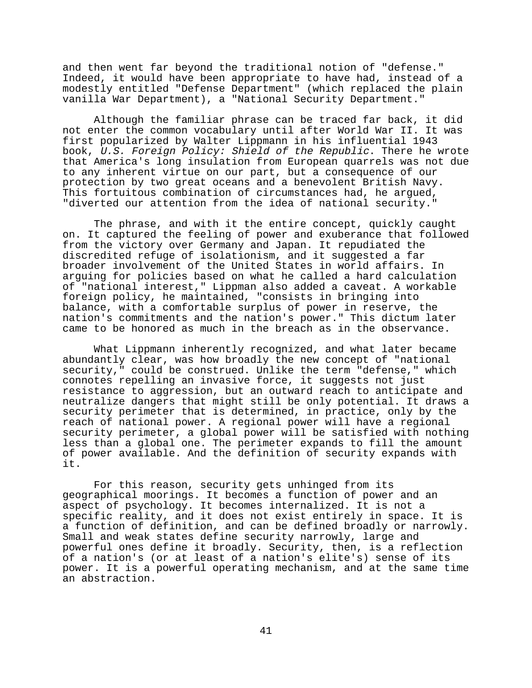and then went far beyond the traditional notion of "defense." Indeed, it would have been appropriate to have had, instead of a modestly entitled "Defense Department" (which replaced the plain vanilla War Department), a "National Security Department."

Although the familiar phrase can be traced far back, it did not enter the common vocabulary until after World War II. It was first popularized by Walter Lippmann in his influential 1943 book, U.S. Foreign Policy: Shield of the Republic. There he wrote that America's long insulation from European quarrels was not due to any inherent virtue on our part, but a consequence of our protection by two great oceans and a benevolent British Navy. This fortuitous combination of circumstances had, he argued, "diverted our attention from the idea of national security."

The phrase, and with it the entire concept, quickly caught on. It captured the feeling of power and exuberance that followed from the victory over Germany and Japan. It repudiated the discredited refuge of isolationism, and it suggested a far broader involvement of the United States in world affairs. In arguing for policies based on what he called a hard calculation of "national interest," Lippman also added a caveat. A workable foreign policy, he maintained, "consists in bringing into balance, with a comfortable surplus of power in reserve, the nation's commitments and the nation's power." This dictum later came to be honored as much in the breach as in the observance.

What Lippmann inherently recognized, and what later became abundantly clear, was how broadly the new concept of "national security," could be construed. Unlike the term "defense," which connotes repelling an invasive force, it suggests not just resistance to aggression, but an outward reach to anticipate and neutralize dangers that might still be only potential. It draws a security perimeter that is determined, in practice, only by the reach of national power. A regional power will have a regional security perimeter, a global power will be satisfied with nothing less than a global one. The perimeter expands to fill the amount of power available. And the definition of security expands with it.

For this reason, security gets unhinged from its geographical moorings. It becomes a function of power and an aspect of psychology. It becomes internalized. It is not a specific reality, and it does not exist entirely in space. It is a function of definition, and can be defined broadly or narrowly. Small and weak states define security narrowly, large and powerful ones define it broadly. Security, then, is a reflection of a nation's (or at least of a nation's elite's) sense of its power. It is a powerful operating mechanism, and at the same time an abstraction.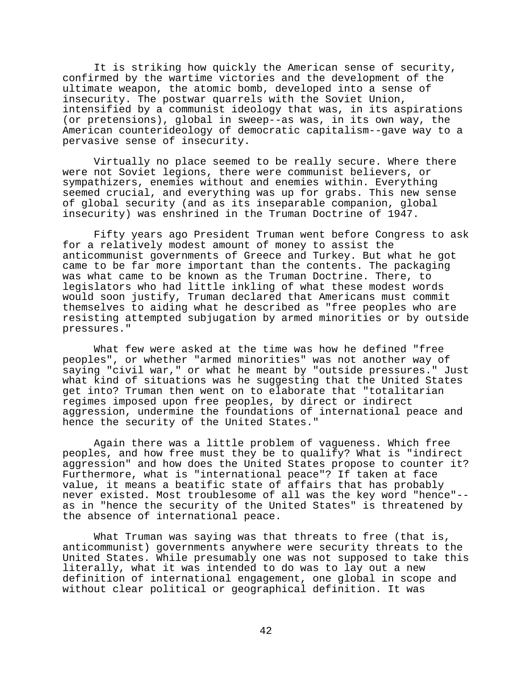It is striking how quickly the American sense of security, confirmed by the wartime victories and the development of the ultimate weapon, the atomic bomb, developed into a sense of insecurity. The postwar quarrels with the Soviet Union, intensified by a communist ideology that was, in its aspirations (or pretensions), global in sweep--as was, in its own way, the American counterideology of democratic capitalism--gave way to a pervasive sense of insecurity.

Virtually no place seemed to be really secure. Where there were not Soviet legions, there were communist believers, or sympathizers, enemies without and enemies within. Everything seemed crucial, and everything was up for grabs. This new sense of global security (and as its inseparable companion, global insecurity) was enshrined in the Truman Doctrine of 1947.

Fifty years ago President Truman went before Congress to ask for a relatively modest amount of money to assist the anticommunist governments of Greece and Turkey. But what he got came to be far more important than the contents. The packaging was what came to be known as the Truman Doctrine. There, to legislators who had little inkling of what these modest words would soon justify, Truman declared that Americans must commit themselves to aiding what he described as "free peoples who are resisting attempted subjugation by armed minorities or by outside pressures."

What few were asked at the time was how he defined "free peoples", or whether "armed minorities" was not another way of saying "civil war," or what he meant by "outside pressures." Just what kind of situations was he suggesting that the United States get into? Truman then went on to elaborate that "totalitarian regimes imposed upon free peoples, by direct or indirect aggression, undermine the foundations of international peace and hence the security of the United States."

Again there was a little problem of vagueness. Which free peoples, and how free must they be to qualify? What is "indirect aggression" and how does the United States propose to counter it? Furthermore, what is "international peace"? If taken at face value, it means a beatific state of affairs that has probably never existed. Most troublesome of all was the key word "hence"- as in "hence the security of the United States" is threatened by the absence of international peace.

What Truman was saying was that threats to free (that is, anticommunist) governments anywhere were security threats to the United States. While presumably one was not supposed to take this literally, what it was intended to do was to lay out a new definition of international engagement, one global in scope and without clear political or geographical definition. It was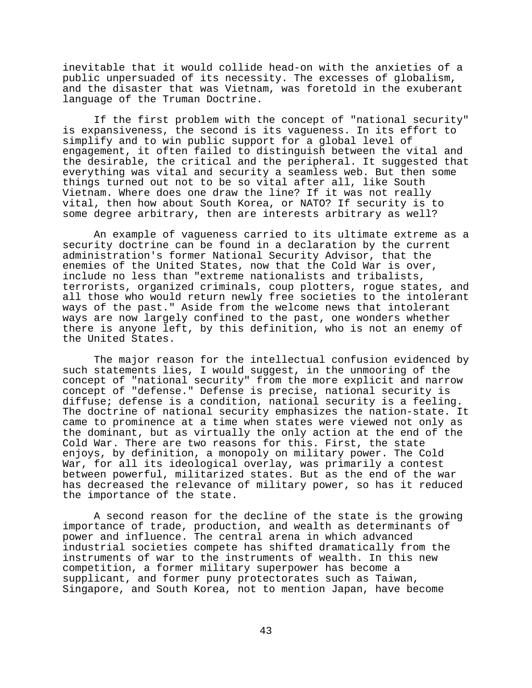inevitable that it would collide head-on with the anxieties of a public unpersuaded of its necessity. The excesses of globalism, and the disaster that was Vietnam, was foretold in the exuberant language of the Truman Doctrine.

If the first problem with the concept of "national security" is expansiveness, the second is its vagueness. In its effort to simplify and to win public support for a global level of engagement, it often failed to distinguish between the vital and the desirable, the critical and the peripheral. It suggested that everything was vital and security a seamless web. But then some things turned out not to be so vital after all, like South Vietnam. Where does one draw the line? If it was not really vital, then how about South Korea, or NATO? If security is to some degree arbitrary, then are interests arbitrary as well?

An example of vagueness carried to its ultimate extreme as a security doctrine can be found in a declaration by the current administration's former National Security Advisor, that the enemies of the United States, now that the Cold War is over, include no less than "extreme nationalists and tribalists, terrorists, organized criminals, coup plotters, rogue states, and all those who would return newly free societies to the intolerant ways of the past." Aside from the welcome news that intolerant ways are now largely confined to the past, one wonders whether there is anyone left, by this definition, who is not an enemy of the United States.

The major reason for the intellectual confusion evidenced by such statements lies, I would suggest, in the unmooring of the concept of "national security" from the more explicit and narrow concept of "defense." Defense is precise, national security is diffuse; defense is a condition, national security is a feeling. The doctrine of national security emphasizes the nation-state. It came to prominence at a time when states were viewed not only as the dominant, but as virtually the only action at the end of the Cold War. There are two reasons for this. First, the state enjoys, by definition, a monopoly on military power. The Cold War, for all its ideological overlay, was primarily a contest between powerful, militarized states. But as the end of the war has decreased the relevance of military power, so has it reduced the importance of the state.

A second reason for the decline of the state is the growing importance of trade, production, and wealth as determinants of power and influence. The central arena in which advanced industrial societies compete has shifted dramatically from the instruments of war to the instruments of wealth. In this new competition, a former military superpower has become a supplicant, and former puny protectorates such as Taiwan, Singapore, and South Korea, not to mention Japan, have become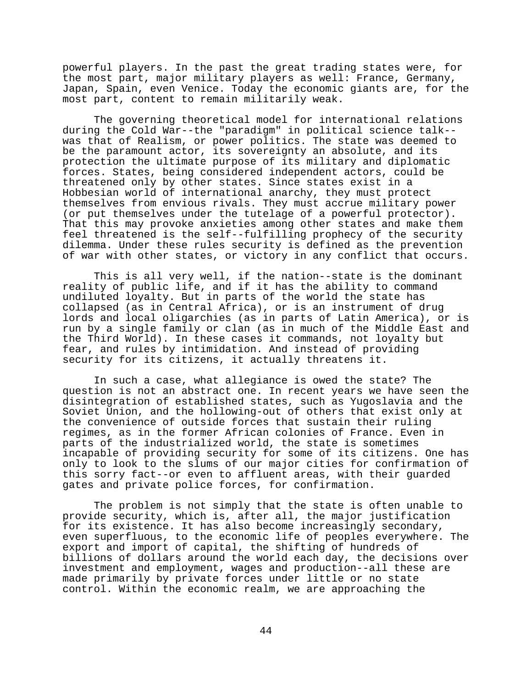powerful players. In the past the great trading states were, for the most part, major military players as well: France, Germany, Japan, Spain, even Venice. Today the economic giants are, for the most part, content to remain militarily weak.

The governing theoretical model for international relations during the Cold War--the "paradigm" in political science talk- was that of Realism, or power politics. The state was deemed to be the paramount actor, its sovereignty an absolute, and its protection the ultimate purpose of its military and diplomatic forces. States, being considered independent actors, could be threatened only by other states. Since states exist in a Hobbesian world of international anarchy, they must protect themselves from envious rivals. They must accrue military power (or put themselves under the tutelage of a powerful protector). That this may provoke anxieties among other states and make them feel threatened is the self--fulfilling prophecy of the security dilemma. Under these rules security is defined as the prevention of war with other states, or victory in any conflict that occurs.

This is all very well, if the nation--state is the dominant reality of public life, and if it has the ability to command undiluted loyalty. But in parts of the world the state has collapsed (as in Central Africa), or is an instrument of drug lords and local oligarchies (as in parts of Latin America), or is run by a single family or clan (as in much of the Middle East and the Third World). In these cases it commands, not loyalty but fear, and rules by intimidation. And instead of providing security for its citizens, it actually threatens it.

In such a case, what allegiance is owed the state? The question is not an abstract one. In recent years we have seen the disintegration of established states, such as Yugoslavia and the Soviet Union, and the hollowing-out of others that exist only at the convenience of outside forces that sustain their ruling regimes, as in the former African colonies of France. Even in parts of the industrialized world, the state is sometimes incapable of providing security for some of its citizens. One has only to look to the slums of our major cities for confirmation of this sorry fact--or even to affluent areas, with their guarded gates and private police forces, for confirmation.

The problem is not simply that the state is often unable to provide security, which is, after all, the major justification for its existence. It has also become increasingly secondary, even superfluous, to the economic life of peoples everywhere. The export and import of capital, the shifting of hundreds of billions of dollars around the world each day, the decisions over investment and employment, wages and production--all these are made primarily by private forces under little or no state control. Within the economic realm, we are approaching the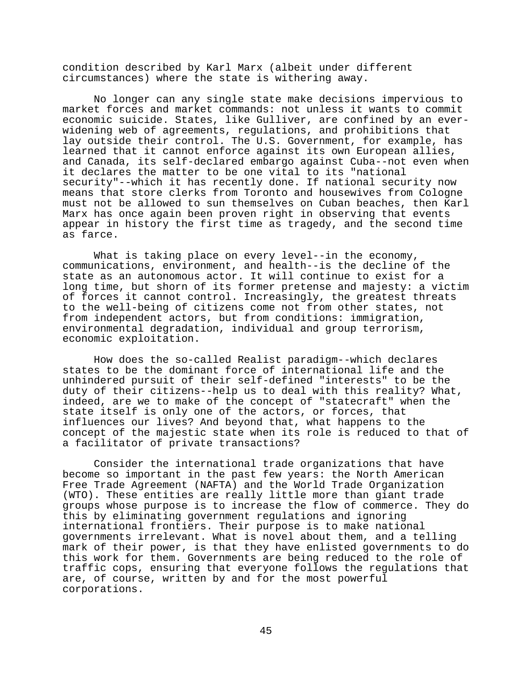condition described by Karl Marx (albeit under different circumstances) where the state is withering away.

No longer can any single state make decisions impervious to market forces and market commands: not unless it wants to commit economic suicide. States, like Gulliver, are confined by an everwidening web of agreements, regulations, and prohibitions that lay outside their control. The U.S. Government, for example, has learned that it cannot enforce against its own European allies, and Canada, its self-declared embargo against Cuba--not even when it declares the matter to be one vital to its "national security"--which it has recently done. If national security now means that store clerks from Toronto and housewives from Cologne must not be allowed to sun themselves on Cuban beaches, then Karl Marx has once again been proven right in observing that events appear in history the first time as tragedy, and the second time as farce.

What is taking place on every level--in the economy, communications, environment, and health--is the decline of the state as an autonomous actor. It will continue to exist for a long time, but shorn of its former pretense and majesty: a victim of forces it cannot control. Increasingly, the greatest threats to the well-being of citizens come not from other states, not from independent actors, but from conditions: immigration, environmental degradation, individual and group terrorism, economic exploitation.

How does the so-called Realist paradigm--which declares states to be the dominant force of international life and the unhindered pursuit of their self-defined "interests" to be the duty of their citizens--help us to deal with this reality? What, indeed, are we to make of the concept of "statecraft" when the state itself is only one of the actors, or forces, that influences our lives? And beyond that, what happens to the concept of the majestic state when its role is reduced to that of a facilitator of private transactions?

Consider the international trade organizations that have become so important in the past few years: the North American Free Trade Agreement (NAFTA) and the World Trade Organization (WTO). These entities are really little more than giant trade groups whose purpose is to increase the flow of commerce. They do this by eliminating government regulations and ignoring international frontiers. Their purpose is to make national governments irrelevant. What is novel about them, and a telling mark of their power, is that they have enlisted governments to do this work for them. Governments are being reduced to the role of traffic cops, ensuring that everyone follows the regulations that are, of course, written by and for the most powerful corporations.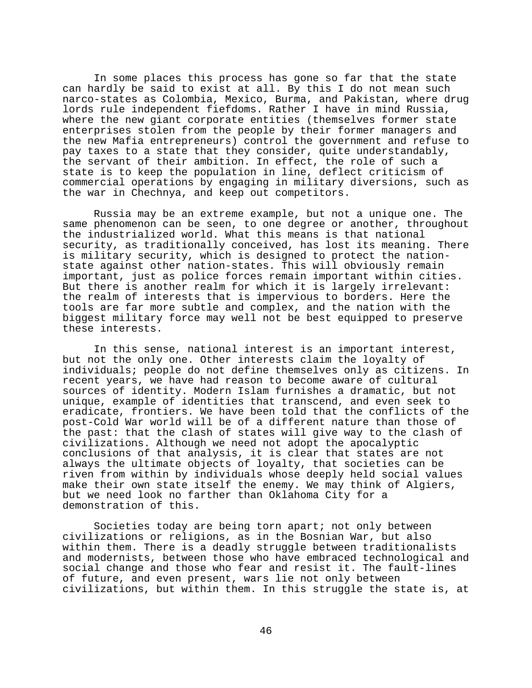In some places this process has gone so far that the state can hardly be said to exist at all. By this I do not mean such narco-states as Colombia, Mexico, Burma, and Pakistan, where drug lords rule independent fiefdoms. Rather I have in mind Russia, where the new giant corporate entities (themselves former state enterprises stolen from the people by their former managers and the new Mafia entrepreneurs) control the government and refuse to pay taxes to a state that they consider, quite understandably, the servant of their ambition. In effect, the role of such a state is to keep the population in line, deflect criticism of commercial operations by engaging in military diversions, such as the war in Chechnya, and keep out competitors.

Russia may be an extreme example, but not a unique one. The same phenomenon can be seen, to one degree or another, throughout the industrialized world. What this means is that national security, as traditionally conceived, has lost its meaning. There is military security, which is designed to protect the nationstate against other nation-states. This will obviously remain important, just as police forces remain important within cities. But there is another realm for which it is largely irrelevant: the realm of interests that is impervious to borders. Here the tools are far more subtle and complex, and the nation with the biggest military force may well not be best equipped to preserve these interests.

In this sense, national interest is an important interest, but not the only one. Other interests claim the loyalty of individuals; people do not define themselves only as citizens. In recent years, we have had reason to become aware of cultural sources of identity. Modern Islam furnishes a dramatic, but not unique, example of identities that transcend, and even seek to eradicate, frontiers. We have been told that the conflicts of the post-Cold War world will be of a different nature than those of the past: that the clash of states will give way to the clash of civilizations. Although we need not adopt the apocalyptic conclusions of that analysis, it is clear that states are not always the ultimate objects of loyalty, that societies can be riven from within by individuals whose deeply held social values make their own state itself the enemy. We may think of Algiers, but we need look no farther than Oklahoma City for a demonstration of this.

Societies today are being torn apart; not only between civilizations or religions, as in the Bosnian War, but also within them. There is a deadly struggle between traditionalists and modernists, between those who have embraced technological and social change and those who fear and resist it. The fault-lines of future, and even present, wars lie not only between civilizations, but within them. In this struggle the state is, at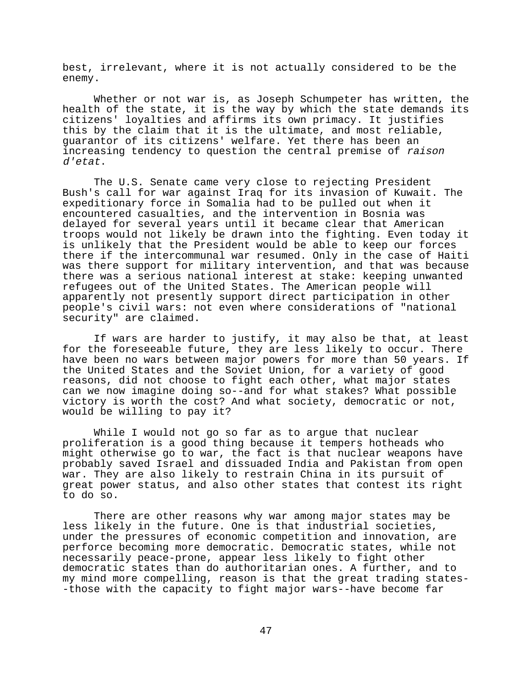best, irrelevant, where it is not actually considered to be the enemy.

Whether or not war is, as Joseph Schumpeter has written, the health of the state, it is the way by which the state demands its citizens' loyalties and affirms its own primacy. It justifies this by the claim that it is the ultimate, and most reliable, guarantor of its citizens' welfare. Yet there has been an increasing tendency to question the central premise of raison d'etat.

The U.S. Senate came very close to rejecting President Bush's call for war against Iraq for its invasion of Kuwait. The expeditionary force in Somalia had to be pulled out when it encountered casualties, and the intervention in Bosnia was delayed for several years until it became clear that American troops would not likely be drawn into the fighting. Even today it is unlikely that the President would be able to keep our forces there if the intercommunal war resumed. Only in the case of Haiti was there support for military intervention, and that was because there was a serious national interest at stake: keeping unwanted refugees out of the United States. The American people will apparently not presently support direct participation in other people's civil wars: not even where considerations of "national security" are claimed.

If wars are harder to justify, it may also be that, at least for the foreseeable future, they are less likely to occur. There have been no wars between major powers for more than 50 years. If the United States and the Soviet Union, for a variety of good reasons, did not choose to fight each other, what major states can we now imagine doing so--and for what stakes? What possible victory is worth the cost? And what society, democratic or not, would be willing to pay it?

While I would not go so far as to argue that nuclear proliferation is a good thing because it tempers hotheads who might otherwise go to war, the fact is that nuclear weapons have probably saved Israel and dissuaded India and Pakistan from open war. They are also likely to restrain China in its pursuit of great power status, and also other states that contest its right to do so.

There are other reasons why war among major states may be less likely in the future. One is that industrial societies, under the pressures of economic competition and innovation, are perforce becoming more democratic. Democratic states, while not necessarily peace-prone, appear less likely to fight other democratic states than do authoritarian ones. A further, and to my mind more compelling, reason is that the great trading states- -those with the capacity to fight major wars--have become far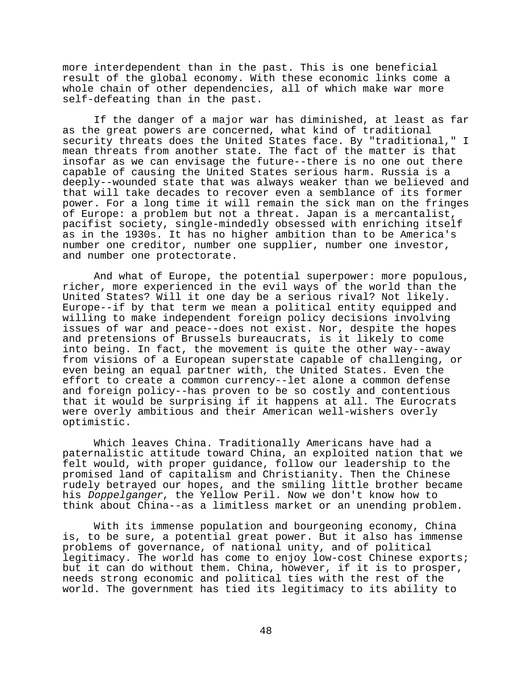more interdependent than in the past. This is one beneficial result of the global economy. With these economic links come a whole chain of other dependencies, all of which make war more self-defeating than in the past.

If the danger of a major war has diminished, at least as far as the great powers are concerned, what kind of traditional security threats does the United States face. By "traditional," I mean threats from another state. The fact of the matter is that insofar as we can envisage the future--there is no one out there capable of causing the United States serious harm. Russia is a deeply--wounded state that was always weaker than we believed and that will take decades to recover even a semblance of its former power. For a long time it will remain the sick man on the fringes of Europe: a problem but not a threat. Japan is a mercantalist, pacifist society, single-mindedly obsessed with enriching itself as in the 1930s. It has no higher ambition than to be America's number one creditor, number one supplier, number one investor, and number one protectorate.

And what of Europe, the potential superpower: more populous, richer, more experienced in the evil ways of the world than the United States? Will it one day be a serious rival? Not likely. Europe--if by that term we mean a political entity equipped and willing to make independent foreign policy decisions involving issues of war and peace--does not exist. Nor, despite the hopes and pretensions of Brussels bureaucrats, is it likely to come into being. In fact, the movement is quite the other way--away from visions of a European superstate capable of challenging, or even being an equal partner with, the United States. Even the effort to create a common currency--let alone a common defense and foreign policy--has proven to be so costly and contentious that it would be surprising if it happens at all. The Eurocrats were overly ambitious and their American well-wishers overly optimistic.

Which leaves China. Traditionally Americans have had a paternalistic attitude toward China, an exploited nation that we felt would, with proper guidance, follow our leadership to the promised land of capitalism and Christianity. Then the Chinese rudely betrayed our hopes, and the smiling little brother became his Doppelganger, the Yellow Peril. Now we don't know how to think about China--as a limitless market or an unending problem.

With its immense population and bourgeoning economy, China is, to be sure, a potential great power. But it also has immense problems of governance, of national unity, and of political legitimacy. The world has come to enjoy low-cost Chinese exports; but it can do without them. China, however, if it is to prosper, needs strong economic and political ties with the rest of the world. The government has tied its legitimacy to its ability to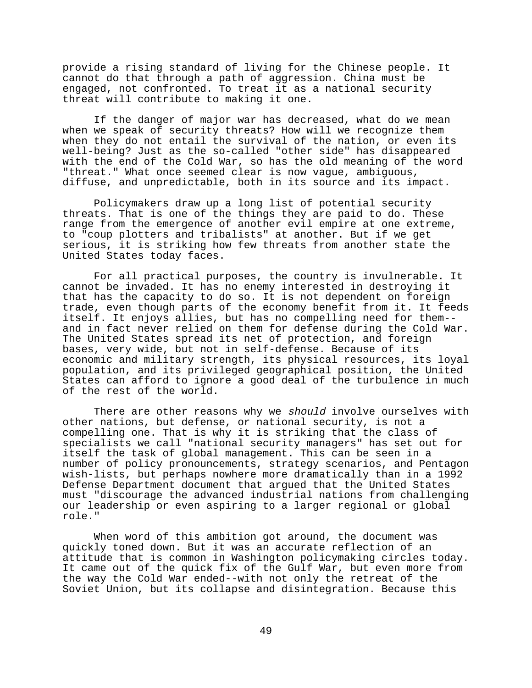provide a rising standard of living for the Chinese people. It cannot do that through a path of aggression. China must be engaged, not confronted. To treat it as a national security threat will contribute to making it one.

If the danger of major war has decreased, what do we mean when we speak of security threats? How will we recognize them when they do not entail the survival of the nation, or even its well-being? Just as the so-called "other side" has disappeared with the end of the Cold War, so has the old meaning of the word "threat." What once seemed clear is now vague, ambiguous, diffuse, and unpredictable, both in its source and its impact.

Policymakers draw up a long list of potential security threats. That is one of the things they are paid to do. These range from the emergence of another evil empire at one extreme, to "coup plotters and tribalists" at another. But if we get serious, it is striking how few threats from another state the United States today faces.

For all practical purposes, the country is invulnerable. It cannot be invaded. It has no enemy interested in destroying it that has the capacity to do so. It is not dependent on foreign trade, even though parts of the economy benefit from it. It feeds itself. It enjoys allies, but has no compelling need for them- and in fact never relied on them for defense during the Cold War. The United States spread its net of protection, and foreign bases, very wide, but not in self-defense. Because of its economic and military strength, its physical resources, its loyal population, and its privileged geographical position, the United States can afford to ignore a good deal of the turbulence in much of the rest of the world.

There are other reasons why we should involve ourselves with other nations, but defense, or national security, is not a compelling one. That is why it is striking that the class of specialists we call "national security managers" has set out for itself the task of global management. This can be seen in a number of policy pronouncements, strategy scenarios, and Pentagon wish-lists, but perhaps nowhere more dramatically than in a 1992 Defense Department document that argued that the United States must "discourage the advanced industrial nations from challenging our leadership or even aspiring to a larger regional or global role."

When word of this ambition got around, the document was quickly toned down. But it was an accurate reflection of an attitude that is common in Washington policymaking circles today. It came out of the quick fix of the Gulf War, but even more from the way the Cold War ended--with not only the retreat of the Soviet Union, but its collapse and disintegration. Because this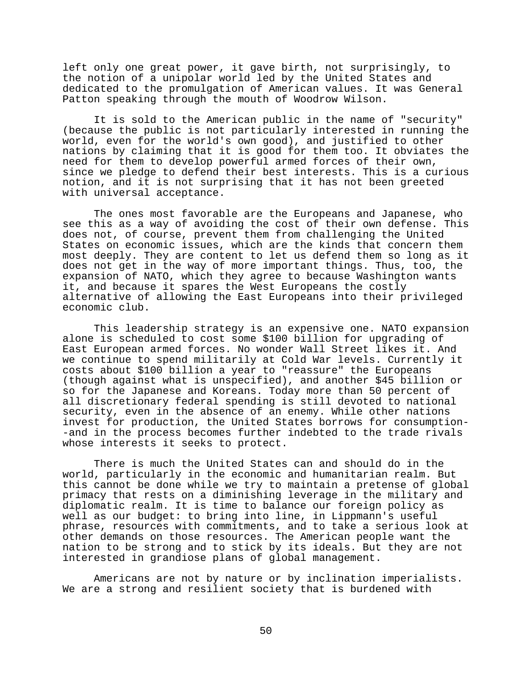left only one great power, it gave birth, not surprisingly, to the notion of a unipolar world led by the United States and dedicated to the promulgation of American values. It was General Patton speaking through the mouth of Woodrow Wilson.

It is sold to the American public in the name of "security" (because the public is not particularly interested in running the world, even for the world's own good), and justified to other nations by claiming that it is good for them too. It obviates the need for them to develop powerful armed forces of their own, since we pledge to defend their best interests. This is a curious notion, and it is not surprising that it has not been greeted with universal acceptance.

The ones most favorable are the Europeans and Japanese, who see this as a way of avoiding the cost of their own defense. This does not, of course, prevent them from challenging the United States on economic issues, which are the kinds that concern them most deeply. They are content to let us defend them so long as it does not get in the way of more important things. Thus, too, the expansion of NATO, which they agree to because Washington wants it, and because it spares the West Europeans the costly alternative of allowing the East Europeans into their privileged economic club.

This leadership strategy is an expensive one. NATO expansion alone is scheduled to cost some \$100 billion for upgrading of East European armed forces. No wonder Wall Street likes it. And we continue to spend militarily at Cold War levels. Currently it costs about \$100 billion a year to "reassure" the Europeans (though against what is unspecified), and another \$45 billion or so for the Japanese and Koreans. Today more than 50 percent of all discretionary federal spending is still devoted to national security, even in the absence of an enemy. While other nations invest for production, the United States borrows for consumption- -and in the process becomes further indebted to the trade rivals whose interests it seeks to protect.

There is much the United States can and should do in the world, particularly in the economic and humanitarian realm. But this cannot be done while we try to maintain a pretense of global primacy that rests on a diminishing leverage in the military and diplomatic realm. It is time to balance our foreign policy as well as our budget: to bring into line, in Lippmann's useful phrase, resources with commitments, and to take a serious look at other demands on those resources. The American people want the nation to be strong and to stick by its ideals. But they are not interested in grandiose plans of global management.

Americans are not by nature or by inclination imperialists. We are a strong and resilient society that is burdened with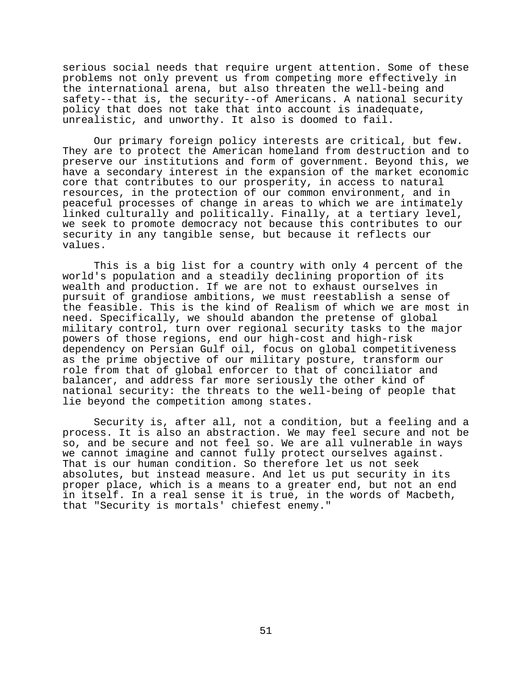serious social needs that require urgent attention. Some of these problems not only prevent us from competing more effectively in the international arena, but also threaten the well-being and safety--that is, the security--of Americans. A national security policy that does not take that into account is inadequate, unrealistic, and unworthy. It also is doomed to fail.

Our primary foreign policy interests are critical, but few. They are to protect the American homeland from destruction and to preserve our institutions and form of government. Beyond this, we have a secondary interest in the expansion of the market economic core that contributes to our prosperity, in access to natural resources, in the protection of our common environment, and in peaceful processes of change in areas to which we are intimately linked culturally and politically. Finally, at a tertiary level, we seek to promote democracy not because this contributes to our security in any tangible sense, but because it reflects our values.

This is a big list for a country with only 4 percent of the world's population and a steadily declining proportion of its wealth and production. If we are not to exhaust ourselves in pursuit of grandiose ambitions, we must reestablish a sense of the feasible. This is the kind of Realism of which we are most in need. Specifically, we should abandon the pretense of global military control, turn over regional security tasks to the major powers of those regions, end our high-cost and high-risk dependency on Persian Gulf oil, focus on global competitiveness as the prime objective of our military posture, transform our role from that of global enforcer to that of conciliator and balancer, and address far more seriously the other kind of national security: the threats to the well-being of people that lie beyond the competition among states.

Security is, after all, not a condition, but a feeling and a process. It is also an abstraction. We may feel secure and not be so, and be secure and not feel so. We are all vulnerable in ways we cannot imagine and cannot fully protect ourselves against. That is our human condition. So therefore let us not seek absolutes, but instead measure. And let us put security in its proper place, which is a means to a greater end, but not an end in itself. In a real sense it is true, in the words of Macbeth, that "Security is mortals' chiefest enemy."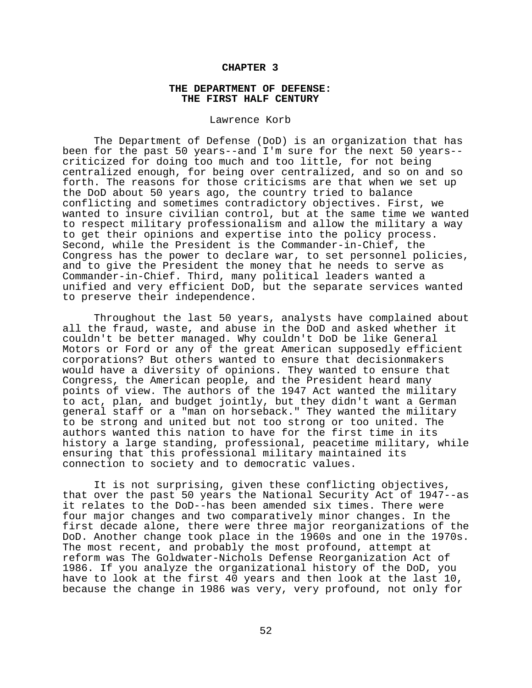## **CHAPTER 3**

## **THE DEPARTMENT OF DEFENSE: THE FIRST HALF CENTURY**

## Lawrence Korb

The Department of Defense (DoD) is an organization that has been for the past 50 years--and I'm sure for the next 50 years- criticized for doing too much and too little, for not being centralized enough, for being over centralized, and so on and so forth. The reasons for those criticisms are that when we set up the DoD about 50 years ago, the country tried to balance conflicting and sometimes contradictory objectives. First, we wanted to insure civilian control, but at the same time we wanted to respect military professionalism and allow the military a way to get their opinions and expertise into the policy process. Second, while the President is the Commander-in-Chief, the Congress has the power to declare war, to set personnel policies, and to give the President the money that he needs to serve as Commander-in-Chief. Third, many political leaders wanted a unified and very efficient DoD, but the separate services wanted to preserve their independence.

Throughout the last 50 years, analysts have complained about all the fraud, waste, and abuse in the DoD and asked whether it couldn't be better managed. Why couldn't DoD be like General Motors or Ford or any of the great American supposedly efficient corporations? But others wanted to ensure that decisionmakers would have a diversity of opinions. They wanted to ensure that Congress, the American people, and the President heard many points of view. The authors of the 1947 Act wanted the military to act, plan, and budget jointly, but they didn't want a German general staff or a "man on horseback." They wanted the military to be strong and united but not too strong or too united. The authors wanted this nation to have for the first time in its history a large standing, professional, peacetime military, while ensuring that this professional military maintained its connection to society and to democratic values.

It is not surprising, given these conflicting objectives, that over the past 50 years the National Security Act of 1947--as it relates to the DoD--has been amended six times. There were four major changes and two comparatively minor changes. In the first decade alone, there were three major reorganizations of the DoD. Another change took place in the 1960s and one in the 1970s. The most recent, and probably the most profound, attempt at reform was The Goldwater-Nichols Defense Reorganization Act of 1986. If you analyze the organizational history of the DoD, you have to look at the first 40 years and then look at the last 10, because the change in 1986 was very, very profound, not only for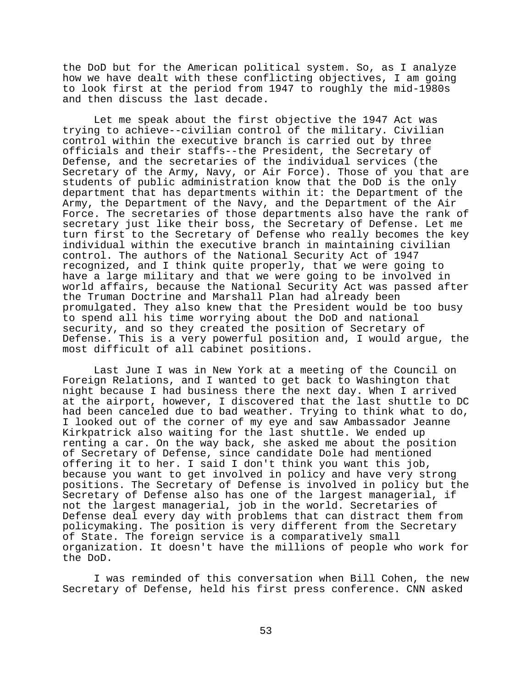the DoD but for the American political system. So, as I analyze how we have dealt with these conflicting objectives, I am going to look first at the period from 1947 to roughly the mid-1980s and then discuss the last decade.

Let me speak about the first objective the 1947 Act was trying to achieve--civilian control of the military. Civilian control within the executive branch is carried out by three officials and their staffs--the President, the Secretary of Defense, and the secretaries of the individual services (the Secretary of the Army, Navy, or Air Force). Those of you that are students of public administration know that the DoD is the only department that has departments within it: the Department of the Army, the Department of the Navy, and the Department of the Air Force. The secretaries of those departments also have the rank of secretary just like their boss, the Secretary of Defense. Let me turn first to the Secretary of Defense who really becomes the key individual within the executive branch in maintaining civilian control. The authors of the National Security Act of 1947 recognized, and I think quite properly, that we were going to have a large military and that we were going to be involved in world affairs, because the National Security Act was passed after the Truman Doctrine and Marshall Plan had already been promulgated. They also knew that the President would be too busy to spend all his time worrying about the DoD and national security, and so they created the position of Secretary of Defense. This is a very powerful position and, I would argue, the most difficult of all cabinet positions.

Last June I was in New York at a meeting of the Council on Foreign Relations, and I wanted to get back to Washington that night because I had business there the next day. When I arrived at the airport, however, I discovered that the last shuttle to DC had been canceled due to bad weather. Trying to think what to do, I looked out of the corner of my eye and saw Ambassador Jeanne Kirkpatrick also waiting for the last shuttle. We ended up renting a car. On the way back, she asked me about the position of Secretary of Defense, since candidate Dole had mentioned offering it to her. I said I don't think you want this job, because you want to get involved in policy and have very strong positions. The Secretary of Defense is involved in policy but the Secretary of Defense also has one of the largest managerial, if not the largest managerial, job in the world. Secretaries of Defense deal every day with problems that can distract them from policymaking. The position is very different from the Secretary of State. The foreign service is a comparatively small organization. It doesn't have the millions of people who work for the DoD.

I was reminded of this conversation when Bill Cohen, the new Secretary of Defense, held his first press conference. CNN asked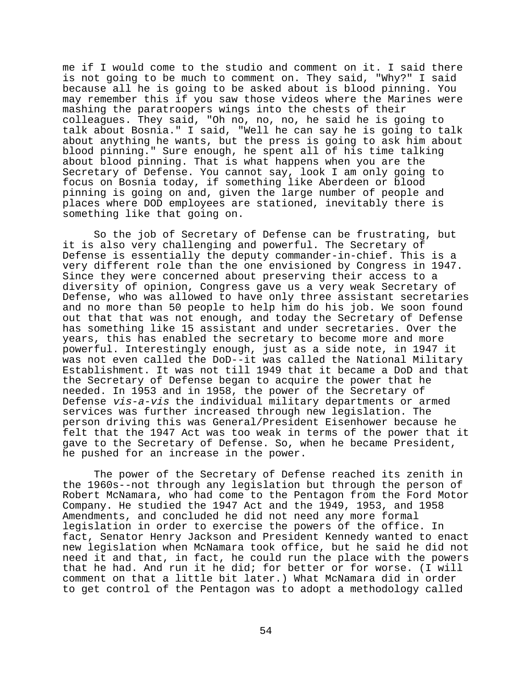me if I would come to the studio and comment on it. I said there is not going to be much to comment on. They said, "Why?" I said because all he is going to be asked about is blood pinning. You may remember this if you saw those videos where the Marines were mashing the paratroopers wings into the chests of their colleagues. They said, "Oh no, no, no, he said he is going to talk about Bosnia." I said, "Well he can say he is going to talk about anything he wants, but the press is going to ask him about blood pinning." Sure enough, he spent all of his time talking about blood pinning. That is what happens when you are the Secretary of Defense. You cannot say, look I am only going to focus on Bosnia today, if something like Aberdeen or blood pinning is going on and, given the large number of people and places where DOD employees are stationed, inevitably there is something like that going on.

So the job of Secretary of Defense can be frustrating, but it is also very challenging and powerful. The Secretary of Defense is essentially the deputy commander-in-chief. This is a very different role than the one envisioned by Congress in 1947. Since they were concerned about preserving their access to a diversity of opinion, Congress gave us a very weak Secretary of Defense, who was allowed to have only three assistant secretaries and no more than 50 people to help him do his job. We soon found out that that was not enough, and today the Secretary of Defense has something like 15 assistant and under secretaries. Over the years, this has enabled the secretary to become more and more powerful. Interestingly enough, just as a side note, in 1947 it was not even called the DoD--it was called the National Military Establishment. It was not till 1949 that it became a DoD and that the Secretary of Defense began to acquire the power that he needed. In 1953 and in 1958, the power of the Secretary of Defense vis-a-vis the individual military departments or armed services was further increased through new legislation. The person driving this was General/President Eisenhower because he felt that the 1947 Act was too weak in terms of the power that it gave to the Secretary of Defense. So, when he became President, he pushed for an increase in the power.

The power of the Secretary of Defense reached its zenith in the 1960s--not through any legislation but through the person of Robert McNamara, who had come to the Pentagon from the Ford Motor Company. He studied the 1947 Act and the 1949, 1953, and 1958 Amendments, and concluded he did not need any more formal legislation in order to exercise the powers of the office. In fact, Senator Henry Jackson and President Kennedy wanted to enact new legislation when McNamara took office, but he said he did not need it and that, in fact, he could run the place with the powers that he had. And run it he did; for better or for worse. (I will comment on that a little bit later.) What McNamara did in order to get control of the Pentagon was to adopt a methodology called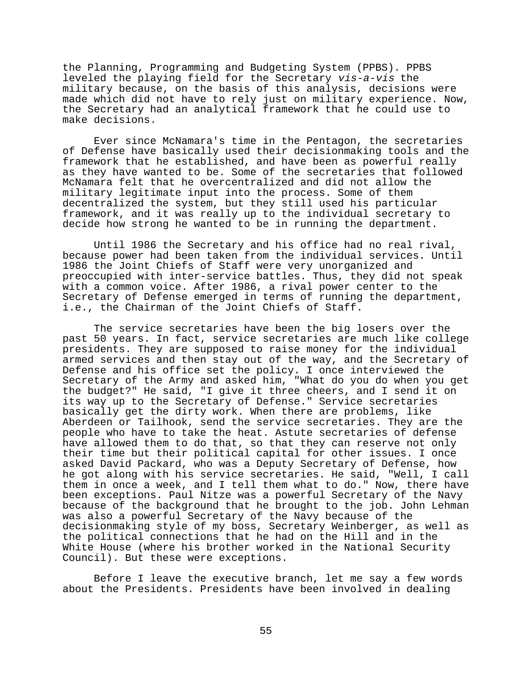the Planning, Programming and Budgeting System (PPBS). PPBS leveled the playing field for the Secretary vis-a-vis the military because, on the basis of this analysis, decisions were made which did not have to rely just on military experience. Now, the Secretary had an analytical framework that he could use to make decisions.

Ever since McNamara's time in the Pentagon, the secretaries of Defense have basically used their decisionmaking tools and the framework that he established, and have been as powerful really as they have wanted to be. Some of the secretaries that followed McNamara felt that he overcentralized and did not allow the military legitimate input into the process. Some of them decentralized the system, but they still used his particular framework, and it was really up to the individual secretary to decide how strong he wanted to be in running the department.

Until 1986 the Secretary and his office had no real rival, because power had been taken from the individual services. Until 1986 the Joint Chiefs of Staff were very unorganized and preoccupied with inter-service battles. Thus, they did not speak with a common voice. After 1986, a rival power center to the Secretary of Defense emerged in terms of running the department, i.e., the Chairman of the Joint Chiefs of Staff.

The service secretaries have been the big losers over the past 50 years. In fact, service secretaries are much like college presidents. They are supposed to raise money for the individual armed services and then stay out of the way, and the Secretary of Defense and his office set the policy. I once interviewed the Secretary of the Army and asked him, "What do you do when you get the budget?" He said, "I give it three cheers, and I send it on its way up to the Secretary of Defense." Service secretaries basically get the dirty work. When there are problems, like Aberdeen or Tailhook, send the service secretaries. They are the people who have to take the heat. Astute secretaries of defense have allowed them to do that, so that they can reserve not only their time but their political capital for other issues. I once asked David Packard, who was a Deputy Secretary of Defense, how he got along with his service secretaries. He said, "Well, I call them in once a week, and I tell them what to do." Now, there have been exceptions. Paul Nitze was a powerful Secretary of the Navy because of the background that he brought to the job. John Lehman was also a powerful Secretary of the Navy because of the decisionmaking style of my boss, Secretary Weinberger, as well as the political connections that he had on the Hill and in the White House (where his brother worked in the National Security Council). But these were exceptions.

Before I leave the executive branch, let me say a few words about the Presidents. Presidents have been involved in dealing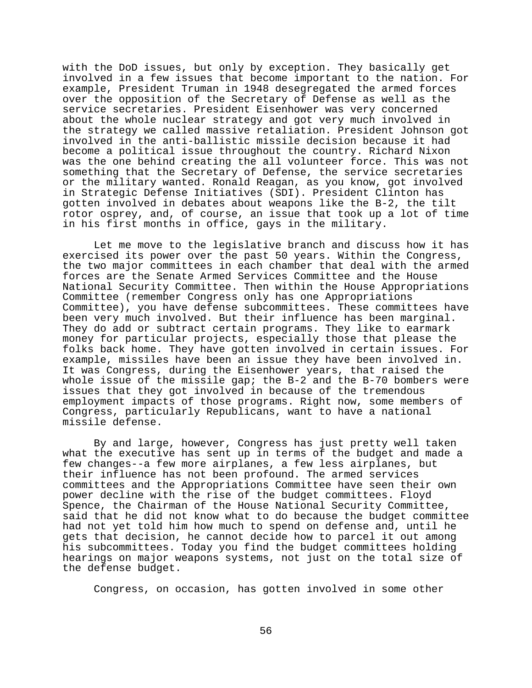with the DoD issues, but only by exception. They basically get involved in a few issues that become important to the nation. For example, President Truman in 1948 desegregated the armed forces over the opposition of the Secretary of Defense as well as the service secretaries. President Eisenhower was very concerned about the whole nuclear strategy and got very much involved in the strategy we called massive retaliation. President Johnson got involved in the anti-ballistic missile decision because it had become a political issue throughout the country. Richard Nixon was the one behind creating the all volunteer force. This was not something that the Secretary of Defense, the service secretaries or the military wanted. Ronald Reagan, as you know, got involved in Strategic Defense Initiatives (SDI). President Clinton has gotten involved in debates about weapons like the B-2, the tilt rotor osprey, and, of course, an issue that took up a lot of time in his first months in office, gays in the military.

Let me move to the legislative branch and discuss how it has exercised its power over the past 50 years. Within the Congress, the two major committees in each chamber that deal with the armed forces are the Senate Armed Services Committee and the House National Security Committee. Then within the House Appropriations Committee (remember Congress only has one Appropriations Committee), you have defense subcommittees. These committees have been very much involved. But their influence has been marginal. They do add or subtract certain programs. They like to earmark money for particular projects, especially those that please the folks back home. They have gotten involved in certain issues. For example, missiles have been an issue they have been involved in. It was Congress, during the Eisenhower years, that raised the whole issue of the missile gap; the B-2 and the B-70 bombers were issues that they got involved in because of the tremendous employment impacts of those programs. Right now, some members of Congress, particularly Republicans, want to have a national missile defense.

By and large, however, Congress has just pretty well taken what the executive has sent up in terms of the budget and made a few changes--a few more airplanes, a few less airplanes, but their influence has not been profound. The armed services committees and the Appropriations Committee have seen their own power decline with the rise of the budget committees. Floyd Spence, the Chairman of the House National Security Committee, said that he did not know what to do because the budget committee had not yet told him how much to spend on defense and, until he gets that decision, he cannot decide how to parcel it out among his subcommittees. Today you find the budget committees holding hearings on major weapons systems, not just on the total size of the defense budget.

Congress, on occasion, has gotten involved in some other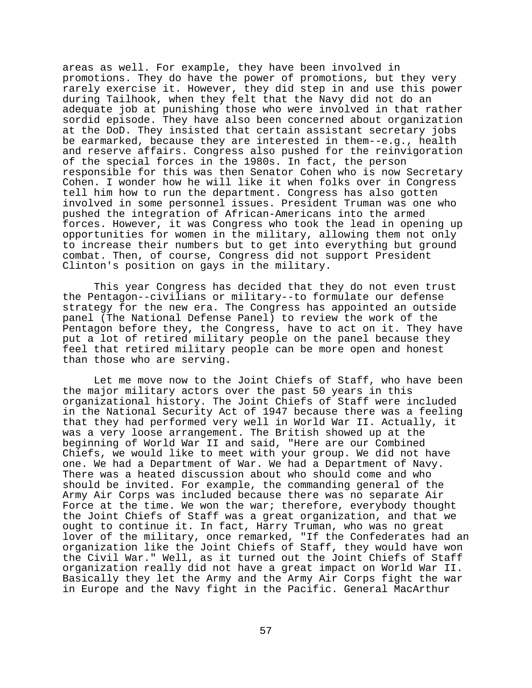areas as well. For example, they have been involved in promotions. They do have the power of promotions, but they very rarely exercise it. However, they did step in and use this power during Tailhook, when they felt that the Navy did not do an adequate job at punishing those who were involved in that rather sordid episode. They have also been concerned about organization at the DoD. They insisted that certain assistant secretary jobs be earmarked, because they are interested in them--e.g., health and reserve affairs. Congress also pushed for the reinvigoration of the special forces in the 1980s. In fact, the person responsible for this was then Senator Cohen who is now Secretary Cohen. I wonder how he will like it when folks over in Congress tell him how to run the department. Congress has also gotten involved in some personnel issues. President Truman was one who pushed the integration of African-Americans into the armed forces. However, it was Congress who took the lead in opening up opportunities for women in the military, allowing them not only to increase their numbers but to get into everything but ground combat. Then, of course, Congress did not support President Clinton's position on gays in the military.

This year Congress has decided that they do not even trust the Pentagon--civilians or military--to formulate our defense strategy for the new era. The Congress has appointed an outside panel (The National Defense Panel) to review the work of the Pentagon before they, the Congress, have to act on it. They have put a lot of retired military people on the panel because they feel that retired military people can be more open and honest than those who are serving.

Let me move now to the Joint Chiefs of Staff, who have been the major military actors over the past 50 years in this organizational history. The Joint Chiefs of Staff were included in the National Security Act of 1947 because there was a feeling that they had performed very well in World War II. Actually, it was a very loose arrangement. The British showed up at the beginning of World War II and said, "Here are our Combined Chiefs, we would like to meet with your group. We did not have one. We had a Department of War. We had a Department of Navy. There was a heated discussion about who should come and who should be invited. For example, the commanding general of the Army Air Corps was included because there was no separate Air Force at the time. We won the war; therefore, everybody thought the Joint Chiefs of Staff was a great organization, and that we ought to continue it. In fact, Harry Truman, who was no great lover of the military, once remarked, "If the Confederates had an organization like the Joint Chiefs of Staff, they would have won the Civil War." Well, as it turned out the Joint Chiefs of Staff organization really did not have a great impact on World War II. Basically they let the Army and the Army Air Corps fight the war in Europe and the Navy fight in the Pacific. General MacArthur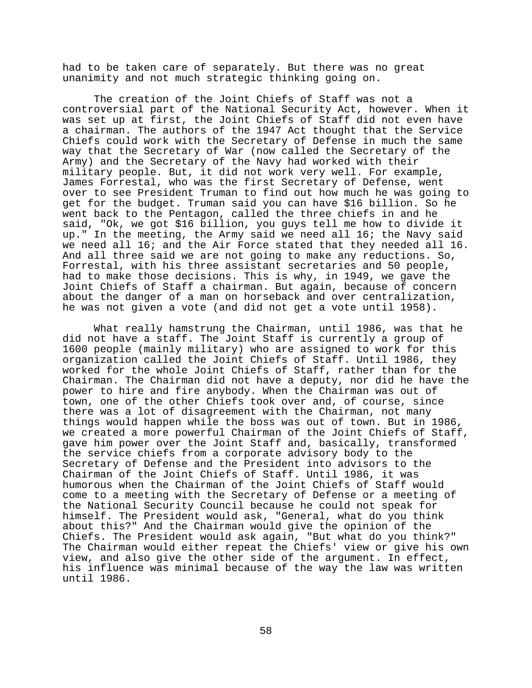had to be taken care of separately. But there was no great unanimity and not much strategic thinking going on.

The creation of the Joint Chiefs of Staff was not a controversial part of the National Security Act, however. When it was set up at first, the Joint Chiefs of Staff did not even have a chairman. The authors of the 1947 Act thought that the Service Chiefs could work with the Secretary of Defense in much the same way that the Secretary of War (now called the Secretary of the Army) and the Secretary of the Navy had worked with their military people. But, it did not work very well. For example, James Forrestal, who was the first Secretary of Defense, went over to see President Truman to find out how much he was going to get for the budget. Truman said you can have \$16 billion. So he went back to the Pentagon, called the three chiefs in and he said, "Ok, we got \$16 billion, you guys tell me how to divide it up." In the meeting, the Army said we need all 16; the Navy said we need all 16; and the Air Force stated that they needed all 16. And all three said we are not going to make any reductions. So, Forrestal, with his three assistant secretaries and 50 people, had to make those decisions. This is why, in 1949, we gave the Joint Chiefs of Staff a chairman. But again, because of concern about the danger of a man on horseback and over centralization, he was not given a vote (and did not get a vote until 1958).

What really hamstrung the Chairman, until 1986, was that he did not have a staff. The Joint Staff is currently a group of 1600 people (mainly military) who are assigned to work for this organization called the Joint Chiefs of Staff. Until 1986, they worked for the whole Joint Chiefs of Staff, rather than for the Chairman. The Chairman did not have a deputy, nor did he have the power to hire and fire anybody. When the Chairman was out of town, one of the other Chiefs took over and, of course, since there was a lot of disagreement with the Chairman, not many things would happen while the boss was out of town. But in 1986, we created a more powerful Chairman of the Joint Chiefs of Staff, gave him power over the Joint Staff and, basically, transformed the service chiefs from a corporate advisory body to the Secretary of Defense and the President into advisors to the Chairman of the Joint Chiefs of Staff. Until 1986, it was humorous when the Chairman of the Joint Chiefs of Staff would come to a meeting with the Secretary of Defense or a meeting of the National Security Council because he could not speak for himself. The President would ask, "General, what do you think about this?" And the Chairman would give the opinion of the Chiefs. The President would ask again, "But what do you think?" The Chairman would either repeat the Chiefs' view or give his own view, and also give the other side of the argument. In effect, his influence was minimal because of the way the law was written until 1986.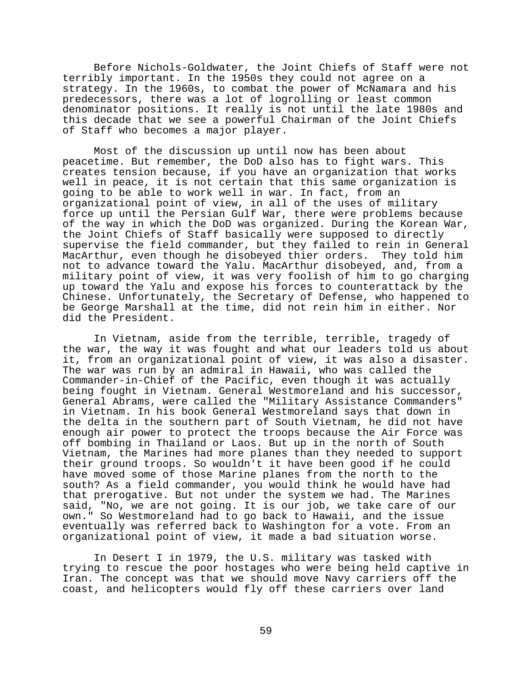Before Nichols-Goldwater, the Joint Chiefs of Staff were not terribly important. In the 1950s they could not agree on a strategy. In the 1960s, to combat the power of McNamara and his predecessors, there was a lot of logrolling or least common denominator positions. It really is not until the late 1980s and this decade that we see a powerful Chairman of the Joint Chiefs of Staff who becomes a major player.

Most of the discussion up until now has been about peacetime. But remember, the DoD also has to fight wars. This creates tension because, if you have an organization that works well in peace, it is not certain that this same organization is going to be able to work well in war. In fact, from an organizational point of view, in all of the uses of military force up until the Persian Gulf War, there were problems because of the way in which the DoD was organized. During the Korean War, the Joint Chiefs of Staff basically were supposed to directly supervise the field commander, but they failed to rein in General MacArthur, even though he disobeyed thier orders. They told him not to advance toward the Yalu. MacArthur disobeyed, and, from a military point of view, it was very foolish of him to go charging up toward the Yalu and expose his forces to counterattack by the Chinese. Unfortunately, the Secretary of Defense, who happened to be George Marshall at the time, did not rein him in either. Nor did the President.

In Vietnam, aside from the terrible, terrible, tragedy of the war, the way it was fought and what our leaders told us about it, from an organizational point of view, it was also a disaster. The war was run by an admiral in Hawaii, who was called the Commander-in-Chief of the Pacific, even though it was actually being fought in Vietnam. General Westmoreland and his successor, General Abrams, were called the "Military Assistance Commanders" in Vietnam. In his book General Westmoreland says that down in the delta in the southern part of South Vietnam, he did not have enough air power to protect the troops because the Air Force was off bombing in Thailand or Laos. But up in the north of South Vietnam, the Marines had more planes than they needed to support their ground troops. So wouldn't it have been good if he could have moved some of those Marine planes from the north to the south? As a field commander, you would think he would have had that prerogative. But not under the system we had. The Marines said, "No, we are not going. It is our job, we take care of our own." So Westmoreland had to go back to Hawaii, and the issue eventually was referred back to Washington for a vote. From an organizational point of view, it made a bad situation worse.

In Desert I in 1979, the U.S. military was tasked with trying to rescue the poor hostages who were being held captive in Iran. The concept was that we should move Navy carriers off the coast, and helicopters would fly off these carriers over land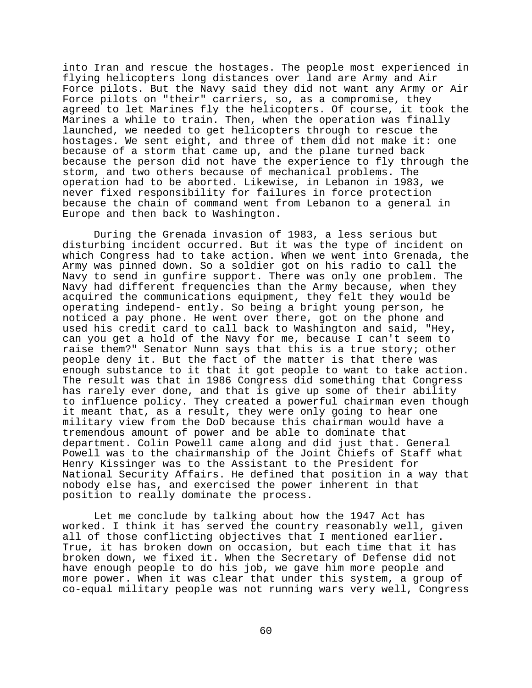into Iran and rescue the hostages. The people most experienced in flying helicopters long distances over land are Army and Air Force pilots. But the Navy said they did not want any Army or Air Force pilots on "their" carriers, so, as a compromise, they agreed to let Marines fly the helicopters. Of course, it took the Marines a while to train. Then, when the operation was finally launched, we needed to get helicopters through to rescue the hostages. We sent eight, and three of them did not make it: one because of a storm that came up, and the plane turned back because the person did not have the experience to fly through the storm, and two others because of mechanical problems. The operation had to be aborted. Likewise, in Lebanon in 1983, we never fixed responsibility for failures in force protection because the chain of command went from Lebanon to a general in Europe and then back to Washington.

During the Grenada invasion of 1983, a less serious but disturbing incident occurred. But it was the type of incident on which Congress had to take action. When we went into Grenada, the Army was pinned down. So a soldier got on his radio to call the Navy to send in gunfire support. There was only one problem. The Navy had different frequencies than the Army because, when they acquired the communications equipment, they felt they would be operating independ- ently. So being a bright young person, he noticed a pay phone. He went over there, got on the phone and used his credit card to call back to Washington and said, "Hey, can you get a hold of the Navy for me, because I can't seem to raise them?" Senator Nunn says that this is a true story; other people deny it. But the fact of the matter is that there was enough substance to it that it got people to want to take action. The result was that in 1986 Congress did something that Congress has rarely ever done, and that is give up some of their ability to influence policy. They created a powerful chairman even though it meant that, as a result, they were only going to hear one military view from the DoD because this chairman would have a tremendous amount of power and be able to dominate that department. Colin Powell came along and did just that. General Powell was to the chairmanship of the Joint Chiefs of Staff what Henry Kissinger was to the Assistant to the President for National Security Affairs. He defined that position in a way that nobody else has, and exercised the power inherent in that position to really dominate the process.

Let me conclude by talking about how the 1947 Act has worked. I think it has served the country reasonably well, given all of those conflicting objectives that I mentioned earlier. True, it has broken down on occasion, but each time that it has broken down, we fixed it. When the Secretary of Defense did not have enough people to do his job, we gave him more people and more power. When it was clear that under this system, a group of co-equal military people was not running wars very well, Congress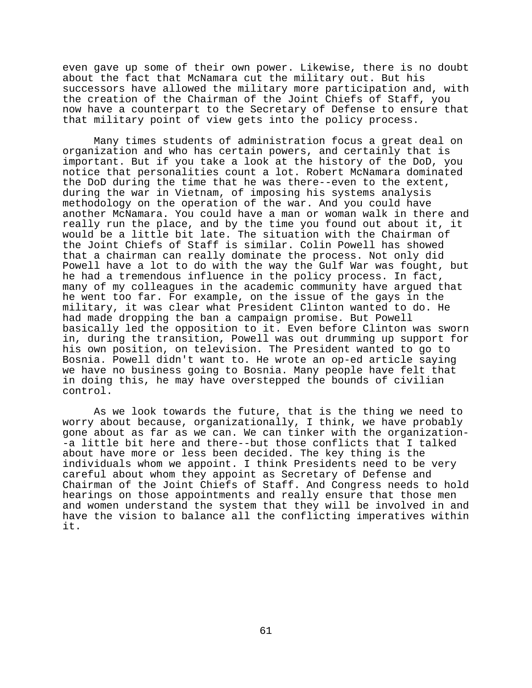even gave up some of their own power. Likewise, there is no doubt about the fact that McNamara cut the military out. But his successors have allowed the military more participation and, with the creation of the Chairman of the Joint Chiefs of Staff, you now have a counterpart to the Secretary of Defense to ensure that that military point of view gets into the policy process.

Many times students of administration focus a great deal on organization and who has certain powers, and certainly that is important. But if you take a look at the history of the DoD, you notice that personalities count a lot. Robert McNamara dominated the DoD during the time that he was there--even to the extent, during the war in Vietnam, of imposing his systems analysis methodology on the operation of the war. And you could have another McNamara. You could have a man or woman walk in there and really run the place, and by the time you found out about it, it would be a little bit late. The situation with the Chairman of the Joint Chiefs of Staff is similar. Colin Powell has showed that a chairman can really dominate the process. Not only did Powell have a lot to do with the way the Gulf War was fought, but he had a tremendous influence in the policy process. In fact, many of my colleagues in the academic community have argued that he went too far. For example, on the issue of the gays in the military, it was clear what President Clinton wanted to do. He had made dropping the ban a campaign promise. But Powell basically led the opposition to it. Even before Clinton was sworn in, during the transition, Powell was out drumming up support for his own position, on television. The President wanted to go to Bosnia. Powell didn't want to. He wrote an op-ed article saying we have no business going to Bosnia. Many people have felt that in doing this, he may have overstepped the bounds of civilian control.

As we look towards the future, that is the thing we need to worry about because, organizationally, I think, we have probably gone about as far as we can. We can tinker with the organization- -a little bit here and there--but those conflicts that I talked about have more or less been decided. The key thing is the individuals whom we appoint. I think Presidents need to be very careful about whom they appoint as Secretary of Defense and Chairman of the Joint Chiefs of Staff. And Congress needs to hold hearings on those appointments and really ensure that those men and women understand the system that they will be involved in and have the vision to balance all the conflicting imperatives within it.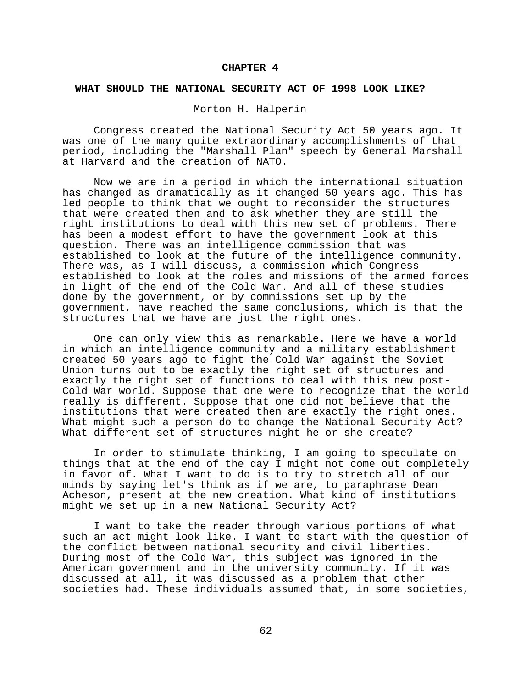#### **CHAPTER 4**

#### **WHAT SHOULD THE NATIONAL SECURITY ACT OF 1998 LOOK LIKE?**

# Morton H. Halperin

Congress created the National Security Act 50 years ago. It was one of the many quite extraordinary accomplishments of that period, including the "Marshall Plan" speech by General Marshall at Harvard and the creation of NATO.

Now we are in a period in which the international situation has changed as dramatically as it changed 50 years ago. This has led people to think that we ought to reconsider the structures that were created then and to ask whether they are still the right institutions to deal with this new set of problems. There has been a modest effort to have the government look at this question. There was an intelligence commission that was established to look at the future of the intelligence community. There was, as I will discuss, a commission which Congress established to look at the roles and missions of the armed forces in light of the end of the Cold War. And all of these studies done by the government, or by commissions set up by the government, have reached the same conclusions, which is that the structures that we have are just the right ones.

One can only view this as remarkable. Here we have a world in which an intelligence community and a military establishment created 50 years ago to fight the Cold War against the Soviet Union turns out to be exactly the right set of structures and exactly the right set of functions to deal with this new post-Cold War world. Suppose that one were to recognize that the world really is different. Suppose that one did not believe that the institutions that were created then are exactly the right ones. What might such a person do to change the National Security Act? What different set of structures might he or she create?

In order to stimulate thinking, I am going to speculate on things that at the end of the day I might not come out completely in favor of. What I want to do is to try to stretch all of our minds by saying let's think as if we are, to paraphrase Dean Acheson, present at the new creation. What kind of institutions might we set up in a new National Security Act?

I want to take the reader through various portions of what such an act might look like. I want to start with the question of the conflict between national security and civil liberties. During most of the Cold War, this subject was ignored in the American government and in the university community. If it was discussed at all, it was discussed as a problem that other societies had. These individuals assumed that, in some societies,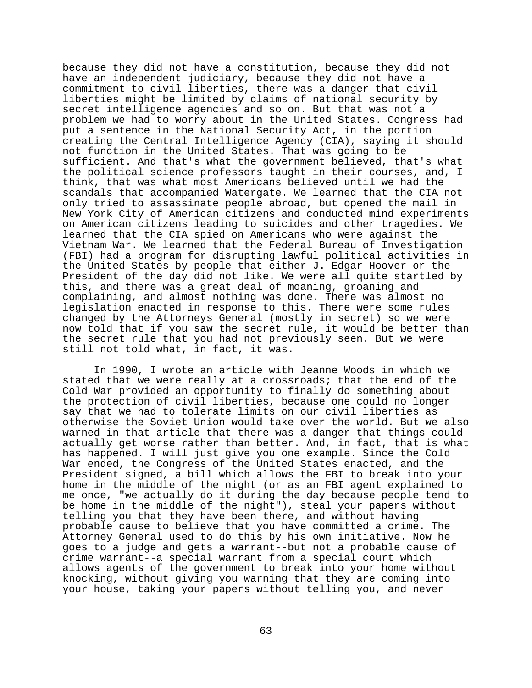because they did not have a constitution, because they did not have an independent judiciary, because they did not have a commitment to civil liberties, there was a danger that civil liberties might be limited by claims of national security by secret intelligence agencies and so on. But that was not a problem we had to worry about in the United States. Congress had put a sentence in the National Security Act, in the portion creating the Central Intelligence Agency (CIA), saying it should not function in the United States. That was going to be sufficient. And that's what the government believed, that's what the political science professors taught in their courses, and, I think, that was what most Americans believed until we had the scandals that accompanied Watergate. We learned that the CIA not only tried to assassinate people abroad, but opened the mail in New York City of American citizens and conducted mind experiments on American citizens leading to suicides and other tragedies. We learned that the CIA spied on Americans who were against the Vietnam War. We learned that the Federal Bureau of Investigation (FBI) had a program for disrupting lawful political activities in the United States by people that either J. Edgar Hoover or the President of the day did not like. We were all quite startled by this, and there was a great deal of moaning, groaning and complaining, and almost nothing was done. There was almost no legislation enacted in response to this. There were some rules changed by the Attorneys General (mostly in secret) so we were now told that if you saw the secret rule, it would be better than the secret rule that you had not previously seen. But we were still not told what, in fact, it was.

In 1990, I wrote an article with Jeanne Woods in which we stated that we were really at a crossroads; that the end of the Cold War provided an opportunity to finally do something about the protection of civil liberties, because one could no longer say that we had to tolerate limits on our civil liberties as otherwise the Soviet Union would take over the world. But we also warned in that article that there was a danger that things could actually get worse rather than better. And, in fact, that is what has happened. I will just give you one example. Since the Cold War ended, the Congress of the United States enacted, and the President signed, a bill which allows the FBI to break into your home in the middle of the night (or as an FBI agent explained to me once, "we actually do it during the day because people tend to be home in the middle of the night"), steal your papers without telling you that they have been there, and without having probable cause to believe that you have committed a crime. The Attorney General used to do this by his own initiative. Now he goes to a judge and gets a warrant--but not a probable cause of crime warrant--a special warrant from a special court which allows agents of the government to break into your home without knocking, without giving you warning that they are coming into your house, taking your papers without telling you, and never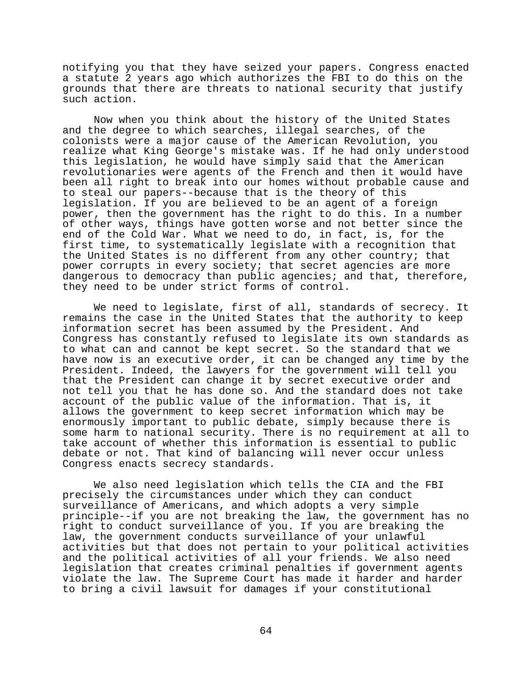notifying you that they have seized your papers. Congress enacted a statute 2 years ago which authorizes the FBI to do this on the grounds that there are threats to national security that justify such action.

Now when you think about the history of the United States and the degree to which searches, illegal searches, of the colonists were a major cause of the American Revolution, you realize what King George's mistake was. If he had only understood this legislation, he would have simply said that the American revolutionaries were agents of the French and then it would have been all right to break into our homes without probable cause and to steal our papers--because that is the theory of this legislation. If you are believed to be an agent of a foreign power, then the government has the right to do this. In a number of other ways, things have gotten worse and not better since the end of the Cold War. What we need to do, in fact, is, for the first time, to systematically legislate with a recognition that the United States is no different from any other country; that power corrupts in every society; that secret agencies are more dangerous to democracy than public agencies; and that, therefore, they need to be under strict forms of control.

We need to legislate, first of all, standards of secrecy. It remains the case in the United States that the authority to keep information secret has been assumed by the President. And Congress has constantly refused to legislate its own standards as to what can and cannot be kept secret. So the standard that we have now is an executive order, it can be changed any time by the President. Indeed, the lawyers for the government will tell you that the President can change it by secret executive order and not tell you that he has done so. And the standard does not take account of the public value of the information. That is, it allows the government to keep secret information which may be enormously important to public debate, simply because there is some harm to national security. There is no requirement at all to take account of whether this information is essential to public debate or not. That kind of balancing will never occur unless Congress enacts secrecy standards.

We also need legislation which tells the CIA and the FBI precisely the circumstances under which they can conduct surveillance of Americans, and which adopts a very simple principle--if you are not breaking the law, the government has no right to conduct surveillance of you. If you are breaking the law, the government conducts surveillance of your unlawful activities but that does not pertain to your political activities and the political activities of all your friends. We also need legislation that creates criminal penalties if government agents violate the law. The Supreme Court has made it harder and harder to bring a civil lawsuit for damages if your constitutional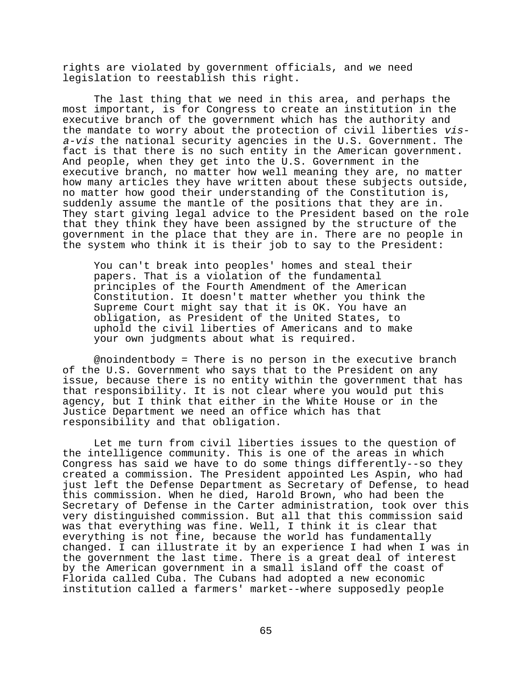rights are violated by government officials, and we need legislation to reestablish this right.

The last thing that we need in this area, and perhaps the most important, is for Congress to create an institution in the executive branch of the government which has the authority and the mandate to worry about the protection of civil liberties visa-vis the national security agencies in the U.S. Government. The fact is that there is no such entity in the American government. And people, when they get into the U.S. Government in the executive branch, no matter how well meaning they are, no matter how many articles they have written about these subjects outside, no matter how good their understanding of the Constitution is, suddenly assume the mantle of the positions that they are in. They start giving legal advice to the President based on the role that they think they have been assigned by the structure of the government in the place that they are in. There are no people in the system who think it is their job to say to the President:

You can't break into peoples' homes and steal their papers. That is a violation of the fundamental principles of the Fourth Amendment of the American Constitution. It doesn't matter whether you think the Supreme Court might say that it is OK. You have an obligation, as President of the United States, to uphold the civil liberties of Americans and to make your own judgments about what is required.

@noindentbody = There is no person in the executive branch of the U.S. Government who says that to the President on any issue, because there is no entity within the government that has that responsibility. It is not clear where you would put this agency, but I think that either in the White House or in the Justice Department we need an office which has that responsibility and that obligation.

Let me turn from civil liberties issues to the question of the intelligence community. This is one of the areas in which Congress has said we have to do some things differently--so they created a commission. The President appointed Les Aspin, who had just left the Defense Department as Secretary of Defense, to head this commission. When he died, Harold Brown, who had been the Secretary of Defense in the Carter administration, took over this very distinguished commission. But all that this commission said was that everything was fine. Well, I think it is clear that everything is not fine, because the world has fundamentally changed. I can illustrate it by an experience I had when I was in the government the last time. There is a great deal of interest by the American government in a small island off the coast of Florida called Cuba. The Cubans had adopted a new economic institution called a farmers' market--where supposedly people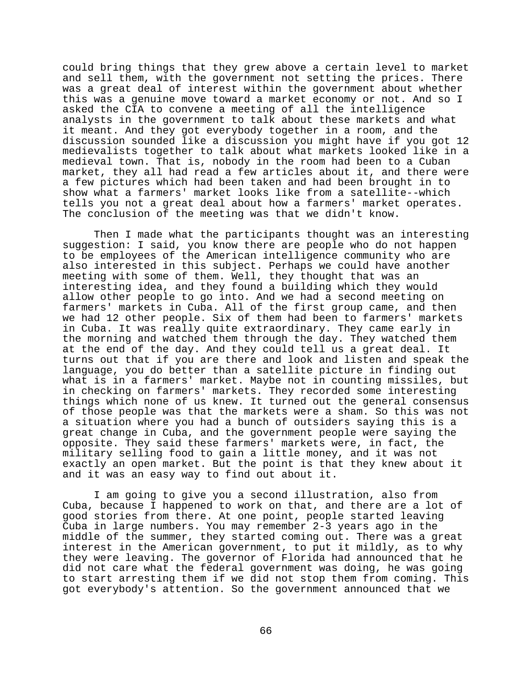could bring things that they grew above a certain level to market and sell them, with the government not setting the prices. There was a great deal of interest within the government about whether this was a genuine move toward a market economy or not. And so I asked the CIA to convene a meeting of all the intelligence analysts in the government to talk about these markets and what it meant. And they got everybody together in a room, and the discussion sounded like a discussion you might have if you got 12 medievalists together to talk about what markets looked like in a medieval town. That is, nobody in the room had been to a Cuban market, they all had read a few articles about it, and there were a few pictures which had been taken and had been brought in to show what a farmers' market looks like from a satellite--which tells you not a great deal about how a farmers' market operates. The conclusion of the meeting was that we didn't know.

Then I made what the participants thought was an interesting suggestion: I said, you know there are people who do not happen to be employees of the American intelligence community who are also interested in this subject. Perhaps we could have another meeting with some of them. Well, they thought that was an interesting idea, and they found a building which they would allow other people to go into. And we had a second meeting on farmers' markets in Cuba. All of the first group came, and then we had 12 other people. Six of them had been to farmers' markets in Cuba. It was really quite extraordinary. They came early in the morning and watched them through the day. They watched them at the end of the day. And they could tell us a great deal. It turns out that if you are there and look and listen and speak the language, you do better than a satellite picture in finding out what is in a farmers' market. Maybe not in counting missiles, but in checking on farmers' markets. They recorded some interesting things which none of us knew. It turned out the general consensus of those people was that the markets were a sham. So this was not a situation where you had a bunch of outsiders saying this is a great change in Cuba, and the government people were saying the opposite. They said these farmers' markets were, in fact, the military selling food to gain a little money, and it was not exactly an open market. But the point is that they knew about it and it was an easy way to find out about it.

I am going to give you a second illustration, also from Cuba, because I happened to work on that, and there are a lot of good stories from there. At one point, people started leaving Cuba in large numbers. You may remember 2-3 years ago in the middle of the summer, they started coming out. There was a great interest in the American government, to put it mildly, as to why they were leaving. The governor of Florida had announced that he did not care what the federal government was doing, he was going to start arresting them if we did not stop them from coming. This got everybody's attention. So the government announced that we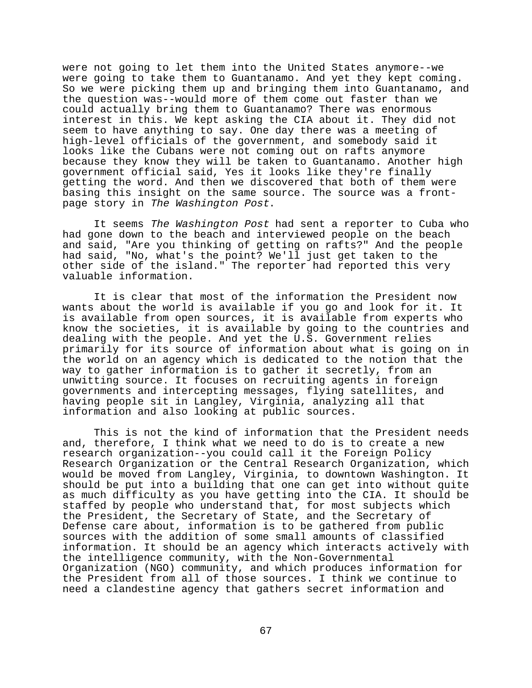were not going to let them into the United States anymore--we were going to take them to Guantanamo. And yet they kept coming. So we were picking them up and bringing them into Guantanamo, and the question was--would more of them come out faster than we could actually bring them to Guantanamo? There was enormous interest in this. We kept asking the CIA about it. They did not seem to have anything to say. One day there was a meeting of high-level officials of the government, and somebody said it looks like the Cubans were not coming out on rafts anymore because they know they will be taken to Guantanamo. Another high government official said, Yes it looks like they're finally getting the word. And then we discovered that both of them were basing this insight on the same source. The source was a frontpage story in The Washington Post.

It seems The Washington Post had sent a reporter to Cuba who had gone down to the beach and interviewed people on the beach and said, "Are you thinking of getting on rafts?" And the people had said, "No, what's the point? We'll just get taken to the other side of the island." The reporter had reported this very valuable information.

It is clear that most of the information the President now wants about the world is available if you go and look for it. It is available from open sources, it is available from experts who know the societies, it is available by going to the countries and dealing with the people. And yet the U.S. Government relies primarily for its source of information about what is going on in the world on an agency which is dedicated to the notion that the way to gather information is to gather it secretly, from an unwitting source. It focuses on recruiting agents in foreign governments and intercepting messages, flying satellites, and having people sit in Langley, Virginia, analyzing all that information and also looking at public sources.

This is not the kind of information that the President needs and, therefore, I think what we need to do is to create a new research organization--you could call it the Foreign Policy Research Organization or the Central Research Organization, which would be moved from Langley, Virginia, to downtown Washington. It should be put into a building that one can get into without quite as much difficulty as you have getting into the CIA. It should be staffed by people who understand that, for most subjects which the President, the Secretary of State, and the Secretary of Defense care about, information is to be gathered from public sources with the addition of some small amounts of classified information. It should be an agency which interacts actively with the intelligence community, with the Non-Governmental Organization (NGO) community, and which produces information for the President from all of those sources. I think we continue to need a clandestine agency that gathers secret information and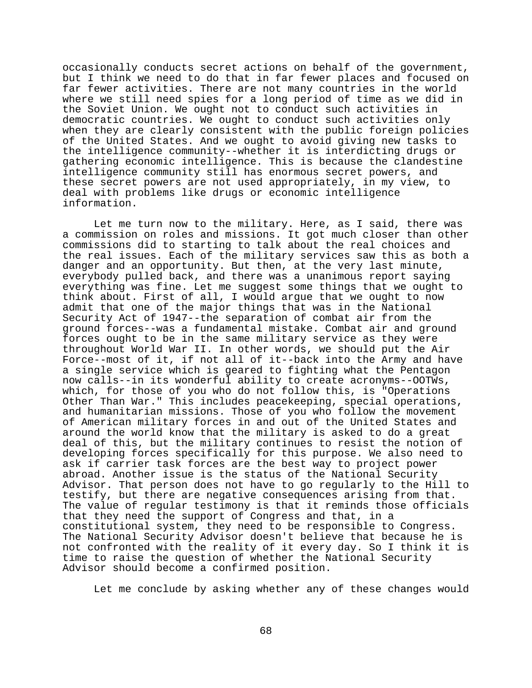occasionally conducts secret actions on behalf of the government, but I think we need to do that in far fewer places and focused on far fewer activities. There are not many countries in the world where we still need spies for a long period of time as we did in the Soviet Union. We ought not to conduct such activities in democratic countries. We ought to conduct such activities only when they are clearly consistent with the public foreign policies of the United States. And we ought to avoid giving new tasks to the intelligence community--whether it is interdicting drugs or gathering economic intelligence. This is because the clandestine intelligence community still has enormous secret powers, and these secret powers are not used appropriately, in my view, to deal with problems like drugs or economic intelligence information.

Let me turn now to the military. Here, as I said, there was a commission on roles and missions. It got much closer than other commissions did to starting to talk about the real choices and the real issues. Each of the military services saw this as both a danger and an opportunity. But then, at the very last minute, everybody pulled back, and there was a unanimous report saying everything was fine. Let me suggest some things that we ought to think about. First of all, I would argue that we ought to now admit that one of the major things that was in the National Security Act of 1947--the separation of combat air from the ground forces--was a fundamental mistake. Combat air and ground forces ought to be in the same military service as they were throughout World War II. In other words, we should put the Air Force--most of it, if not all of it--back into the Army and have a single service which is geared to fighting what the Pentagon now calls--in its wonderful ability to create acronyms--OOTWs, which, for those of you who do not follow this, is "Operations Other Than War." This includes peacekeeping, special operations, and humanitarian missions. Those of you who follow the movement of American military forces in and out of the United States and around the world know that the military is asked to do a great deal of this, but the military continues to resist the notion of developing forces specifically for this purpose. We also need to ask if carrier task forces are the best way to project power abroad. Another issue is the status of the National Security Advisor. That person does not have to go regularly to the Hill to testify, but there are negative consequences arising from that. The value of regular testimony is that it reminds those officials that they need the support of Congress and that, in a constitutional system, they need to be responsible to Congress. The National Security Advisor doesn't believe that because he is not confronted with the reality of it every day. So I think it is time to raise the question of whether the National Security Advisor should become a confirmed position.

Let me conclude by asking whether any of these changes would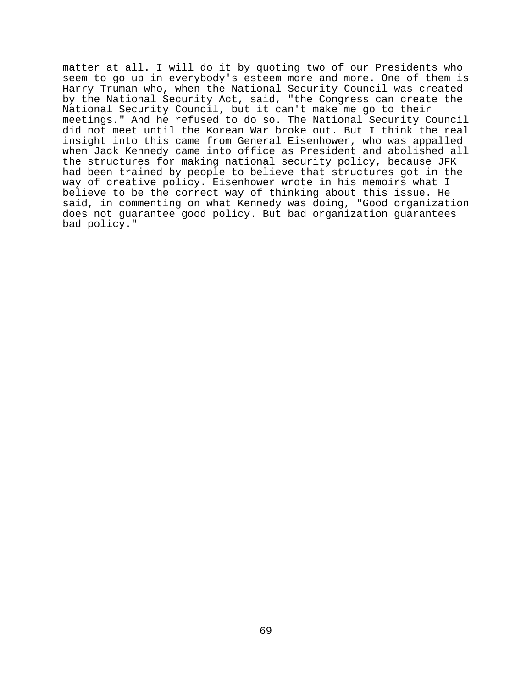matter at all. I will do it by quoting two of our Presidents who seem to go up in everybody's esteem more and more. One of them is Harry Truman who, when the National Security Council was created by the National Security Act, said, "the Congress can create the National Security Council, but it can't make me go to their meetings." And he refused to do so. The National Security Council did not meet until the Korean War broke out. But I think the real insight into this came from General Eisenhower, who was appalled when Jack Kennedy came into office as President and abolished all the structures for making national security policy, because JFK had been trained by people to believe that structures got in the way of creative policy. Eisenhower wrote in his memoirs what I believe to be the correct way of thinking about this issue. He said, in commenting on what Kennedy was doing, "Good organization does not guarantee good policy. But bad organization guarantees bad policy."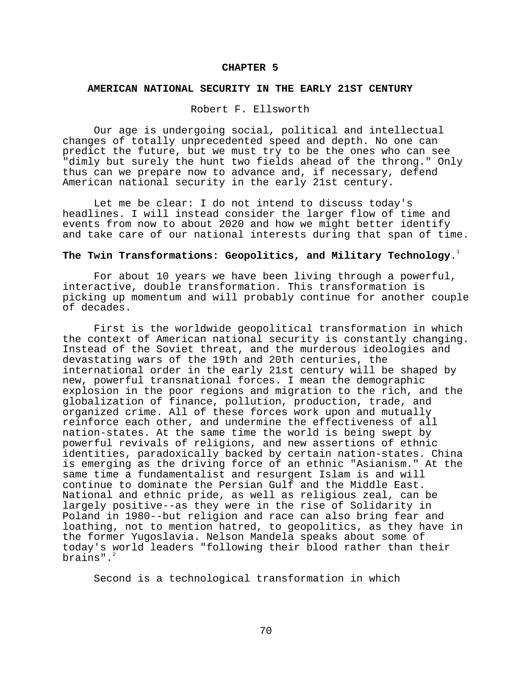#### **CHAPTER 5**

# **AMERICAN NATIONAL SECURITY IN THE EARLY 21ST CENTURY**

## Robert F. Ellsworth

Our age is undergoing social, political and intellectual changes of totally unprecedented speed and depth. No one can predict the future, but we must try to be the ones who can see "dimly but surely the hunt two fields ahead of the throng." Only thus can we prepare now to advance and, if necessary, defend American national security in the early 21st century.

Let me be clear: I do not intend to discuss today's headlines. I will instead consider the larger flow of time and events from now to about 2020 and how we might better identify and take care of our national interests during that span of time.

# **The Twin Transformations: Geopolitics, and Military Technology**.1

For about 10 years we have been living through a powerful, interactive, double transformation. This transformation is picking up momentum and will probably continue for another couple of decades.

First is the worldwide geopolitical transformation in which the context of American national security is constantly changing. Instead of the Soviet threat, and the murderous ideologies and devastating wars of the 19th and 20th centuries, the international order in the early 21st century will be shaped by new, powerful transnational forces. I mean the demographic explosion in the poor regions and migration to the rich, and the globalization of finance, pollution, production, trade, and organized crime. All of these forces work upon and mutually reinforce each other, and undermine the effectiveness of all nation-states. At the same time the world is being swept by powerful revivals of religions, and new assertions of ethnic identities, paradoxically backed by certain nation-states. China is emerging as the driving force of an ethnic "Asianism." At the same time a fundamentalist and resurgent Islam is and will continue to dominate the Persian Gulf and the Middle East. National and ethnic pride, as well as religious zeal, can be largely positive--as they were in the rise of Solidarity in Poland in 1980--but religion and race can also bring fear and loathing, not to mention hatred, to geopolitics, as they have in the former Yugoslavia. Nelson Mandela speaks about some of today's world leaders "following their blood rather than their brains".

Second is a technological transformation in which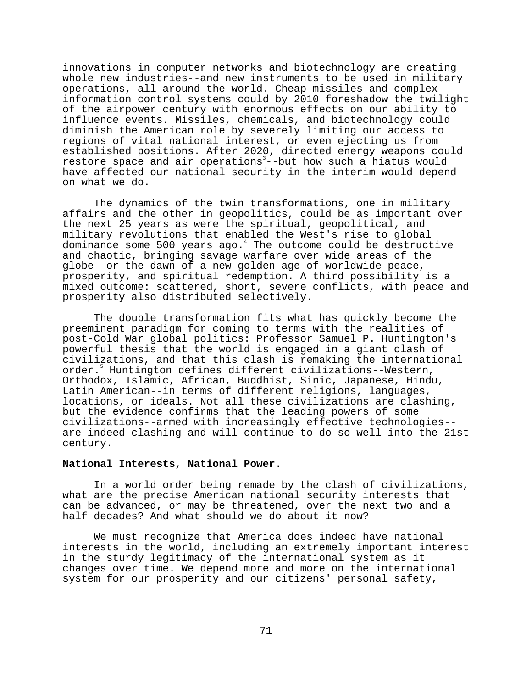innovations in computer networks and biotechnology are creating whole new industries--and new instruments to be used in military operations, all around the world. Cheap missiles and complex information control systems could by 2010 foreshadow the twilight of the airpower century with enormous effects on our ability to influence events. Missiles, chemicals, and biotechnology could diminish the American role by severely limiting our access to regions of vital national interest, or even ejecting us from established positions. After 2020, directed energy weapons could restore space and air operations<sup>3</sup>--but how such a hiatus would have affected our national security in the interim would depend on what we do.

The dynamics of the twin transformations, one in military affairs and the other in geopolitics, could be as important over the next 25 years as were the spiritual, geopolitical, and military revolutions that enabled the West's rise to global dominance some 500 years ago.<sup>4</sup> The outcome could be destructive and chaotic, bringing savage warfare over wide areas of the globe--or the dawn of a new golden age of worldwide peace, prosperity, and spiritual redemption. A third possibility is a mixed outcome: scattered, short, severe conflicts, with peace and prosperity also distributed selectively.

The double transformation fits what has quickly become the preeminent paradigm for coming to terms with the realities of post-Cold War global politics: Professor Samuel P. Huntington's powerful thesis that the world is engaged in a giant clash of civilizations, and that this clash is remaking the international order.5 Huntington defines different civilizations--Western, Orthodox, Islamic, African, Buddhist, Sinic, Japanese, Hindu, Latin American--in terms of different religions, languages, locations, or ideals. Not all these civilizations are clashing, but the evidence confirms that the leading powers of some civilizations--armed with increasingly effective technologies- are indeed clashing and will continue to do so well into the 21st century.

## **National Interests, National Power**.

In a world order being remade by the clash of civilizations, what are the precise American national security interests that can be advanced, or may be threatened, over the next two and a half decades? And what should we do about it now?

We must recognize that America does indeed have national interests in the world, including an extremely important interest in the sturdy legitimacy of the international system as it changes over time. We depend more and more on the international system for our prosperity and our citizens' personal safety,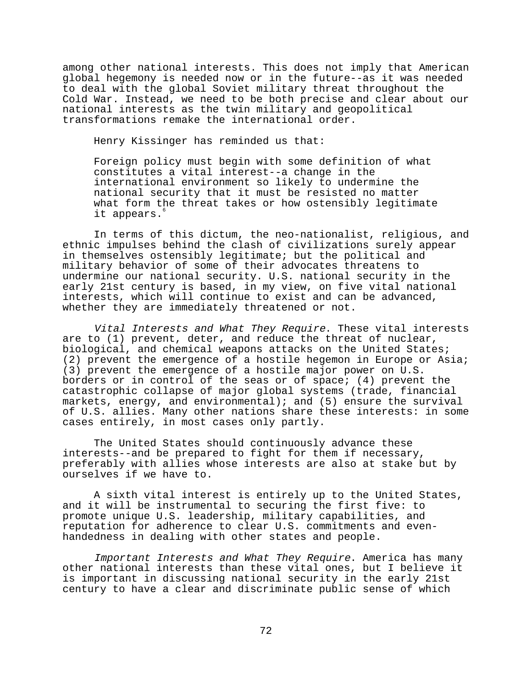among other national interests. This does not imply that American global hegemony is needed now or in the future--as it was needed to deal with the global Soviet military threat throughout the Cold War. Instead, we need to be both precise and clear about our national interests as the twin military and geopolitical transformations remake the international order.

Henry Kissinger has reminded us that:

Foreign policy must begin with some definition of what constitutes a vital interest--a change in the international environment so likely to undermine the national security that it must be resisted no matter what form the threat takes or how ostensibly legitimate it appears.<sup>6</sup>

In terms of this dictum, the neo-nationalist, religious, and ethnic impulses behind the clash of civilizations surely appear in themselves ostensibly legitimate; but the political and military behavior of some of their advocates threatens to undermine our national security. U.S. national security in the early 21st century is based, in my view, on five vital national interests, which will continue to exist and can be advanced, whether they are immediately threatened or not.

Vital Interests and What They Require. These vital interests are to (1) prevent, deter, and reduce the threat of nuclear, biological, and chemical weapons attacks on the United States; (2) prevent the emergence of a hostile hegemon in Europe or Asia; (3) prevent the emergence of a hostile major power on U.S. borders or in control of the seas or of space; (4) prevent the catastrophic collapse of major global systems (trade, financial markets, energy, and environmental); and (5) ensure the survival of U.S. allies. Many other nations share these interests: in some cases entirely, in most cases only partly.

The United States should continuously advance these interests--and be prepared to fight for them if necessary, preferably with allies whose interests are also at stake but by ourselves if we have to.

A sixth vital interest is entirely up to the United States, and it will be instrumental to securing the first five: to promote unique U.S. leadership, military capabilities, and reputation for adherence to clear U.S. commitments and evenhandedness in dealing with other states and people.

Important Interests and What They Require. America has many other national interests than these vital ones, but I believe it is important in discussing national security in the early 21st century to have a clear and discriminate public sense of which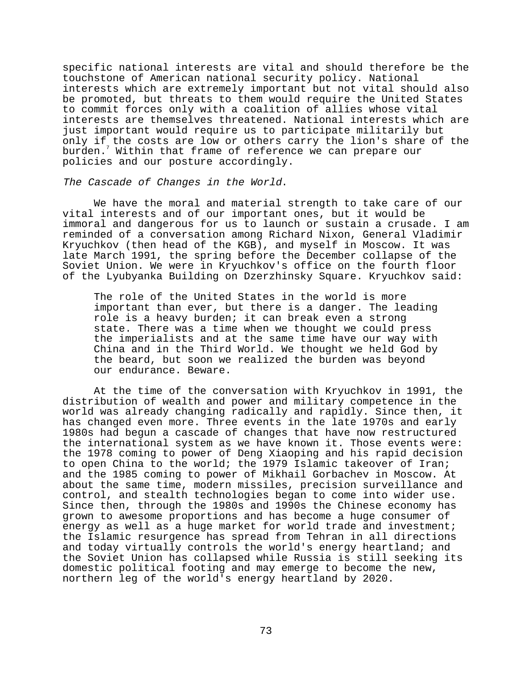specific national interests are vital and should therefore be the touchstone of American national security policy. National interests which are extremely important but not vital should also be promoted, but threats to them would require the United States to commit forces only with a coalition of allies whose vital interests are themselves threatened. National interests which are just important would require us to participate militarily but only if the costs are low or others carry the lion's share of the burden.<sup>7</sup> Within that frame of reference we can prepare our policies and our posture accordingly.

#### The Cascade of Changes in the World.

We have the moral and material strength to take care of our vital interests and of our important ones, but it would be immoral and dangerous for us to launch or sustain a crusade. I am reminded of a conversation among Richard Nixon, General Vladimir Kryuchkov (then head of the KGB), and myself in Moscow. It was late March 1991, the spring before the December collapse of the Soviet Union. We were in Kryuchkov's office on the fourth floor of the Lyubyanka Building on Dzerzhinsky Square. Kryuchkov said:

The role of the United States in the world is more important than ever, but there is a danger. The leading role is a heavy burden; it can break even a strong state. There was a time when we thought we could press the imperialists and at the same time have our way with China and in the Third World. We thought we held God by the beard, but soon we realized the burden was beyond our endurance. Beware.

At the time of the conversation with Kryuchkov in 1991, the distribution of wealth and power and military competence in the world was already changing radically and rapidly. Since then, it has changed even more. Three events in the late 1970s and early 1980s had begun a cascade of changes that have now restructured the international system as we have known it. Those events were: the 1978 coming to power of Deng Xiaoping and his rapid decision to open China to the world; the 1979 Islamic takeover of Iran; and the 1985 coming to power of Mikhail Gorbachev in Moscow. At about the same time, modern missiles, precision surveillance and control, and stealth technologies began to come into wider use. Since then, through the 1980s and 1990s the Chinese economy has grown to awesome proportions and has become a huge consumer of energy as well as a huge market for world trade and investment; the Islamic resurgence has spread from Tehran in all directions and today virtually controls the world's energy heartland; and the Soviet Union has collapsed while Russia is still seeking its domestic political footing and may emerge to become the new, northern leg of the world's energy heartland by 2020.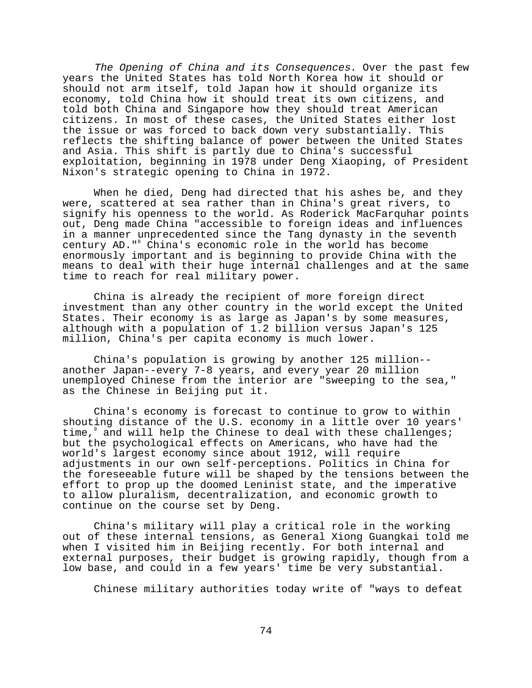The Opening of China and its Consequences. Over the past few years the United States has told North Korea how it should or should not arm itself, told Japan how it should organize its economy, told China how it should treat its own citizens, and told both China and Singapore how they should treat American citizens. In most of these cases, the United States either lost the issue or was forced to back down very substantially. This reflects the shifting balance of power between the United States and Asia. This shift is partly due to China's successful exploitation, beginning in 1978 under Deng Xiaoping, of President Nixon's strategic opening to China in 1972.

When he died, Deng had directed that his ashes be, and they were, scattered at sea rather than in China's great rivers, to signify his openness to the world. As Roderick MacFarquhar points out, Deng made China "accessible to foreign ideas and influences in a manner unprecedented since the Tang dynasty in the seventh century AD."<sup>8</sup> China's economic role in the world has become enormously important and is beginning to provide China with the means to deal with their huge internal challenges and at the same time to reach for real military power.

China is already the recipient of more foreign direct investment than any other country in the world except the United States. Their economy is as large as Japan's by some measures, although with a population of 1.2 billion versus Japan's 125 million, China's per capita economy is much lower.

China's population is growing by another 125 million- another Japan--every 7-8 years, and every year 20 million unemployed Chinese from the interior are "sweeping to the sea," as the Chinese in Beijing put it.

China's economy is forecast to continue to grow to within shouting distance of the U.S. economy in a little over 10 years' time, and will help the Chinese to deal with these challenges; but the psychological effects on Americans, who have had the world's largest economy since about 1912, will require adjustments in our own self-perceptions. Politics in China for the foreseeable future will be shaped by the tensions between the effort to prop up the doomed Leninist state, and the imperative to allow pluralism, decentralization, and economic growth to continue on the course set by Deng.

China's military will play a critical role in the working out of these internal tensions, as General Xiong Guangkai told me when I visited him in Beijing recently. For both internal and external purposes, their budget is growing rapidly, though from a low base, and could in a few years' time be very substantial.

Chinese military authorities today write of "ways to defeat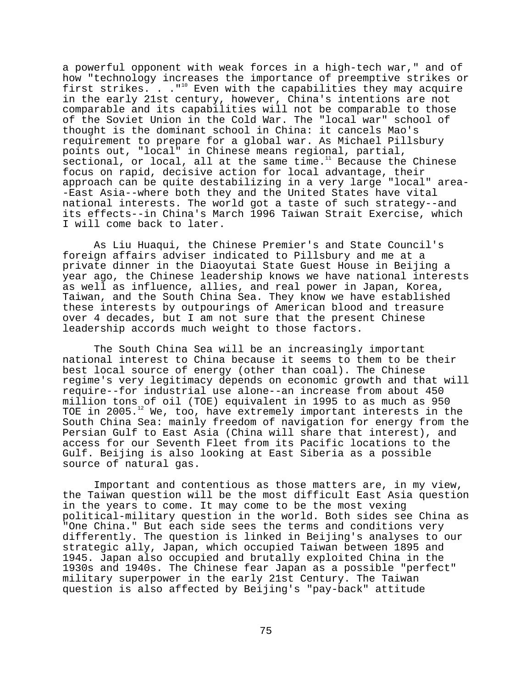a powerful opponent with weak forces in a high-tech war," and of how "technology increases the importance of preemptive strikes or first strikes. . . "<sup>10</sup> Even with the capabilities they may acquire in the early 21st century, however, China's intentions are not comparable and its capabilities will not be comparable to those of the Soviet Union in the Cold War. The "local war" school of thought is the dominant school in China: it cancels Mao's requirement to prepare for a global war. As Michael Pillsbury points out, "local" in Chinese means regional, partial, sectional, or local, all at the same time. $11$  Because the Chinese focus on rapid, decisive action for local advantage, their approach can be quite destabilizing in a very large "local" area- -East Asia--where both they and the United States have vital national interests. The world got a taste of such strategy--and its effects--in China's March 1996 Taiwan Strait Exercise, which I will come back to later.

As Liu Huaqui, the Chinese Premier's and State Council's foreign affairs adviser indicated to Pillsbury and me at a private dinner in the Diaoyutai State Guest House in Beijing a year ago, the Chinese leadership knows we have national interests as well as influence, allies, and real power in Japan, Korea, Taiwan, and the South China Sea. They know we have established these interests by outpourings of American blood and treasure over 4 decades, but I am not sure that the present Chinese leadership accords much weight to those factors.

The South China Sea will be an increasingly important national interest to China because it seems to them to be their best local source of energy (other than coal). The Chinese regime's very legitimacy depends on economic growth and that will require--for industrial use alone--an increase from about 450 million tons of oil (TOE) equivalent in 1995 to as much as 950 TOE in 2005. $^{12}$  We, too, have extremely important interests in the South China Sea: mainly freedom of navigation for energy from the Persian Gulf to East Asia (China will share that interest), and access for our Seventh Fleet from its Pacific locations to the Gulf. Beijing is also looking at East Siberia as a possible source of natural gas.

Important and contentious as those matters are, in my view, the Taiwan question will be the most difficult East Asia question in the years to come. It may come to be the most vexing political-military question in the world. Both sides see China as "One China." But each side sees the terms and conditions very differently. The question is linked in Beijing's analyses to our strategic ally, Japan, which occupied Taiwan between 1895 and 1945. Japan also occupied and brutally exploited China in the 1930s and 1940s. The Chinese fear Japan as a possible "perfect" military superpower in the early 21st Century. The Taiwan question is also affected by Beijing's "pay-back" attitude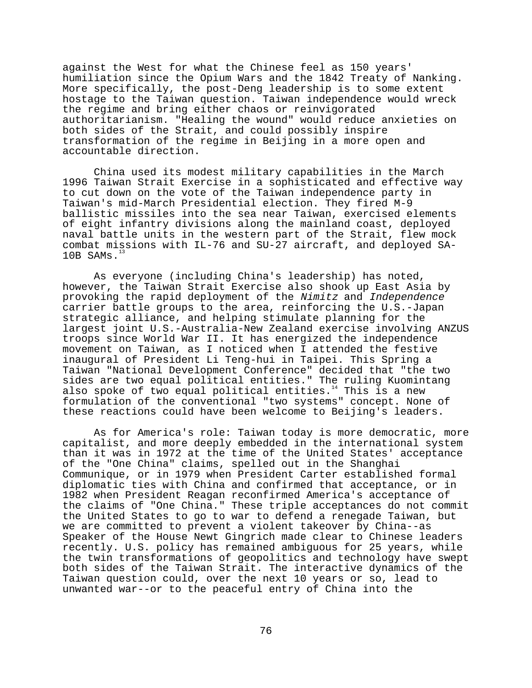against the West for what the Chinese feel as 150 years' humiliation since the Opium Wars and the 1842 Treaty of Nanking. More specifically, the post-Deng leadership is to some extent hostage to the Taiwan question. Taiwan independence would wreck the regime and bring either chaos or reinvigorated authoritarianism. "Healing the wound" would reduce anxieties on both sides of the Strait, and could possibly inspire transformation of the regime in Beijing in a more open and accountable direction.

China used its modest military capabilities in the March 1996 Taiwan Strait Exercise in a sophisticated and effective way to cut down on the vote of the Taiwan independence party in Taiwan's mid-March Presidential election. They fired M-9 ballistic missiles into the sea near Taiwan, exercised elements of eight infantry divisions along the mainland coast, deployed naval battle units in the western part of the Strait, flew mock combat missions with IL-76 and SU-27 aircraft, and deployed SA- $10B$  SAMs.<sup>1</sup>

As everyone (including China's leadership) has noted, however, the Taiwan Strait Exercise also shook up East Asia by provoking the rapid deployment of the Nimitz and Independence carrier battle groups to the area, reinforcing the U.S.-Japan strategic alliance, and helping stimulate planning for the largest joint U.S.-Australia-New Zealand exercise involving ANZUS troops since World War II. It has energized the independence movement on Taiwan, as I noticed when I attended the festive inaugural of President Li Teng-hui in Taipei. This Spring a Taiwan "National Development Conference" decided that "the two sides are two equal political entities." The ruling Kuomintang also spoke of two equal political entities.<sup>14</sup> This is a new formulation of the conventional "two systems" concept. None of these reactions could have been welcome to Beijing's leaders.

As for America's role: Taiwan today is more democratic, more capitalist, and more deeply embedded in the international system than it was in 1972 at the time of the United States' acceptance of the "One China" claims, spelled out in the Shanghai Communique, or in 1979 when President Carter established formal diplomatic ties with China and confirmed that acceptance, or in 1982 when President Reagan reconfirmed America's acceptance of the claims of "One China." These triple acceptances do not commit the United States to go to war to defend a renegade Taiwan, but we are committed to prevent a violent takeover by China--as Speaker of the House Newt Gingrich made clear to Chinese leaders recently. U.S. policy has remained ambiguous for 25 years, while the twin transformations of geopolitics and technology have swept both sides of the Taiwan Strait. The interactive dynamics of the Taiwan question could, over the next 10 years or so, lead to unwanted war--or to the peaceful entry of China into the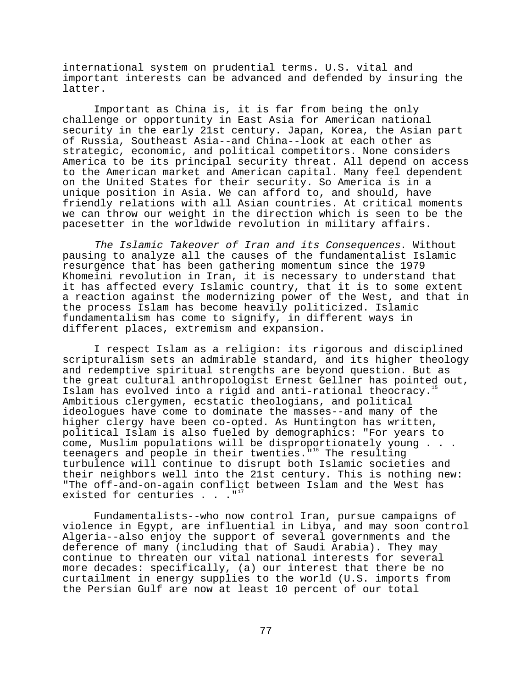international system on prudential terms. U.S. vital and important interests can be advanced and defended by insuring the latter.

Important as China is, it is far from being the only challenge or opportunity in East Asia for American national security in the early 21st century. Japan, Korea, the Asian part of Russia, Southeast Asia--and China--look at each other as strategic, economic, and political competitors. None considers America to be its principal security threat. All depend on access to the American market and American capital. Many feel dependent on the United States for their security. So America is in a unique position in Asia. We can afford to, and should, have friendly relations with all Asian countries. At critical moments we can throw our weight in the direction which is seen to be the pacesetter in the worldwide revolution in military affairs.

The Islamic Takeover of Iran and its Consequences. Without pausing to analyze all the causes of the fundamentalist Islamic resurgence that has been gathering momentum since the 1979 Khomeini revolution in Iran, it is necessary to understand that it has affected every Islamic country, that it is to some extent a reaction against the modernizing power of the West, and that in the process Islam has become heavily politicized. Islamic fundamentalism has come to signify, in different ways in different places, extremism and expansion.

I respect Islam as a religion: its rigorous and disciplined scripturalism sets an admirable standard, and its higher theology and redemptive spiritual strengths are beyond question. But as the great cultural anthropologist Ernest Gellner has pointed out, Islam has evolved into a rigid and anti-rational theocracy.<sup>1</sup> Ambitious clergymen, ecstatic theologians, and political ideologues have come to dominate the masses--and many of the higher clergy have been co-opted. As Huntington has written, political Islam is also fueled by demographics: "For years to come, Muslim populations will be disproportionately young . . . teenagers and people in their twenties.<sup>"16</sup> The resulting turbulence will continue to disrupt both Islamic societies and their neighbors well into the 21st century. This is nothing new: "The off-and-on-again conflict between Islam and the West has existed for centuries  $. . . .$ "

Fundamentalists--who now control Iran, pursue campaigns of violence in Egypt, are influential in Libya, and may soon control Algeria--also enjoy the support of several governments and the deference of many (including that of Saudi Arabia). They may continue to threaten our vital national interests for several more decades: specifically, (a) our interest that there be no curtailment in energy supplies to the world (U.S. imports from the Persian Gulf are now at least 10 percent of our total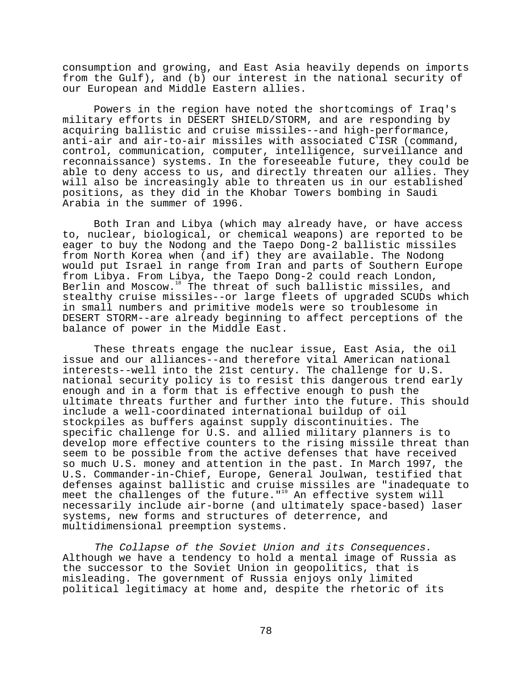consumption and growing, and East Asia heavily depends on imports from the Gulf), and (b) our interest in the national security of our European and Middle Eastern allies.

Powers in the region have noted the shortcomings of Iraq's military efforts in DESERT SHIELD/STORM, and are responding by acquiring ballistic and cruise missiles--and high-performance, anti-air and air-to-air missiles with associated  $C^4$ ISR (command, control, communication, computer, intelligence, surveillance and reconnaissance) systems. In the foreseeable future, they could be able to deny access to us, and directly threaten our allies. They will also be increasingly able to threaten us in our established positions, as they did in the Khobar Towers bombing in Saudi Arabia in the summer of 1996.

Both Iran and Libya (which may already have, or have access to, nuclear, biological, or chemical weapons) are reported to be eager to buy the Nodong and the Taepo Dong-2 ballistic missiles from North Korea when (and if) they are available. The Nodong would put Israel in range from Iran and parts of Southern Europe from Libya. From Libya, the Taepo Dong-2 could reach London, Berlin and Moscow.<sup>18</sup> The threat of such ballistic missiles, and stealthy cruise missiles--or large fleets of upgraded SCUDs which in small numbers and primitive models were so troublesome in DESERT STORM--are already beginning to affect perceptions of the balance of power in the Middle East.

These threats engage the nuclear issue, East Asia, the oil issue and our alliances--and therefore vital American national interests--well into the 21st century. The challenge for U.S. national security policy is to resist this dangerous trend early enough and in a form that is effective enough to push the ultimate threats further and further into the future. This should include a well-coordinated international buildup of oil stockpiles as buffers against supply discontinuities. The specific challenge for U.S. and allied military planners is to develop more effective counters to the rising missile threat than seem to be possible from the active defenses that have received so much U.S. money and attention in the past. In March 1997, the U.S. Commander-in-Chief, Europe, General Joulwan, testified that defenses against ballistic and cruise missiles are "inadequate to meet the challenges of the future."<sup>19</sup> An effective system will necessarily include air-borne (and ultimately space-based) laser systems, new forms and structures of deterrence, and multidimensional preemption systems.

The Collapse of the Soviet Union and its Consequences.<br>Although we have a tendency to hold a mental image of Russia as the successor to the Soviet Union in geopolitics, that is misleading. The government of Russia enjoys only limited political legitimacy at home and, despite the rhetoric of its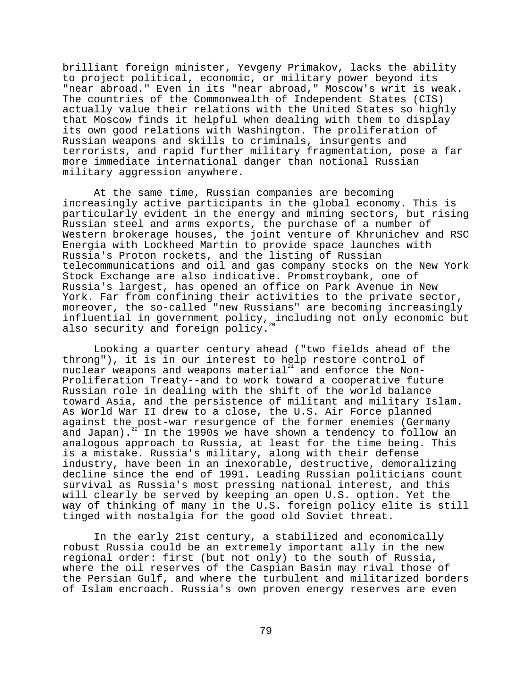brilliant foreign minister, Yevgeny Primakov, lacks the ability to project political, economic, or military power beyond its "near abroad." Even in its "near abroad," Moscow's writ is weak. The countries of the Commonwealth of Independent States (CIS) actually value their relations with the United States so highly that Moscow finds it helpful when dealing with them to display its own good relations with Washington. The proliferation of Russian weapons and skills to criminals, insurgents and terrorists, and rapid further military fragmentation, pose a far more immediate international danger than notional Russian military aggression anywhere.

At the same time, Russian companies are becoming increasingly active participants in the global economy. This is particularly evident in the energy and mining sectors, but rising Russian steel and arms exports, the purchase of a number of Western brokerage houses, the joint venture of Khrunichev and RSC Energia with Lockheed Martin to provide space launches with Russia's Proton rockets, and the listing of Russian telecommunications and oil and gas company stocks on the New York Stock Exchange are also indicative. Promstroybank, one of Russia's largest, has opened an office on Park Avenue in New York. Far from confining their activities to the private sector, moreover, the so-called "new Russians" are becoming increasingly influential in government policy, including not only economic but also security and foreign policy.

Looking a quarter century ahead ("two fields ahead of the throng"), it is in our interest to help restore control of nuclear weapons and weapons material $^{21}$  and enforce the Non-Proliferation Treaty--and to work toward a cooperative future Russian role in dealing with the shift of the world balance toward Asia, and the persistence of militant and military Islam. As World War II drew to a close, the U.S. Air Force planned against the post-war resurgence of the former enemies (Germany and Japan).<sup>22</sup> In the 1990s we have shown a tendency to follow an analogous approach to Russia, at least for the time being. This is a mistake. Russia's military, along with their defense industry, have been in an inexorable, destructive, demoralizing decline since the end of 1991. Leading Russian politicians count survival as Russia's most pressing national interest, and this will clearly be served by keeping an open U.S. option. Yet the way of thinking of many in the U.S. foreign policy elite is still tinged with nostalgia for the good old Soviet threat.

In the early 21st century, a stabilized and economically robust Russia could be an extremely important ally in the new regional order: first (but not only) to the south of Russia, where the oil reserves of the Caspian Basin may rival those of the Persian Gulf, and where the turbulent and militarized borders of Islam encroach. Russia's own proven energy reserves are even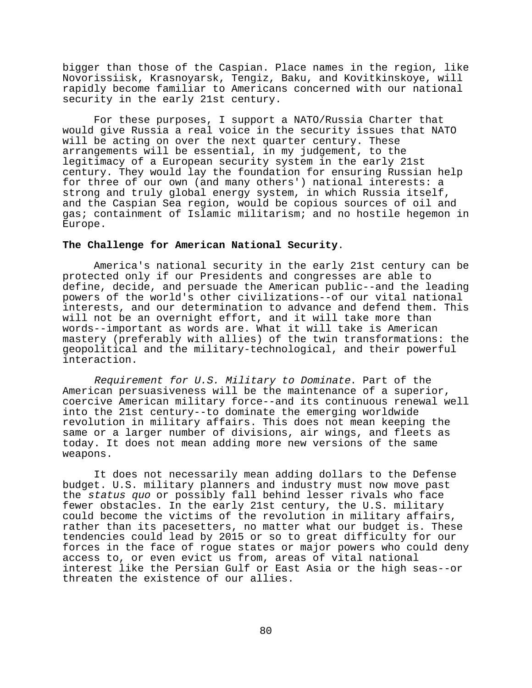bigger than those of the Caspian. Place names in the region, like Novorissiisk, Krasnoyarsk, Tengiz, Baku, and Kovitkinskoye, will rapidly become familiar to Americans concerned with our national security in the early 21st century.

For these purposes, I support a NATO/Russia Charter that would give Russia a real voice in the security issues that NATO will be acting on over the next quarter century. These arrangements will be essential, in my judgement, to the legitimacy of a European security system in the early 21st century. They would lay the foundation for ensuring Russian help for three of our own (and many others') national interests: a strong and truly global energy system, in which Russia itself, and the Caspian Sea region, would be copious sources of oil and gas; containment of Islamic militarism; and no hostile hegemon in Europe.

## **The Challenge for American National Security**.

America's national security in the early 21st century can be protected only if our Presidents and congresses are able to define, decide, and persuade the American public--and the leading powers of the world's other civilizations--of our vital national interests, and our determination to advance and defend them. This will not be an overnight effort, and it will take more than words--important as words are. What it will take is American mastery (preferably with allies) of the twin transformations: the geopolitical and the military-technological, and their powerful interaction.

Requirement for U.S. Military to Dominate. Part of the American persuasiveness will be the maintenance of a superior, coercive American military force--and its continuous renewal well into the 21st century--to dominate the emerging worldwide revolution in military affairs. This does not mean keeping the same or a larger number of divisions, air wings, and fleets as today. It does not mean adding more new versions of the same weapons.

It does not necessarily mean adding dollars to the Defense budget. U.S. military planners and industry must now move past the status quo or possibly fall behind lesser rivals who face fewer obstacles. In the early 21st century, the U.S. military could become the victims of the revolution in military affairs, rather than its pacesetters, no matter what our budget is. These tendencies could lead by 2015 or so to great difficulty for our forces in the face of rogue states or major powers who could deny access to, or even evict us from, areas of vital national interest like the Persian Gulf or East Asia or the high seas--or threaten the existence of our allies.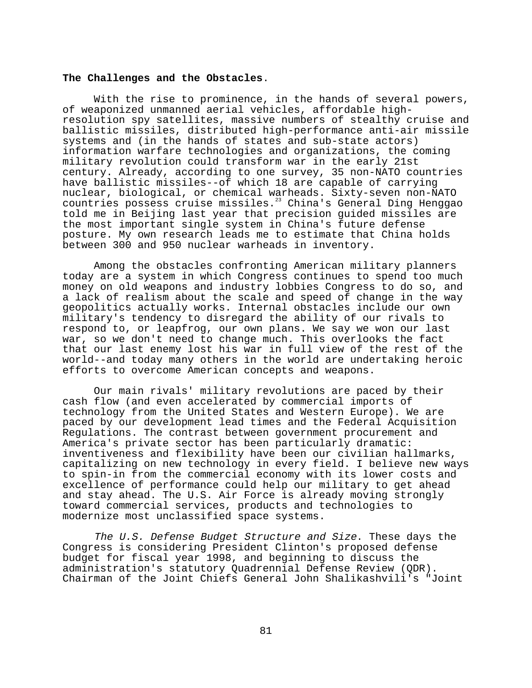## **The Challenges and the Obstacles**.

With the rise to prominence, in the hands of several powers, of weaponized unmanned aerial vehicles, affordable highresolution spy satellites, massive numbers of stealthy cruise and ballistic missiles, distributed high-performance anti-air missile systems and (in the hands of states and sub-state actors) information warfare technologies and organizations, the coming military revolution could transform war in the early 21st century. Already, according to one survey, 35 non-NATO countries have ballistic missiles--of which 18 are capable of carrying nuclear, biological, or chemical warheads. Sixty-seven non-NATO countries possess cruise missiles.<sup>23</sup> China's General Ding Henggao told me in Beijing last year that precision guided missiles are the most important single system in China's future defense posture. My own research leads me to estimate that China holds between 300 and 950 nuclear warheads in inventory.

Among the obstacles confronting American military planners today are a system in which Congress continues to spend too much money on old weapons and industry lobbies Congress to do so, and a lack of realism about the scale and speed of change in the way geopolitics actually works. Internal obstacles include our own military's tendency to disregard the ability of our rivals to respond to, or leapfrog, our own plans. We say we won our last war, so we don't need to change much. This overlooks the fact that our last enemy lost his war in full view of the rest of the world--and today many others in the world are undertaking heroic efforts to overcome American concepts and weapons.

Our main rivals' military revolutions are paced by their cash flow (and even accelerated by commercial imports of technology from the United States and Western Europe). We are paced by our development lead times and the Federal Acquisition Regulations. The contrast between government procurement and America's private sector has been particularly dramatic: inventiveness and flexibility have been our civilian hallmarks, capitalizing on new technology in every field. I believe new ways to spin-in from the commercial economy with its lower costs and excellence of performance could help our military to get ahead and stay ahead. The U.S. Air Force is already moving strongly toward commercial services, products and technologies to modernize most unclassified space systems.

The U.S. Defense Budget Structure and Size. These days the Congress is considering President Clinton's proposed defense budget for fiscal year 1998, and beginning to discuss the administration's statutory Quadrennial Defense Review (QDR). Chairman of the Joint Chiefs General John Shalikashvili's "Joint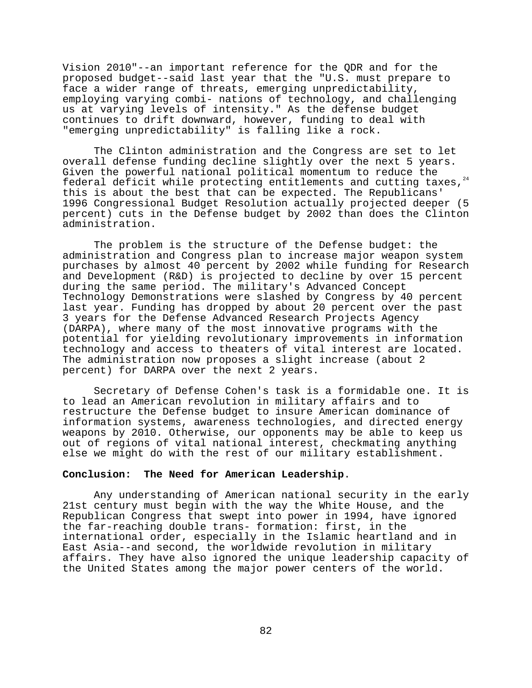Vision 2010"--an important reference for the QDR and for the proposed budget--said last year that the "U.S. must prepare to face a wider range of threats, emerging unpredictability, employing varying combi- nations of technology, and challenging us at varying levels of intensity." As the defense budget continues to drift downward, however, funding to deal with "emerging unpredictability" is falling like a rock.

The Clinton administration and the Congress are set to let overall defense funding decline slightly over the next 5 years. Given the powerful national political momentum to reduce the federal deficit while protecting entitlements and cutting taxes. $24$ this is about the best that can be expected. The Republicans' 1996 Congressional Budget Resolution actually projected deeper (5 percent) cuts in the Defense budget by 2002 than does the Clinton administration.

The problem is the structure of the Defense budget: the administration and Congress plan to increase major weapon system purchases by almost 40 percent by 2002 while funding for Research and Development (R&D) is projected to decline by over 15 percent during the same period. The military's Advanced Concept Technology Demonstrations were slashed by Congress by 40 percent last year. Funding has dropped by about 20 percent over the past 3 years for the Defense Advanced Research Projects Agency (DARPA), where many of the most innovative programs with the potential for yielding revolutionary improvements in information technology and access to theaters of vital interest are located. The administration now proposes a slight increase (about 2 percent) for DARPA over the next 2 years.

Secretary of Defense Cohen's task is a formidable one. It is to lead an American revolution in military affairs and to restructure the Defense budget to insure American dominance of information systems, awareness technologies, and directed energy weapons by 2010. Otherwise, our opponents may be able to keep us out of regions of vital national interest, checkmating anything else we might do with the rest of our military establishment.

## **Conclusion: The Need for American Leadership**.

Any understanding of American national security in the early 21st century must begin with the way the White House, and the Republican Congress that swept into power in 1994, have ignored the far-reaching double trans- formation: first, in the international order, especially in the Islamic heartland and in East Asia--and second, the worldwide revolution in military affairs. They have also ignored the unique leadership capacity of the United States among the major power centers of the world.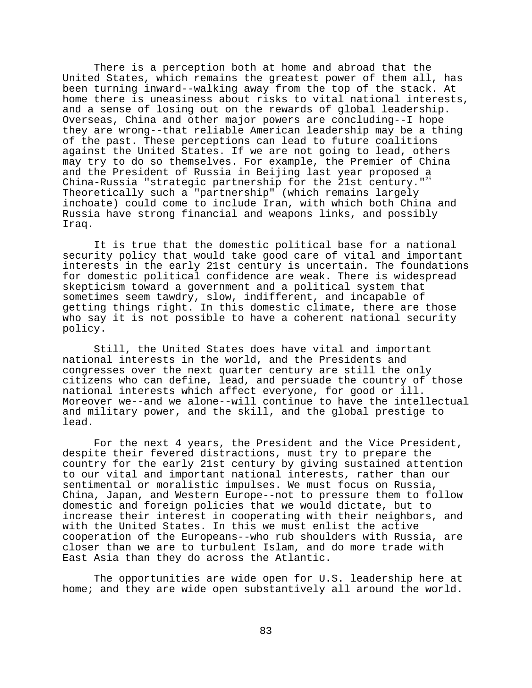There is a perception both at home and abroad that the United States, which remains the greatest power of them all, has been turning inward--walking away from the top of the stack. At home there is uneasiness about risks to vital national interests, and a sense of losing out on the rewards of global leadership. Overseas, China and other major powers are concluding--I hope they are wrong--that reliable American leadership may be a thing of the past. These perceptions can lead to future coalitions against the United States. If we are not going to lead, others may try to do so themselves. For example, the Premier of China and the President of Russia in Beijing last year proposed a China-Russia "strategic partnership for the 21st century."<sup>25</sup> Theoretically such a "partnership" (which remains largely inchoate) could come to include Iran, with which both China and Russia have strong financial and weapons links, and possibly Iraq.

It is true that the domestic political base for a national security policy that would take good care of vital and important interests in the early 21st century is uncertain. The foundations for domestic political confidence are weak. There is widespread skepticism toward a government and a political system that sometimes seem tawdry, slow, indifferent, and incapable of getting things right. In this domestic climate, there are those who say it is not possible to have a coherent national security policy.

Still, the United States does have vital and important national interests in the world, and the Presidents and congresses over the next quarter century are still the only citizens who can define, lead, and persuade the country of those national interests which affect everyone, for good or ill. Moreover we--and we alone--will continue to have the intellectual and military power, and the skill, and the global prestige to lead.

For the next 4 years, the President and the Vice President, despite their fevered distractions, must try to prepare the country for the early 21st century by giving sustained attention to our vital and important national interests, rather than our sentimental or moralistic impulses. We must focus on Russia, China, Japan, and Western Europe--not to pressure them to follow domestic and foreign policies that we would dictate, but to increase their interest in cooperating with their neighbors, and with the United States. In this we must enlist the active cooperation of the Europeans--who rub shoulders with Russia, are closer than we are to turbulent Islam, and do more trade with East Asia than they do across the Atlantic.

The opportunities are wide open for U.S. leadership here at home; and they are wide open substantively all around the world.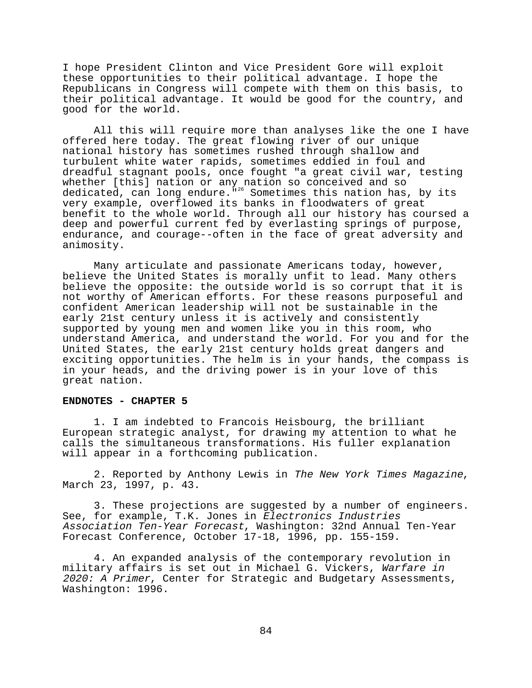I hope President Clinton and Vice President Gore will exploit these opportunities to their political advantage. I hope the Republicans in Congress will compete with them on this basis, to their political advantage. It would be good for the country, and good for the world.

All this will require more than analyses like the one I have offered here today. The great flowing river of our unique national history has sometimes rushed through shallow and turbulent white water rapids, sometimes eddied in foul and dreadful stagnant pools, once fought "a great civil war, testing whether [this] nation or any nation so conceived and so dedicated, can long endure."<sup>26</sup> Sometimes this nation has, by its very example, overflowed its banks in floodwaters of great benefit to the whole world. Through all our history has coursed a deep and powerful current fed by everlasting springs of purpose, endurance, and courage--often in the face of great adversity and animosity.

Many articulate and passionate Americans today, however, believe the United States is morally unfit to lead. Many others believe the opposite: the outside world is so corrupt that it is not worthy of American efforts. For these reasons purposeful and confident American leadership will not be sustainable in the early 21st century unless it is actively and consistently supported by young men and women like you in this room, who understand America, and understand the world. For you and for the United States, the early 21st century holds great dangers and exciting opportunities. The helm is in your hands, the compass is in your heads, and the driving power is in your love of this great nation.

## **ENDNOTES - CHAPTER 5**

1. I am indebted to Francois Heisbourg, the brilliant European strategic analyst, for drawing my attention to what he calls the simultaneous transformations. His fuller explanation will appear in a forthcoming publication.

2. Reported by Anthony Lewis in The New York Times Magazine, March 23, 1997, p. 43.

3. These projections are suggested by a number of engineers. See, for example, T.K. Jones in Electronics Industries Association Ten-Year Forecast, Washington: 32nd Annual Ten-Year Forecast Conference, October 17-18, 1996, pp. 155-159.

4. An expanded analysis of the contemporary revolution in military affairs is set out in Michael G. Vickers, Warfare in 2020: A Primer, Center for Strategic and Budgetary Assessments, Washington: 1996.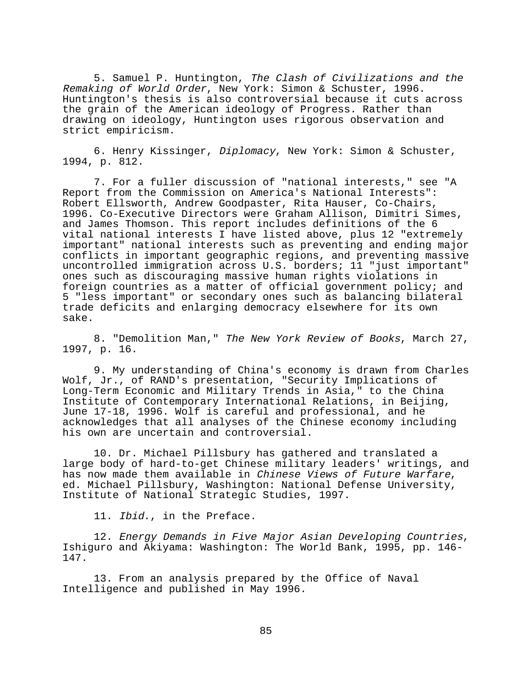5. Samuel P. Huntington, The Clash of Civilizations and the Remaking of World Order, New York: Simon & Schuster, 1996. Huntington's thesis is also controversial because it cuts across the grain of the American ideology of Progress. Rather than drawing on ideology, Huntington uses rigorous observation and strict empiricism.

6. Henry Kissinger, Diplomacy, New York: Simon & Schuster, 1994, p. 812.

7. For a fuller discussion of "national interests," see "A Report from the Commission on America's National Interests": Robert Ellsworth, Andrew Goodpaster, Rita Hauser, Co-Chairs, 1996. Co-Executive Directors were Graham Allison, Dimitri Simes, and James Thomson. This report includes definitions of the 6 vital national interests I have listed above, plus 12 "extremely important" national interests such as preventing and ending major conflicts in important geographic regions, and preventing massive uncontrolled immigration across U.S. borders; 11 "just important" ones such as discouraging massive human rights violations in foreign countries as a matter of official government policy; and 5 "less important" or secondary ones such as balancing bilateral trade deficits and enlarging democracy elsewhere for its own sake.

8. "Demolition Man," The New York Review of Books, March 27, 1997, p. 16.

9. My understanding of China's economy is drawn from Charles Wolf, Jr., of RAND's presentation, "Security Implications of Long-Term Economic and Military Trends in Asia," to the China Institute of Contemporary International Relations, in Beijing, June 17-18, 1996. Wolf is careful and professional, and he acknowledges that all analyses of the Chinese economy including his own are uncertain and controversial.

10. Dr. Michael Pillsbury has gathered and translated a large body of hard-to-get Chinese military leaders' writings, and has now made them available in Chinese Views of Future Warfare,<br>ed. Michael Pillsbury, Washington: National Defense University, Institute of National Strategic Studies, 1997.

11. Ibid., in the Preface.

12. Energy Demands in Five Major Asian Developing Countries, Ishiguro and Akiyama: Washington: The World Bank, 1995, pp. 146- 147.

13. From an analysis prepared by the Office of Naval Intelligence and published in May 1996.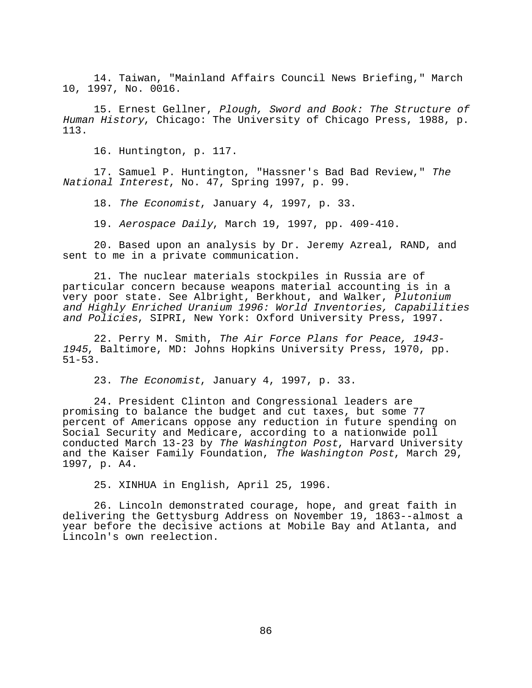14. Taiwan, "Mainland Affairs Council News Briefing," March 10, 1997, No. 0016.

15. Ernest Gellner, Plough, Sword and Book: The Structure of Human History, Chicago: The University of Chicago Press, 1988, p. 113.

16. Huntington, p. 117.

17. Samuel P. Huntington, "Hassner's Bad Bad Review," The National Interest, No. 47, Spring 1997, p. 99.

18. The Economist, January 4, 1997, p. 33.

19. Aerospace Daily, March 19, 1997, pp. 409-410.

20. Based upon an analysis by Dr. Jeremy Azreal, RAND, and sent to me in a private communication.

21. The nuclear materials stockpiles in Russia are of particular concern because weapons material accounting is in a very poor state. See Albright, Berkhout, and Walker, Plutonium and Highly Enriched Uranium 1996: World Inventories, Capabilities and Policies, SIPRI, New York: Oxford University Press, 1997.

22. Perry M. Smith, The Air Force Plans for Peace, 1943- <sup>1945</sup>, Baltimore, MD: Johns Hopkins University Press, 1970, pp. 51-53.

23. The Economist, January 4, 1997, p. 33.

24. President Clinton and Congressional leaders are promising to balance the budget and cut taxes, but some 77 percent of Americans oppose any reduction in future spending on Social Security and Medicare, according to a nationwide poll conducted March 13-23 by The Washington Post, Harvard University and the Kaiser Family Foundation, The Washington Post, March 29, 1997, p. A4.

25. XINHUA in English, April 25, 1996.

26. Lincoln demonstrated courage, hope, and great faith in delivering the Gettysburg Address on November 19, 1863--almost a year before the decisive actions at Mobile Bay and Atlanta, and Lincoln's own reelection.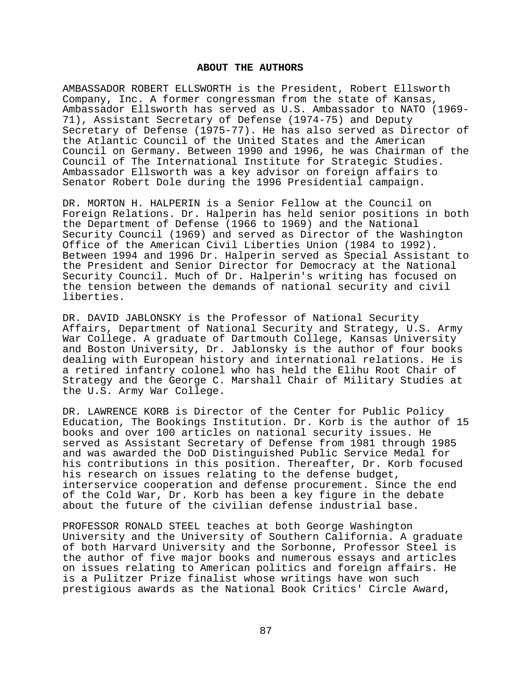#### **ABOUT THE AUTHORS**

AMBASSADOR ROBERT ELLSWORTH is the President, Robert Ellsworth Company, Inc. A former congressman from the state of Kansas, Ambassador Ellsworth has served as U.S. Ambassador to NATO (1969- 71), Assistant Secretary of Defense (1974-75) and Deputy Secretary of Defense (1975-77). He has also served as Director of the Atlantic Council of the United States and the American Council on Germany. Between 1990 and 1996, he was Chairman of the Council of The International Institute for Strategic Studies. Ambassador Ellsworth was a key advisor on foreign affairs to Senator Robert Dole during the 1996 Presidential campaign.

DR. MORTON H. HALPERIN is a Senior Fellow at the Council on Foreign Relations. Dr. Halperin has held senior positions in both the Department of Defense (1966 to 1969) and the National Security Council (1969) and served as Director of the Washington Office of the American Civil Liberties Union (1984 to 1992). Between 1994 and 1996 Dr. Halperin served as Special Assistant to the President and Senior Director for Democracy at the National Security Council. Much of Dr. Halperin's writing has focused on the tension between the demands of national security and civil liberties.

DR. DAVID JABLONSKY is the Professor of National Security Affairs, Department of National Security and Strategy, U.S. Army War College. A graduate of Dartmouth College, Kansas University and Boston University, Dr. Jablonsky is the author of four books dealing with European history and international relations. He is a retired infantry colonel who has held the Elihu Root Chair of Strategy and the George C. Marshall Chair of Military Studies at the U.S. Army War College.

DR. LAWRENCE KORB is Director of the Center for Public Policy Education, The Bookings Institution. Dr. Korb is the author of 15 books and over 100 articles on national security issues. He served as Assistant Secretary of Defense from 1981 through 1985 and was awarded the DoD Distinguished Public Service Medal for his contributions in this position. Thereafter, Dr. Korb focused his research on issues relating to the defense budget, interservice cooperation and defense procurement. Since the end of the Cold War, Dr. Korb has been a key figure in the debate about the future of the civilian defense industrial base.

PROFESSOR RONALD STEEL teaches at both George Washington University and the University of Southern California. A graduate of both Harvard University and the Sorbonne, Professor Steel is the author of five major books and numerous essays and articles on issues relating to American politics and foreign affairs. He is a Pulitzer Prize finalist whose writings have won such prestigious awards as the National Book Critics' Circle Award,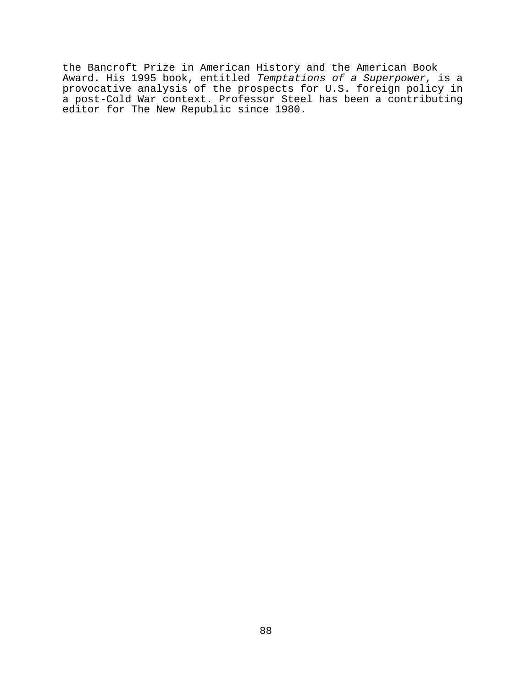the Bancroft Prize in American History and the American Book Award. His 1995 book, entitled *Temptations of a Superpower*, is a provocative analysis of the prospects for U.S. foreign policy in a post-Cold War context. Professor Steel has been a contributing editor for The New Republic since 1980.